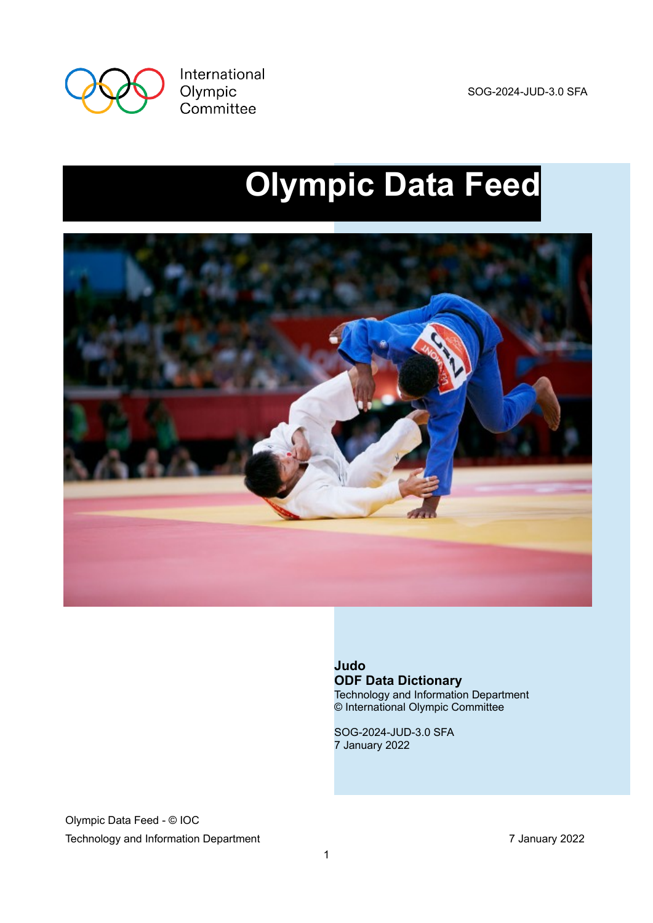

# **Olympic Data Feed**



**Judo ODF Data Dictionary**

Technology and Information Department © International Olympic Committee

SOG-2024-JUD-3.0 SFA 7 January 2022

Olympic Data Feed - © IOC Technology and Information Department 7 January 2022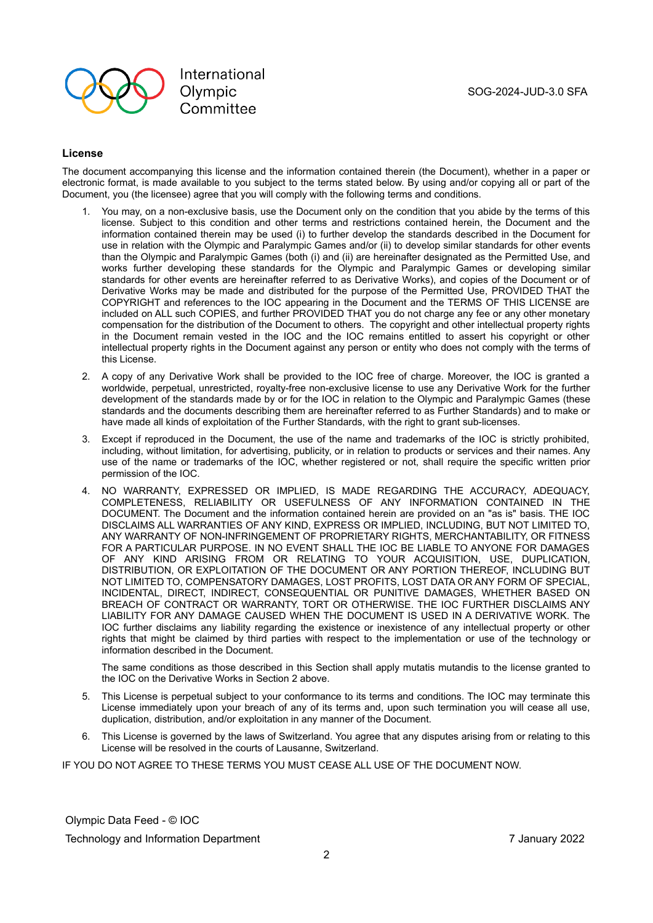

#### **License**

The document accompanying this license and the information contained therein (the Document), whether in a paper or electronic format, is made available to you subject to the terms stated below. By using and/or copying all or part of the Document, you (the licensee) agree that you will comply with the following terms and conditions.

- 1. You may, on a non-exclusive basis, use the Document only on the condition that you abide by the terms of this license. Subject to this condition and other terms and restrictions contained herein, the Document and the information contained therein may be used (i) to further develop the standards described in the Document for use in relation with the Olympic and Paralympic Games and/or (ii) to develop similar standards for other events than the Olympic and Paralympic Games (both (i) and (ii) are hereinafter designated as the Permitted Use, and works further developing these standards for the Olympic and Paralympic Games or developing similar standards for other events are hereinafter referred to as Derivative Works), and copies of the Document or of Derivative Works may be made and distributed for the purpose of the Permitted Use, PROVIDED THAT the COPYRIGHT and references to the IOC appearing in the Document and the TERMS OF THIS LICENSE are included on ALL such COPIES, and further PROVIDED THAT you do not charge any fee or any other monetary compensation for the distribution of the Document to others. The copyright and other intellectual property rights in the Document remain vested in the IOC and the IOC remains entitled to assert his copyright or other intellectual property rights in the Document against any person or entity who does not comply with the terms of this License.
- 2. A copy of any Derivative Work shall be provided to the IOC free of charge. Moreover, the IOC is granted a worldwide, perpetual, unrestricted, royalty-free non-exclusive license to use any Derivative Work for the further development of the standards made by or for the IOC in relation to the Olympic and Paralympic Games (these standards and the documents describing them are hereinafter referred to as Further Standards) and to make or have made all kinds of exploitation of the Further Standards, with the right to grant sub-licenses.
- 3. Except if reproduced in the Document, the use of the name and trademarks of the IOC is strictly prohibited, including, without limitation, for advertising, publicity, or in relation to products or services and their names. Any use of the name or trademarks of the IOC, whether registered or not, shall require the specific written prior permission of the IOC.
- 4. NO WARRANTY, EXPRESSED OR IMPLIED, IS MADE REGARDING THE ACCURACY, ADEQUACY, COMPLETENESS, RELIABILITY OR USEFULNESS OF ANY INFORMATION CONTAINED IN THE DOCUMENT. The Document and the information contained herein are provided on an "as is" basis. THE IOC DISCLAIMS ALL WARRANTIES OF ANY KIND, EXPRESS OR IMPLIED, INCLUDING, BUT NOT LIMITED TO, ANY WARRANTY OF NON-INFRINGEMENT OF PROPRIETARY RIGHTS, MERCHANTABILITY, OR FITNESS FOR A PARTICULAR PURPOSE. IN NO EVENT SHALL THE IOC BE LIABLE TO ANYONE FOR DAMAGES OF ANY KIND ARISING FROM OR RELATING TO YOUR ACQUISITION, USE, DUPLICATION, DISTRIBUTION, OR EXPLOITATION OF THE DOCUMENT OR ANY PORTION THEREOF, INCLUDING BUT NOT LIMITED TO, COMPENSATORY DAMAGES, LOST PROFITS, LOST DATA OR ANY FORM OF SPECIAL, INCIDENTAL, DIRECT, INDIRECT, CONSEQUENTIAL OR PUNITIVE DAMAGES, WHETHER BASED ON BREACH OF CONTRACT OR WARRANTY, TORT OR OTHERWISE. THE IOC FURTHER DISCLAIMS ANY LIABILITY FOR ANY DAMAGE CAUSED WHEN THE DOCUMENT IS USED IN A DERIVATIVE WORK. The IOC further disclaims any liability regarding the existence or inexistence of any intellectual property or other rights that might be claimed by third parties with respect to the implementation or use of the technology or information described in the Document.

The same conditions as those described in this Section shall apply mutatis mutandis to the license granted to the IOC on the Derivative Works in Section 2 above.

- 5. This License is perpetual subject to your conformance to its terms and conditions. The IOC may terminate this License immediately upon your breach of any of its terms and, upon such termination you will cease all use, duplication, distribution, and/or exploitation in any manner of the Document.
- 6. This License is governed by the laws of Switzerland. You agree that any disputes arising from or relating to this License will be resolved in the courts of Lausanne, Switzerland.

IF YOU DO NOT AGREE TO THESE TERMS YOU MUST CEASE ALL USE OF THE DOCUMENT NOW.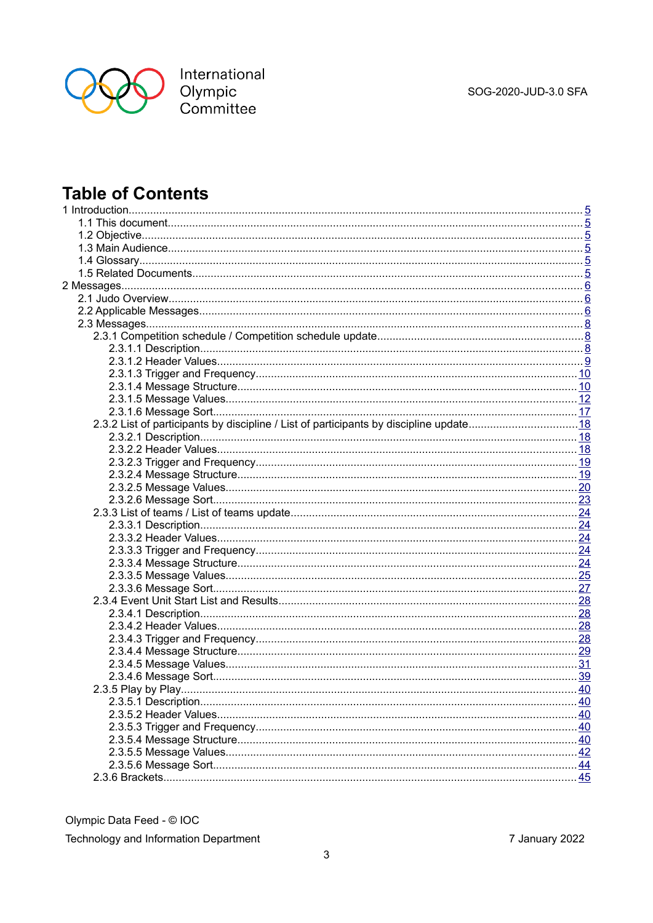

## **Table of Contents**

| 2.3.2 List of participants by discipline / List of participants by discipline update18 |  |
|----------------------------------------------------------------------------------------|--|
|                                                                                        |  |
|                                                                                        |  |
|                                                                                        |  |
|                                                                                        |  |
|                                                                                        |  |
|                                                                                        |  |
|                                                                                        |  |
|                                                                                        |  |
|                                                                                        |  |
|                                                                                        |  |
|                                                                                        |  |
|                                                                                        |  |
|                                                                                        |  |
|                                                                                        |  |
|                                                                                        |  |
|                                                                                        |  |
|                                                                                        |  |
|                                                                                        |  |
|                                                                                        |  |
|                                                                                        |  |
|                                                                                        |  |
|                                                                                        |  |
|                                                                                        |  |
|                                                                                        |  |
|                                                                                        |  |
|                                                                                        |  |
|                                                                                        |  |
|                                                                                        |  |
|                                                                                        |  |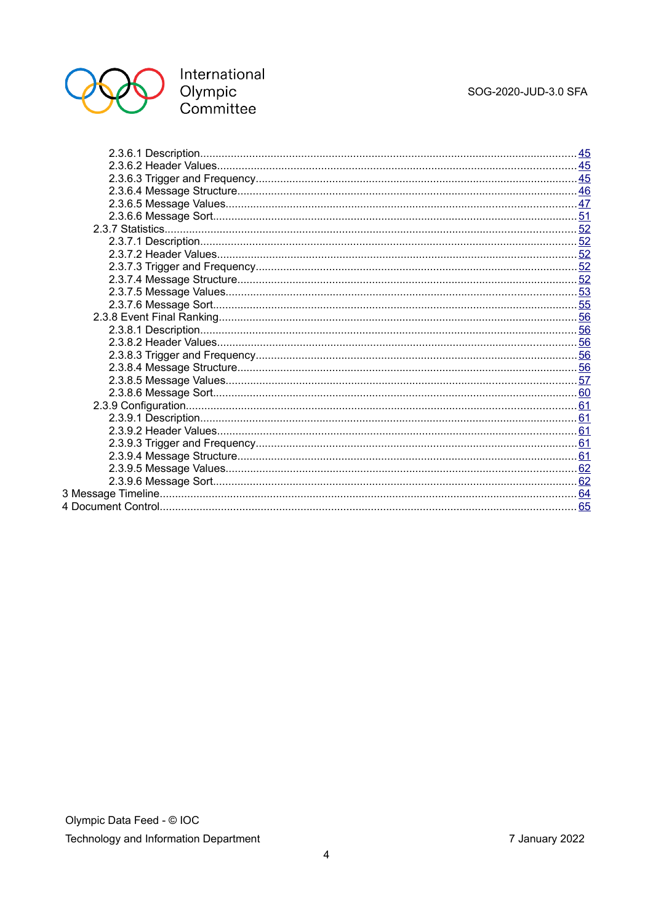

#### SOG-2020-JUD-3.0 SFA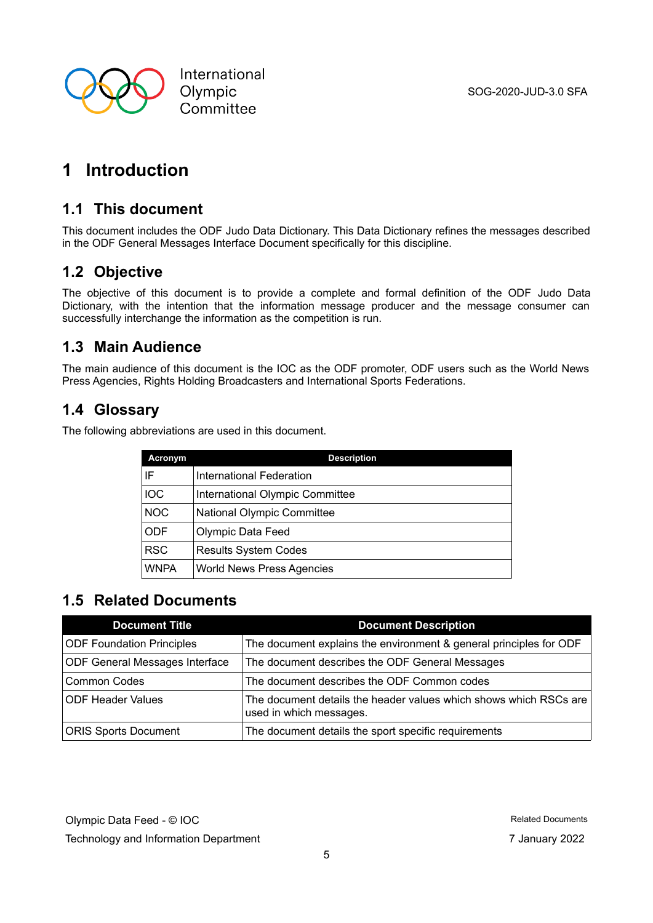SOG-2020-JUD-3.0 SFA



### <span id="page-4-5"></span>**1 Introduction**

### <span id="page-4-4"></span>**1.1 This document**

This document includes the ODF Judo Data Dictionary. This Data Dictionary refines the messages described in the ODF General Messages Interface Document specifically for this discipline.

### <span id="page-4-3"></span>**1.2 Objective**

The objective of this document is to provide a complete and formal definition of the ODF Judo Data Dictionary, with the intention that the information message producer and the message consumer can successfully interchange the information as the competition is run.

### <span id="page-4-2"></span>**1.3 Main Audience**

The main audience of this document is the IOC as the ODF promoter, ODF users such as the World News Press Agencies, Rights Holding Broadcasters and International Sports Federations.

### <span id="page-4-1"></span>**1.4 Glossary**

The following abbreviations are used in this document.

| <b>Acronym</b> | <b>Description</b>                |  |  |  |  |  |
|----------------|-----------------------------------|--|--|--|--|--|
| IF             | International Federation          |  |  |  |  |  |
| <b>IOC</b>     | International Olympic Committee   |  |  |  |  |  |
| <b>NOC</b>     | <b>National Olympic Committee</b> |  |  |  |  |  |
| <b>ODF</b>     | Olympic Data Feed                 |  |  |  |  |  |
| <b>RSC</b>     | <b>Results System Codes</b>       |  |  |  |  |  |
| <b>WNPA</b>    | <b>World News Press Agencies</b>  |  |  |  |  |  |

### <span id="page-4-0"></span>**1.5 Related Documents**

| <b>Document Title</b>                 | <b>Document Description</b>                                                                  |
|---------------------------------------|----------------------------------------------------------------------------------------------|
| <b>ODF Foundation Principles</b>      | The document explains the environment & general principles for ODF                           |
| <b>ODF General Messages Interface</b> | The document describes the ODF General Messages                                              |
| <b>Common Codes</b>                   | The document describes the ODF Common codes                                                  |
| <b>ODF Header Values</b>              | The document details the header values which shows which RSCs are<br>used in which messages. |
| <b>ORIS Sports Document</b>           | The document details the sport specific requirements                                         |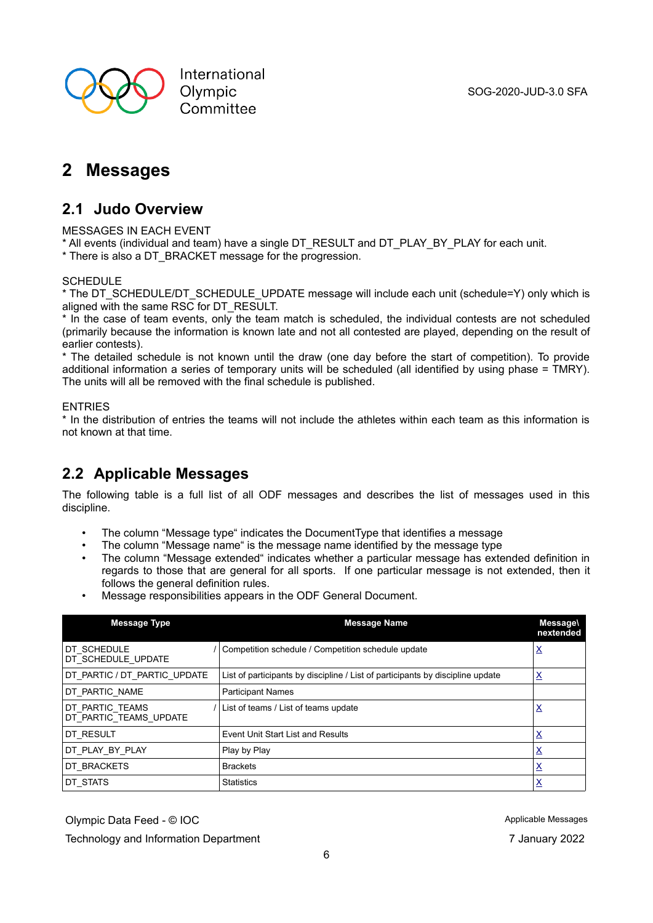

### <span id="page-5-2"></span>**2 Messages**

### <span id="page-5-1"></span>**2.1 Judo Overview**

MESSAGES IN EACH EVENT

\* All events (individual and team) have a single DT\_RESULT and DT\_PLAY\_BY\_PLAY for each unit.

\* There is also a DT\_BRACKET message for the progression.

#### **SCHEDULE**

\* The DT\_SCHEDULE/DT\_SCHEDULE\_UPDATE message will include each unit (schedule=Y) only which is aligned with the same  $RSC$  for DT\_RESULT.

 $*$  In the case of team events, only the team match is scheduled, the individual contests are not scheduled (primarily because the information is known late and not all contested are played, depending on the result of earlier contests).

\* The detailed schedule is not known until the draw (one day before the start of competition). To provide additional information a series of temporary units will be scheduled (all identified by using phase = TMRY). The units will all be removed with the final schedule is published.

#### ENTRIES

\* In the distribution of entries the teams will not include the athletes within each team as this information is not known at that time.

### <span id="page-5-0"></span>**2.2 Applicable Messages**

The following table is a full list of all ODF messages and describes the list of messages used in this discipline.

- The column "Message type" indicates the DocumentType that identifies a message
- The column "Message name" is the message name identified by the message type
- The column "Message extended" indicates whether a particular message has extended definition in regards to those that are general for all sports. If one particular message is not extended, then it follows the general definition rules.
- **Message Type Message Name Message\** DT\_SCHEDULE DT<sup>-</sup>SCHEDULE\_UPDATE Competition schedule / Competition schedule update  $\vert$  [X](#page-7-0) DT\_PARTIC / DT\_PARTIC\_UPDATE List of participants by discipline / List of participants by discipline update  $X$ DT\_PARTIC\_NAME Participant Names DT\_PARTIC\_TEAMS / DT\_PARTIC\_TEAMS\_UPDATE List of teams / List of teams update  $\vert$   $\times$  $DT$  RESULT Event Unit Start List and Results  $\times$ DT\_PLAY\_BY\_PLAY PLAY Play by Play  $\vert$  Play by Play 2

DT\_BRACKETS Brackets Brackets Brackets Art and the U.S. Art and the U.S. Art and the U.S. Art and the U.S. Art and the U.S. Art and the U.S. Art and the U.S. Art and the U.S. Art and the U.S. Art and the U.S. Art and the U  $DT\_STATS$   $\qquad \qquad \vert$  Statistics  $\qquad \qquad \vert$ 

• Message responsibilities appears in the ODF General Document.

Olympic Data Feed - © IOC **Applicable Messages** Applicable Messages Technology and Information Department 7 January 2022

**nextended**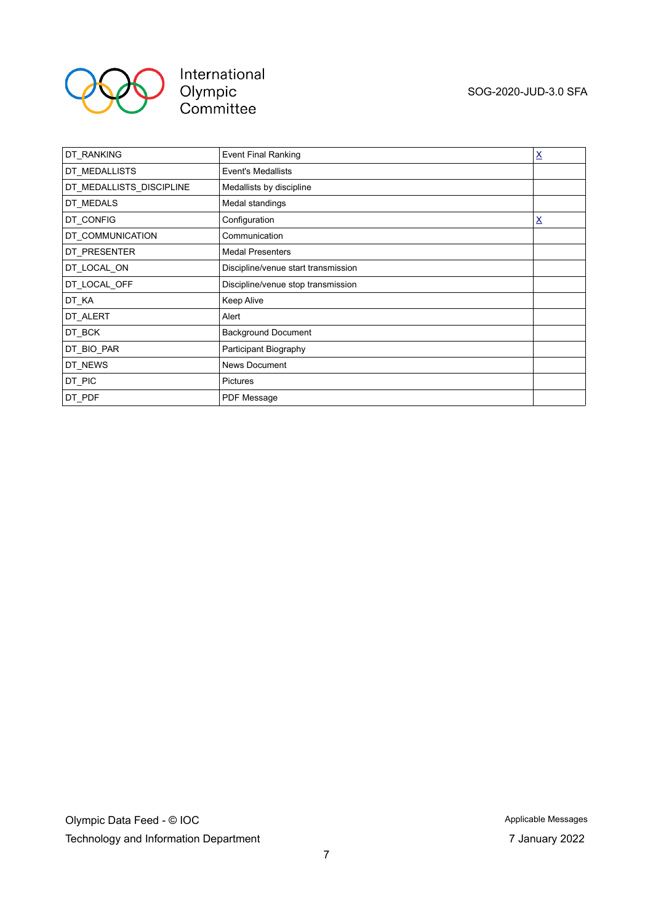

| DT RANKING               | $\underline{X}$<br><b>Event Final Ranking</b> |                         |  |
|--------------------------|-----------------------------------------------|-------------------------|--|
| DT MEDALLISTS            | <b>Event's Medallists</b>                     |                         |  |
| DT_MEDALLISTS_DISCIPLINE | Medallists by discipline                      |                         |  |
| DT_MEDALS                | Medal standings                               |                         |  |
| DT_CONFIG                | Configuration                                 | $\overline{\mathbf{X}}$ |  |
| DT_COMMUNICATION         | Communication                                 |                         |  |
| DT PRESENTER             | <b>Medal Presenters</b>                       |                         |  |
| DT_LOCAL_ON              | Discipline/venue start transmission           |                         |  |
| DT_LOCAL_OFF             | Discipline/venue stop transmission            |                         |  |
| DT_KA                    | <b>Keep Alive</b>                             |                         |  |
| DT_ALERT                 | Alert                                         |                         |  |
| DT_BCK                   | <b>Background Document</b>                    |                         |  |
| DT_BIO_PAR               | Participant Biography                         |                         |  |
| DT NEWS                  | News Document                                 |                         |  |
| DT PIC                   | <b>Pictures</b>                               |                         |  |
| DT_PDF                   | PDF Message                                   |                         |  |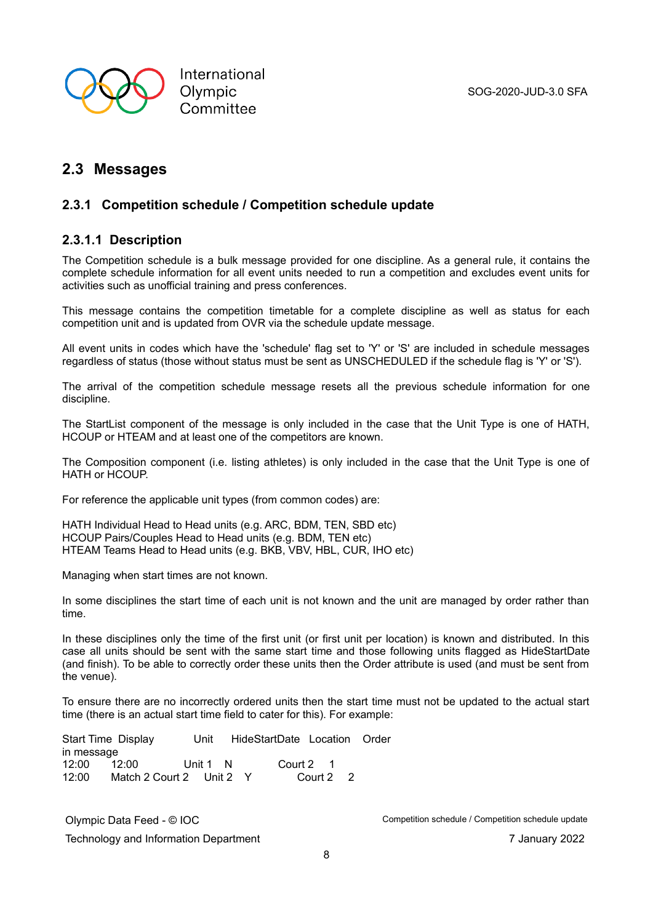



### <span id="page-7-2"></span>**2.3 Messages**

#### <span id="page-7-1"></span>**2.3.1 Competition schedule / Competition schedule update**

#### <span id="page-7-0"></span>**2.3.1.1 Description**

The Competition schedule is a bulk message provided for one discipline. As a general rule, it contains the complete schedule information for all event units needed to run a competition and excludes event units for activities such as unofficial training and press conferences.

This message contains the competition timetable for a complete discipline as well as status for each competition unit and is updated from OVR via the schedule update message.

All event units in codes which have the 'schedule' flag set to 'Y' or 'S' are included in schedule messages regardless of status (those without status must be sent as UNSCHEDULED if the schedule flag is 'Y' or 'S').

The arrival of the competition schedule message resets all the previous schedule information for one discipline.

The StartList component of the message is only included in the case that the Unit Type is one of HATH, HCOUP or HTEAM and at least one of the competitors are known.

The Composition component (i.e. listing athletes) is only included in the case that the Unit Type is one of HATH or HCOUP.

For reference the applicable unit types (from common codes) are:

HATH Individual Head to Head units (e.g. ARC, BDM, TEN, SBD etc) HCOUP Pairs/Couples Head to Head units (e.g. BDM, TEN etc) HTEAM Teams Head to Head units (e.g. BKB, VBV, HBL, CUR, IHO etc)

Managing when start times are not known.

In some disciplines the start time of each unit is not known and the unit are managed by order rather than time.

In these disciplines only the time of the first unit (or first unit per location) is known and distributed. In this case all units should be sent with the same start time and those following units flagged as HideStartDate (and finish). To be able to correctly order these units then the Order attribute is used (and must be sent from the venue).

To ensure there are no incorrectly ordered units then the start time must not be updated to the actual start time (there is an actual start time field to cater for this). For example:

|            | Start Time Display     |          | Unit | HideStartDate Location Order |           |           |  |
|------------|------------------------|----------|------|------------------------------|-----------|-----------|--|
| in message |                        |          |      |                              |           |           |  |
| 12:00      | 12:00                  | Unit 1 N |      |                              | Court 2 1 |           |  |
| 12:00      | Match 2 Court 2 Unit 2 |          |      |                              |           | Court 2 2 |  |

Olympic Data Feed - © IOC COMPETITION Competition schedule / Competition schedule update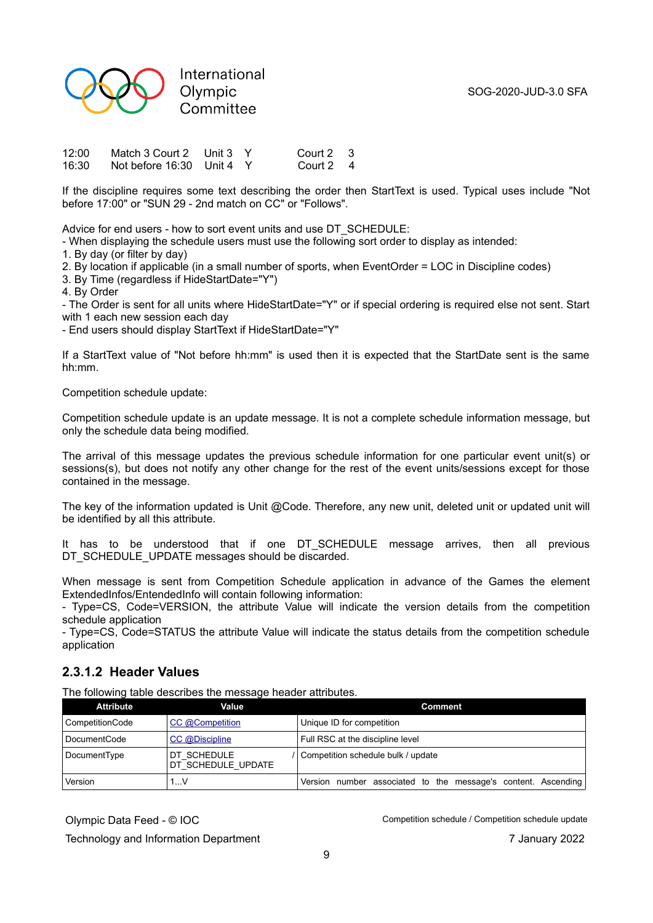

| 12:00 | Match 3 Court 2 Unit 3    |  | Court 2 3 |  |
|-------|---------------------------|--|-----------|--|
| 16:30 | Not before 16:30 Unit 4 Y |  | Court 2 4 |  |

If the discipline requires some text describing the order then StartText is used. Typical uses include "Not before 17:00" or "SUN 29 - 2nd match on CC" or "Follows".

Advice for end users - how to sort event units and use DT\_SCHEDULE:

- When displaying the schedule users must use the following sort order to display as intended:

1. By day (or filter by day)

2. By location if applicable (in a small number of sports, when EventOrder = LOC in Discipline codes)

3. By Time (regardless if HideStartDate="Y")

4. By Order

- The Order is sent for all units where HideStartDate="Y" or if special ordering is required else not sent. Start with 1 each new session each day

- End users should display StartText if HideStartDate="Y"

If a StartText value of "Not before hh:mm" is used then it is expected that the StartDate sent is the same hh:mm.

Competition schedule update:

Competition schedule update is an update message. It is not a complete schedule information message, but only the schedule data being modified.

The arrival of this message updates the previous schedule information for one particular event unit(s) or sessions(s), but does not notify any other change for the rest of the event units/sessions except for those contained in the message.

The key of the information updated is Unit @Code. Therefore, any new unit, deleted unit or updated unit will be identified by all this attribute.

It has to be understood that if one DT\_SCHEDULE message arrives, then all previous DT\_SCHEDULE\_UPDATE messages should be discarded.

When message is sent from Competition Schedule application in advance of the Games the element ExtendedInfos/EntendedInfo will contain following information:

- Type=CS, Code=VERSION, the attribute Value will indicate the version details from the competition schedule application

- Type=CS, Code=STATUS the attribute Value will indicate the status details from the competition schedule application

#### <span id="page-8-0"></span>**2.3.1.2 Header Values**

The following table describes the message header attributes.

| <b>Attribute</b> | Value                             | <b>Comment</b>                                                |
|------------------|-----------------------------------|---------------------------------------------------------------|
| CompetitionCode  | CC @Competition                   | Unique ID for competition                                     |
| DocumentCode     | CC @Discipline                    | Full RSC at the discipline level                              |
| DocumentType     | DT SCHEDULE<br>DT SCHEDULE UPDATE | Competition schedule bulk / update                            |
| Version          | 1V                                | Version number associated to the message's content. Ascending |

Technology and Information Department 7 January 2022

Olympic Data Feed - © IOC COMPETED SCOMPETION SCHEDULE Competition schedule / Competition schedule update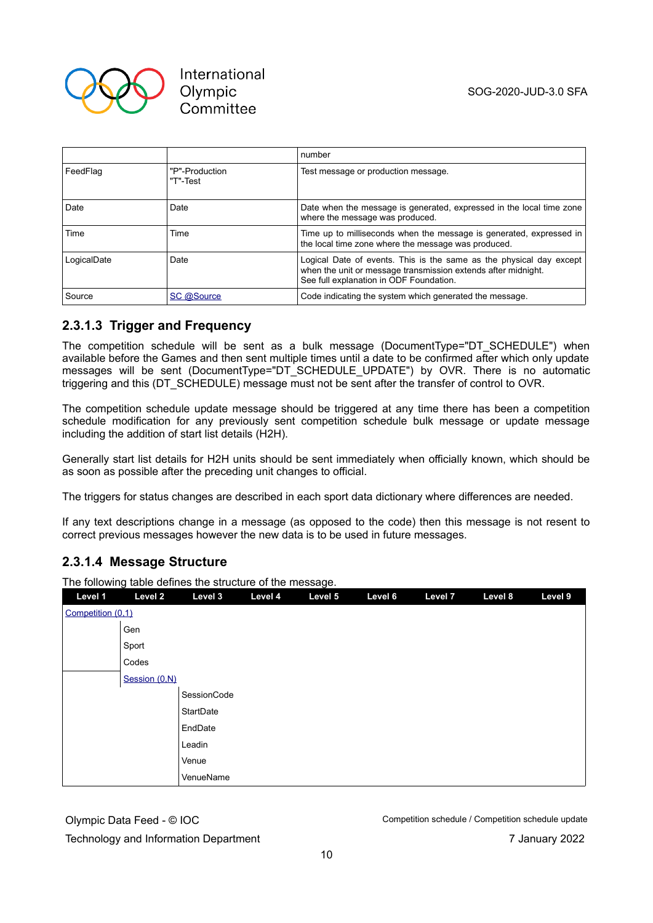

|             |                            | number                                                                                                                                                                          |
|-------------|----------------------------|---------------------------------------------------------------------------------------------------------------------------------------------------------------------------------|
| FeedFlag    | "P"-Production<br>"T"-Test | Test message or production message.                                                                                                                                             |
| Date        | Date                       | Date when the message is generated, expressed in the local time zone<br>where the message was produced.                                                                         |
| Time        | Time                       | Time up to milliseconds when the message is generated, expressed in<br>the local time zone where the message was produced.                                                      |
| LogicalDate | Date                       | Logical Date of events. This is the same as the physical day except<br>when the unit or message transmission extends after midnight.<br>See full explanation in ODF Foundation. |
| Source      | SC @Source                 | Code indicating the system which generated the message.                                                                                                                         |

#### <span id="page-9-1"></span>**2.3.1.3 Trigger and Frequency**

The competition schedule will be sent as a bulk message (DocumentType="DT SCHEDULE") when available before the Games and then sent multiple times until a date to be confirmed after which only update messages will be sent (DocumentType="DT SCHEDULE UPDATE") by OVR. There is no automatic triggering and this (DT\_SCHEDULE) message must not be sent after the transfer of control to OVR.

The competition schedule update message should be triggered at any time there has been a competition schedule modification for any previously sent competition schedule bulk message or update message including the addition of start list details (H2H).

Generally start list details for H2H units should be sent immediately when officially known, which should be as soon as possible after the preceding unit changes to official.

The triggers for status changes are described in each sport data dictionary where differences are needed.

If any text descriptions change in a message (as opposed to the code) then this message is not resent to correct previous messages however the new data is to be used in future messages.

#### <span id="page-9-0"></span>**2.3.1.4 Message Structure**

The following table defines the structure of the message.

| Level 1           | Level 2       | Level 3     | Level 4 | Level 5 | Level 6 | Level 7 | Level 8 | Level 9 |
|-------------------|---------------|-------------|---------|---------|---------|---------|---------|---------|
| Competition (0,1) |               |             |         |         |         |         |         |         |
|                   | Gen           |             |         |         |         |         |         |         |
|                   | Sport         |             |         |         |         |         |         |         |
|                   | Codes         |             |         |         |         |         |         |         |
|                   | Session (0,N) |             |         |         |         |         |         |         |
|                   |               | SessionCode |         |         |         |         |         |         |
|                   |               | StartDate   |         |         |         |         |         |         |
|                   |               | EndDate     |         |         |         |         |         |         |
|                   |               | Leadin      |         |         |         |         |         |         |
|                   |               | Venue       |         |         |         |         |         |         |
|                   |               | VenueName   |         |         |         |         |         |         |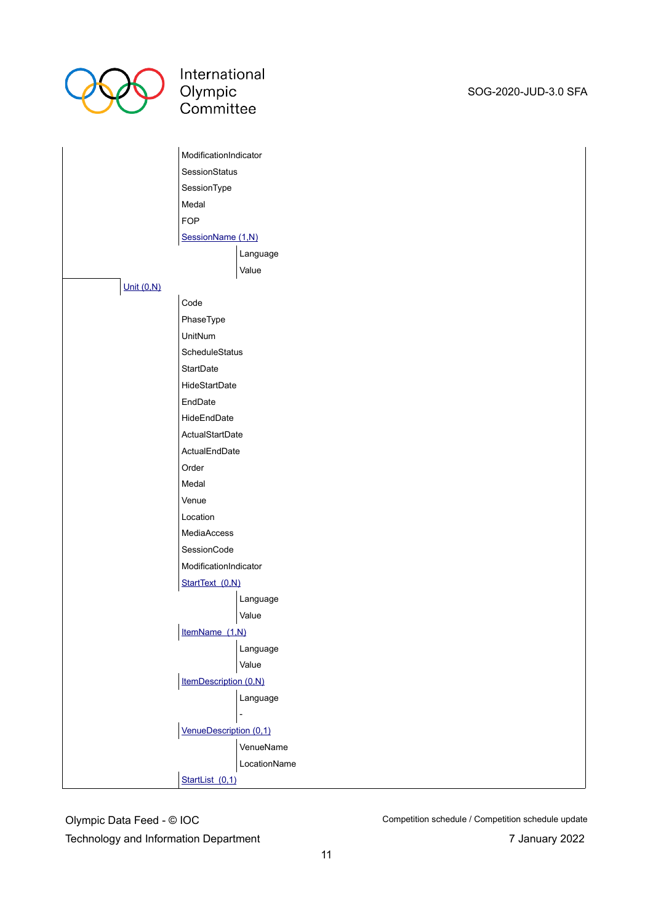

#### SOG-2020-JUD-3.0 SFA

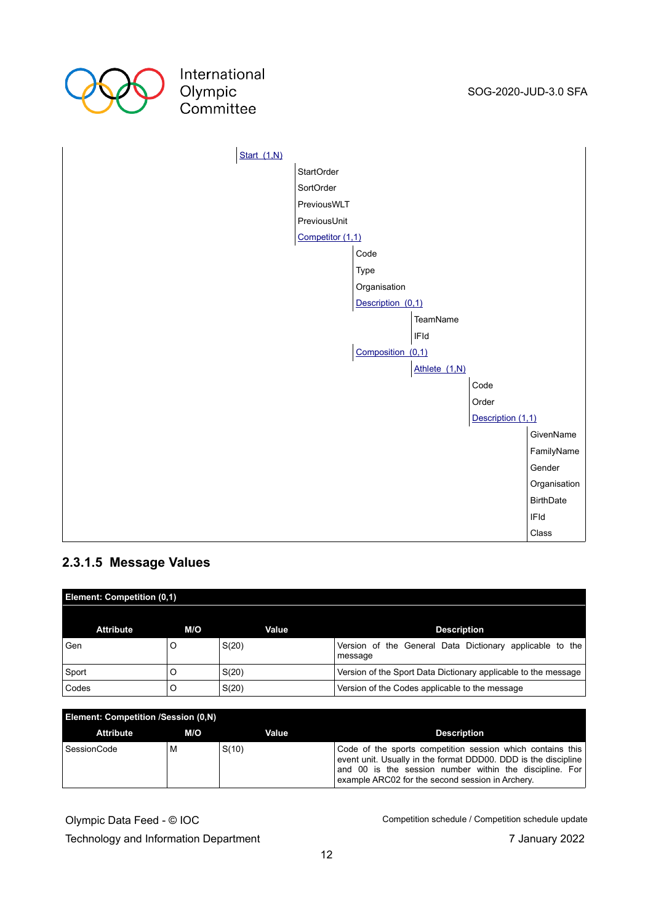



### <span id="page-11-0"></span>**2.3.1.5 Message Values**

<span id="page-11-2"></span>

| Element: Competition (0,1) |     |       |                                                                     |  |  |  |  |  |
|----------------------------|-----|-------|---------------------------------------------------------------------|--|--|--|--|--|
| <b>Attribute</b>           | M/O | Value | <b>Description</b>                                                  |  |  |  |  |  |
| Gen                        |     | S(20) | Version of the General Data Dictionary applicable to the<br>message |  |  |  |  |  |
| Sport                      |     | S(20) | Version of the Sport Data Dictionary applicable to the message      |  |  |  |  |  |
| Codes                      |     | S(20) | Version of the Codes applicable to the message                      |  |  |  |  |  |

<span id="page-11-1"></span>

| <b>Element: Competition /Session (0,N)</b> |     |       |                                                                                                                                                                                                                                             |  |  |  |  |
|--------------------------------------------|-----|-------|---------------------------------------------------------------------------------------------------------------------------------------------------------------------------------------------------------------------------------------------|--|--|--|--|
| <b>Attribute</b>                           | M/O | Value | <b>Description</b>                                                                                                                                                                                                                          |  |  |  |  |
| SessionCode                                | м   | S(10) | Code of the sports competition session which contains this<br>event unit. Usually in the format DDD00. DDD is the discipline<br>and 00 is the session number within the discipline. For<br>example ARC02 for the second session in Archery. |  |  |  |  |

Technology and Information Department 7 January 2022

Olympic Data Feed - © IOC COM Competition schedule / Competition schedule update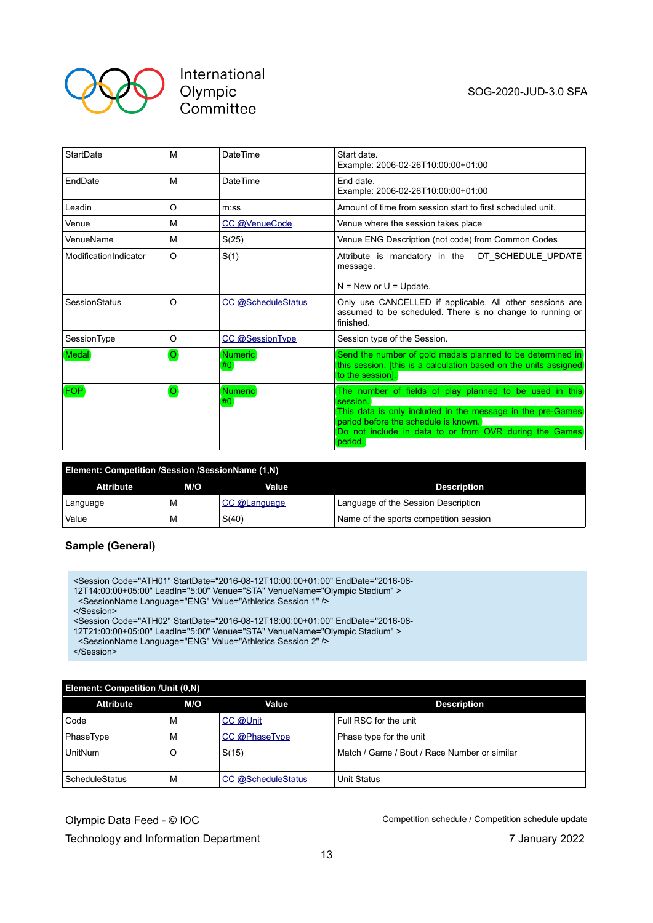

#### SOG-2020-JUD-3.0 SFA

| StartDate             | м              | DateTime              | Start date.<br>Example: 2006-02-26T10:00:00+01:00                                                                                                                                                                                              |
|-----------------------|----------------|-----------------------|------------------------------------------------------------------------------------------------------------------------------------------------------------------------------------------------------------------------------------------------|
| EndDate               | M              | DateTime              | End date.<br>Example: 2006-02-26T10:00:00+01:00                                                                                                                                                                                                |
| Leadin                | O              | m:ss                  | Amount of time from session start to first scheduled unit.                                                                                                                                                                                     |
| Venue                 | м              | CC @VenueCode         | Venue where the session takes place                                                                                                                                                                                                            |
| VenueName             | м              | S(25)                 | Venue ENG Description (not code) from Common Codes                                                                                                                                                                                             |
| ModificationIndicator | O              | S(1)                  | Attribute is mandatory in the<br>DT SCHEDULE UPDATE<br>message.                                                                                                                                                                                |
|                       |                |                       | $N = New$ or $U = Update$ .                                                                                                                                                                                                                    |
| SessionStatus         | O              | CC @ScheduleStatus    | Only use CANCELLED if applicable. All other sessions are<br>assumed to be scheduled. There is no change to running or<br>finished.                                                                                                             |
| SessionType           | O              | CC @SessionType       | Session type of the Session.                                                                                                                                                                                                                   |
| <b>Medal</b>          | $\overline{O}$ | <b>Numeric</b><br>#0) | Send the number of gold medals planned to be determined in<br>this session. [this is a calculation based on the units assigned]<br>to the session].                                                                                            |
| FOP <sup>1</sup>      | $\overline{O}$ | <b>Numeric</b><br>#0  | The number of fields of play planned to be used in this<br>session.<br>This data is only included in the message in the pre-Games<br>period before the schedule is known.<br>Do not include in data to or from OVR during the Games<br>period. |

<span id="page-12-1"></span>

| Element: Competition /Session /SessionName (1,N) |     |              |                                        |
|--------------------------------------------------|-----|--------------|----------------------------------------|
| <b>Attribute</b>                                 | M/O | Value        | <b>Description</b>                     |
| Language                                         | M   | CC @Language | Language of the Session Description    |
| Value                                            | M   | S(40)        | Name of the sports competition session |

#### **Sample (General)**

<Session Code="ATH01" StartDate="2016-08-12T10:00:00+01:00" EndDate="2016-08-

- 12T14:00:00+05:00" LeadIn="5:00" Venue="STA" VenueName="Olympic Stadium" >
- <SessionName Language="ENG" Value="Athletics Session 1" />
- </Session>
- <Session Code="ATH02" StartDate="2016-08-12T18:00:00+01:00" EndDate="2016-08-
- 12T21:00:00+05:00" LeadIn="5:00" Venue="STA" VenueName="Olympic Stadium" >
- <SessionName Language="ENG" Value="Athletics Session 2" />

</Session>

<span id="page-12-0"></span>

| <b>Element: Competition / Unit (0,N)</b> |     |                    |                                              |  |
|------------------------------------------|-----|--------------------|----------------------------------------------|--|
| <b>Attribute</b>                         | M/O | Value              | <b>Description</b>                           |  |
| Code                                     | м   | CC @Unit           | Full RSC for the unit                        |  |
| PhaseType                                | M   | CC @PhaseType      | Phase type for the unit                      |  |
| <b>UnitNum</b>                           | O   | S(15)              | Match / Game / Bout / Race Number or similar |  |
| ScheduleStatus                           | M   | CC @ScheduleStatus | <b>Unit Status</b>                           |  |

#### Olympic Data Feed - © IOC COMPUTE: Competition schedule / Competition schedule update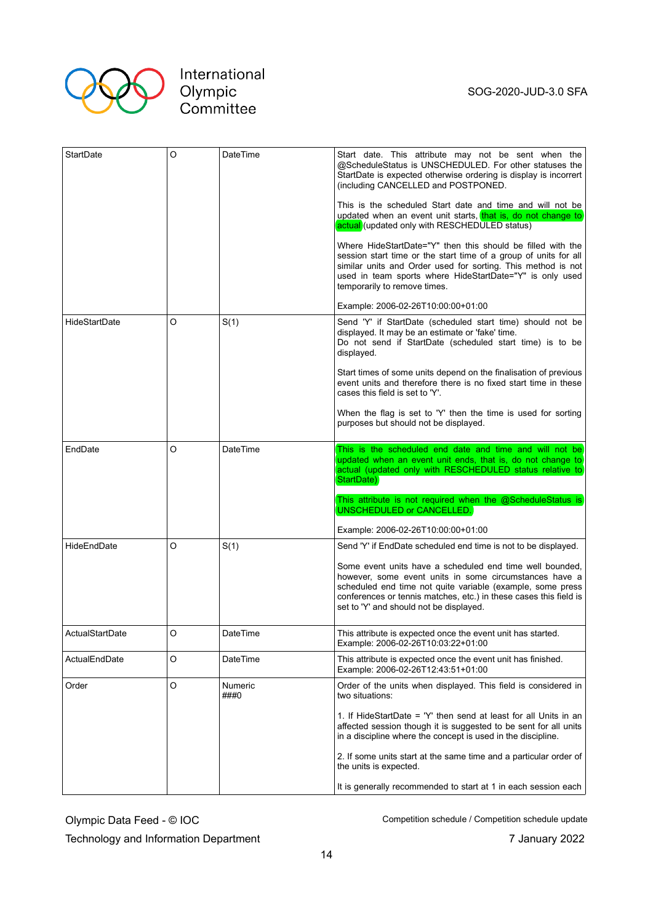

#### SOG-2020-JUD-3.0 SFA

| <b>StartDate</b>       | O | <b>DateTime</b> | Start date. This attribute may not be sent when the<br>@ScheduleStatus is UNSCHEDULED. For other statuses the<br>StartDate is expected otherwise ordering is display is incorrert<br>(including CANCELLED and POSTPONED.                                                                         |
|------------------------|---|-----------------|--------------------------------------------------------------------------------------------------------------------------------------------------------------------------------------------------------------------------------------------------------------------------------------------------|
|                        |   |                 | This is the scheduled Start date and time and will not be<br>updated when an event unit starts, that is, do not change to<br>actual (updated only with RESCHEDULED status)                                                                                                                       |
|                        |   |                 | Where HideStartDate="Y" then this should be filled with the<br>session start time or the start time of a group of units for all<br>similar units and Order used for sorting. This method is not<br>used in team sports where HideStartDate="Y" is only used<br>temporarily to remove times.      |
|                        |   |                 | Example: 2006-02-26T10:00:00+01:00                                                                                                                                                                                                                                                               |
| HideStartDate          | O | S(1)            | Send 'Y' if StartDate (scheduled start time) should not be<br>displayed. It may be an estimate or 'fake' time.<br>Do not send if StartDate (scheduled start time) is to be<br>displayed.                                                                                                         |
|                        |   |                 | Start times of some units depend on the finalisation of previous<br>event units and therefore there is no fixed start time in these<br>cases this field is set to 'Y'.                                                                                                                           |
|                        |   |                 | When the flag is set to 'Y' then the time is used for sorting<br>purposes but should not be displayed.                                                                                                                                                                                           |
| EndDate                | O | DateTime        | This is the scheduled end date and time and will not be<br>updated when an event unit ends, that is, do not change to<br>actual (updated only with RESCHEDULED status relative to<br>StartDate)                                                                                                  |
|                        |   |                 | This attribute is not required when the @ScheduleStatus is<br>UNSCHEDULED or CANCELLED.                                                                                                                                                                                                          |
|                        |   |                 | Example: 2006-02-26T10:00:00+01:00                                                                                                                                                                                                                                                               |
| HideEndDate            | O | S(1)            | Send 'Y' if EndDate scheduled end time is not to be displayed.                                                                                                                                                                                                                                   |
|                        |   |                 | Some event units have a scheduled end time well bounded,<br>however, some event units in some circumstances have a<br>scheduled end time not quite variable (example, some press<br>conferences or tennis matches, etc.) in these cases this field is<br>set to 'Y' and should not be displayed. |
| <b>ActualStartDate</b> | O | <b>DateTime</b> | This attribute is expected once the event unit has started.<br>Example: 2006-02-26T10:03:22+01:00                                                                                                                                                                                                |
| ActualEndDate          | O | <b>DateTime</b> | This attribute is expected once the event unit has finished.<br>Example: 2006-02-26T12:43:51+01:00                                                                                                                                                                                               |
| Order                  | O | Numeric<br>###0 | Order of the units when displayed. This field is considered in<br>two situations:                                                                                                                                                                                                                |
|                        |   |                 | 1. If HideStartDate = 'Y' then send at least for all Units in an<br>affected session though it is suggested to be sent for all units<br>in a discipline where the concept is used in the discipline.                                                                                             |
|                        |   |                 | 2. If some units start at the same time and a particular order of<br>the units is expected.                                                                                                                                                                                                      |
|                        |   |                 | It is generally recommended to start at 1 in each session each                                                                                                                                                                                                                                   |

Olympic Data Feed - © IOC COMPETITION Competition schedule / Competition schedule update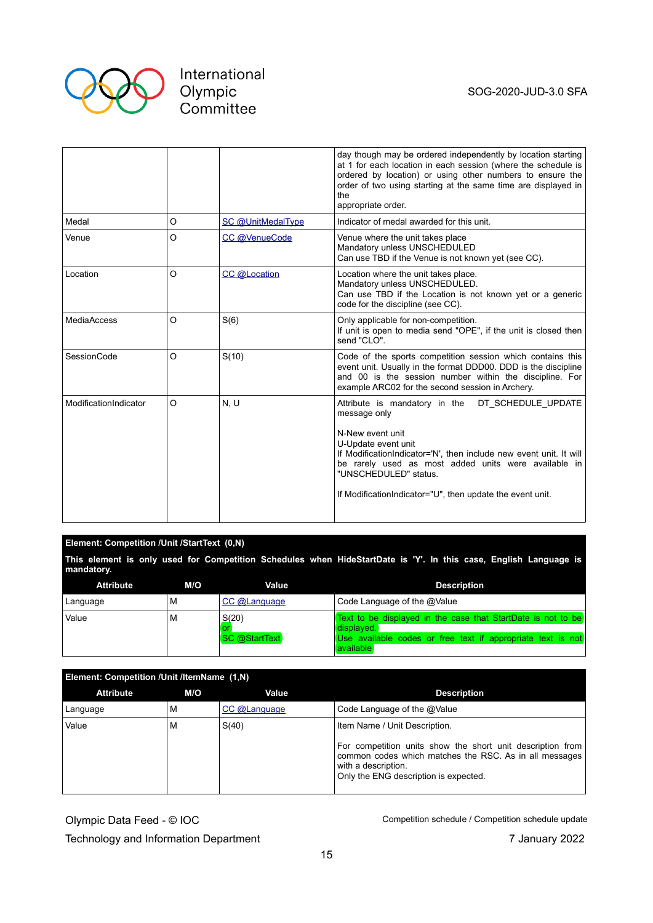

|                       |          |                   | day though may be ordered independently by location starting<br>at 1 for each location in each session (where the schedule is<br>ordered by location) or using other numbers to ensure the<br>order of two using starting at the same time are displayed in<br>the<br>appropriate order.                                             |
|-----------------------|----------|-------------------|--------------------------------------------------------------------------------------------------------------------------------------------------------------------------------------------------------------------------------------------------------------------------------------------------------------------------------------|
| Medal                 | O        | SC @UnitMedalType | Indicator of medal awarded for this unit.                                                                                                                                                                                                                                                                                            |
| Venue                 | O        | CC @VenueCode     | Venue where the unit takes place<br>Mandatory unless UNSCHEDULED<br>Can use TBD if the Venue is not known yet (see CC).                                                                                                                                                                                                              |
| Location              | $\Omega$ | CC @Location      | Location where the unit takes place.<br>Mandatory unless UNSCHEDULED.<br>Can use TBD if the Location is not known yet or a generic<br>code for the discipline (see CC).                                                                                                                                                              |
| MediaAccess           | O        | S(6)              | Only applicable for non-competition.<br>If unit is open to media send "OPE", if the unit is closed then<br>send "CLO".                                                                                                                                                                                                               |
| SessionCode           | O        | S(10)             | Code of the sports competition session which contains this<br>event unit. Usually in the format DDD00. DDD is the discipline<br>and 00 is the session number within the discipline. For<br>example ARC02 for the second session in Archery.                                                                                          |
| ModificationIndicator | O        | N, U              | Attribute is mandatory in the<br>DT SCHEDULE UPDATE<br>message only<br>N-New event unit<br>U-Update event unit<br>If Modification Indicator='N', then include new event unit. It will<br>be rarely used as most added units were available in<br>"UNSCHEDULED" status.<br>If Modification Indicator="U", then update the event unit. |

#### <span id="page-14-1"></span>**Element: Competition /Unit /StartText (0,N)**

**This element is only used for Competition Schedules when HideStartDate is 'Y'. In this case, English Language is mandatory.**

| <b>Attribute</b> | M/O | Value                         | <b>Description</b>                                                                                                                                     |
|------------------|-----|-------------------------------|--------------------------------------------------------------------------------------------------------------------------------------------------------|
| Language         | М   | CC @Language                  | Code Language of the @Value                                                                                                                            |
| Value            | м   | S(20)<br><b>SC @StartText</b> | Text to be displayed in the case that StartDate is not to be<br>displayed.<br>Use available codes or free text if appropriate text is not<br>available |

<span id="page-14-0"></span>

| Element: Competition / Unit / ItemName (1,N) |     |              |                                                                                                                                                                                      |
|----------------------------------------------|-----|--------------|--------------------------------------------------------------------------------------------------------------------------------------------------------------------------------------|
| <b>Attribute</b>                             | M/O | Value        | <b>Description</b>                                                                                                                                                                   |
| Language                                     | м   | CC @Language | Code Language of the @Value                                                                                                                                                          |
| Value                                        | м   | S(40)        | Item Name / Unit Description.                                                                                                                                                        |
|                                              |     |              | For competition units show the short unit description from<br>common codes which matches the RSC. As in all messages<br>with a description.<br>Only the ENG description is expected. |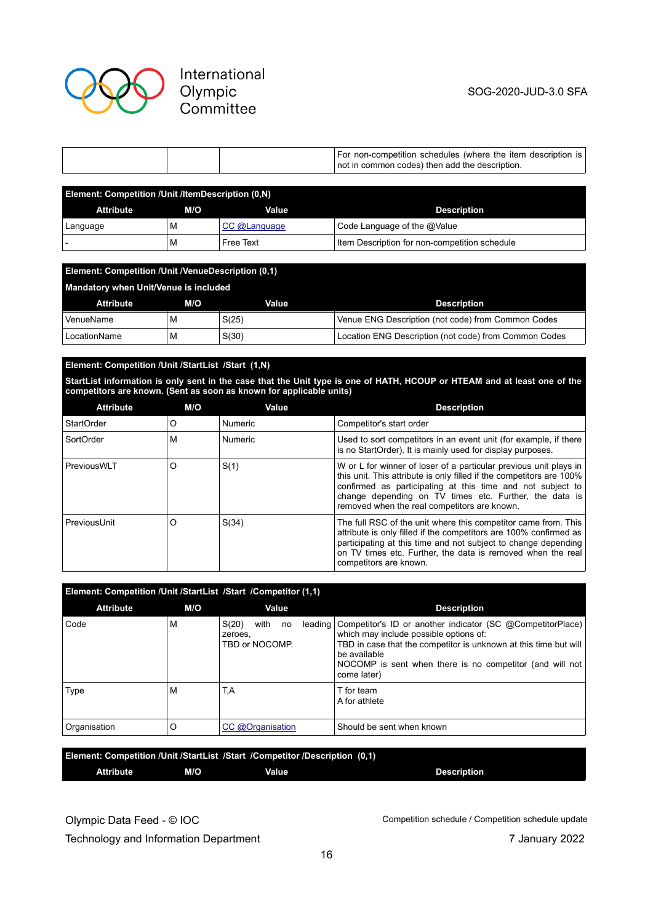

| For non-competition schedules (where the item description is<br>I not in common codes) then add the description. |
|------------------------------------------------------------------------------------------------------------------|
|------------------------------------------------------------------------------------------------------------------|

<span id="page-15-1"></span>

| <b>Element: Competition / Unit / Item Description (0,N)</b> |     |              |                                               |
|-------------------------------------------------------------|-----|--------------|-----------------------------------------------|
| <b>Attribute</b>                                            | M/O | Value        | <b>Description</b>                            |
| Language                                                    | м   | CC @Language | Code Language of the @Value                   |
|                                                             | м   | Free Text    | Item Description for non-competition schedule |

<span id="page-15-0"></span>

| <b>Element: Competition /Unit /VenueDescription (0,1)</b> |     |       |                                                       |
|-----------------------------------------------------------|-----|-------|-------------------------------------------------------|
| Mandatory when Unit/Venue is included                     |     |       |                                                       |
| <b>Attribute</b>                                          | M/O | Value | <b>Description</b>                                    |
| VenueName                                                 | м   | S(25) | Venue ENG Description (not code) from Common Codes    |
| LocationName                                              | м   | S(30) | Location ENG Description (not code) from Common Codes |

<span id="page-15-4"></span>

| Element: Competition /Unit /StartList /Start (1,N) |  |  |
|----------------------------------------------------|--|--|
|                                                    |  |  |

**StartList information is only sent in the case that the Unit type is one of HATH, HCOUP or HTEAM and at least one of the competitors are known. (Sent as soon as known for applicable units)**

| <b>Attribute</b>  | M/O | Value          | <b>Description</b>                                                                                                                                                                                                                                                                                                |
|-------------------|-----|----------------|-------------------------------------------------------------------------------------------------------------------------------------------------------------------------------------------------------------------------------------------------------------------------------------------------------------------|
| <b>StartOrder</b> | O   | <b>Numeric</b> | Competitor's start order                                                                                                                                                                                                                                                                                          |
| SortOrder         | м   | <b>Numeric</b> | Used to sort competitors in an event unit (for example, if there<br>is no StartOrder). It is mainly used for display purposes.                                                                                                                                                                                    |
| PreviousWLT       | O   | S(1)           | W or L for winner of loser of a particular previous unit plays in<br>this unit. This attribute is only filled if the competitors are 100%<br>confirmed as participating at this time and not subject to<br>change depending on TV times etc. Further, the data is<br>removed when the real competitors are known. |
| PreviousUnit      | O   | S(34)          | The full RSC of the unit where this competitor came from. This<br>attribute is only filled if the competitors are 100% confirmed as<br>participating at this time and not subject to change depending<br>on TV times etc. Further, the data is removed when the real<br>competitors are known.                    |

<span id="page-15-3"></span>

|                  |     | Element: Competition / Unit / Start List / Start / Competitor (1.1) |                                                                                                                                                                                                                                                                                |
|------------------|-----|---------------------------------------------------------------------|--------------------------------------------------------------------------------------------------------------------------------------------------------------------------------------------------------------------------------------------------------------------------------|
| <b>Attribute</b> | M/O | Value                                                               | <b>Description</b>                                                                                                                                                                                                                                                             |
| Code             | М   | S(20)<br>with<br>no<br>zeroes.<br>TBD or NOCOMP.                    | leading Competitor's ID or another indicator (SC $@$ CompetitorPlace)<br>which may include possible options of:<br>TBD in case that the competitor is unknown at this time but will<br>be available<br>NOCOMP is sent when there is no competitor (and will not<br>come later) |
| Type             | м   | T,A                                                                 | T for team<br>A for athlete                                                                                                                                                                                                                                                    |
| Organisation     | O   | CC @Organisation                                                    | Should be sent when known                                                                                                                                                                                                                                                      |

<span id="page-15-2"></span>

|                  |     | Element: Competition /Unit /StartList /Start /Competitor /Description (0,1) |             |
|------------------|-----|-----------------------------------------------------------------------------|-------------|
| <b>Attribute</b> | M/O | Value                                                                       | Description |

Olympic Data Feed - © IOC COMPUTE: Competition schedule / Competition schedule update Technology and Information Department 7 January 2022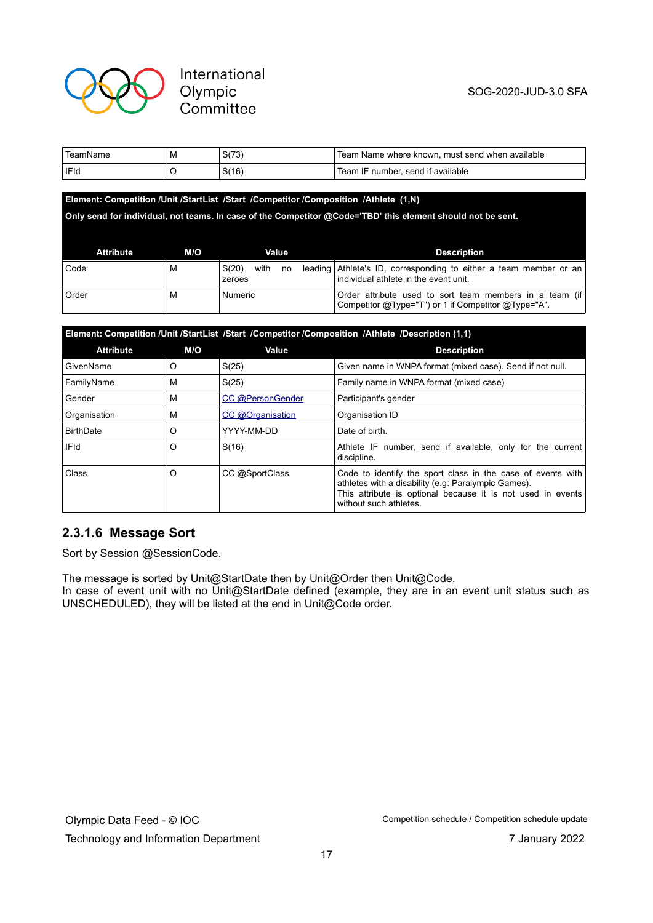

| TeamName | <b>IVI</b> | 7/70  | <sup>1</sup> Name where known, must send when available<br>Team |
|----------|------------|-------|-----------------------------------------------------------------|
| ' IFIo   |            | S(16) | <sup>1</sup> Team IF number, send if available                  |

#### <span id="page-16-2"></span>**Element: Competition /Unit /StartList /Start /Competitor /Composition /Athlete (1,N)**

**Only send for individual, not teams. In case of the Competitor @Code='TBD' this element should not be sent.**

| <b>Attribute</b> | M/O | Value                         | <b>Description</b>                                                                                              |
|------------------|-----|-------------------------------|-----------------------------------------------------------------------------------------------------------------|
| Code             | M   | S(20)<br>with<br>no<br>zeroes | leading Athlete's ID, corresponding to either a team member or an<br>individual athlete in the event unit.      |
| Order            | M   | Numeric                       | Order attribute used to sort team members in a team (if)<br>Competitor @Type="T") or 1 if Competitor @Type="A". |

<span id="page-16-1"></span>

| Element: Competition /Unit /StartList /Start /Competitor /Composition /Athlete /Description (1,1) |     |                  |                                                                                                                                                                                                             |  |  |  |  |
|---------------------------------------------------------------------------------------------------|-----|------------------|-------------------------------------------------------------------------------------------------------------------------------------------------------------------------------------------------------------|--|--|--|--|
| <b>Attribute</b>                                                                                  | M/O | Value            | <b>Description</b>                                                                                                                                                                                          |  |  |  |  |
| GivenName                                                                                         | O   | S(25)            | Given name in WNPA format (mixed case). Send if not null.                                                                                                                                                   |  |  |  |  |
| FamilyName                                                                                        | М   | S(25)            | Family name in WNPA format (mixed case)                                                                                                                                                                     |  |  |  |  |
| Gender                                                                                            | м   | CC @PersonGender | Participant's gender                                                                                                                                                                                        |  |  |  |  |
| Organisation                                                                                      | М   | CC @Organisation | Organisation ID                                                                                                                                                                                             |  |  |  |  |
| <b>BirthDate</b>                                                                                  | O   | YYYY-MM-DD       | Date of birth.                                                                                                                                                                                              |  |  |  |  |
| IFId                                                                                              | O   | S(16)            | Athlete IF number, send if available, only for the current<br>discipline.                                                                                                                                   |  |  |  |  |
| Class                                                                                             | O   | CC @SportClass   | Code to identify the sport class in the case of events with<br>athletes with a disability (e.g: Paralympic Games).<br>This attribute is optional because it is not used in events<br>without such athletes. |  |  |  |  |

#### <span id="page-16-0"></span>**2.3.1.6 Message Sort**

Sort by Session @SessionCode.

The message is sorted by Unit@StartDate then by Unit@Order then Unit@Code.

In case of event unit with no Unit@StartDate defined (example, they are in an event unit status such as UNSCHEDULED), they will be listed at the end in Unit@Code order.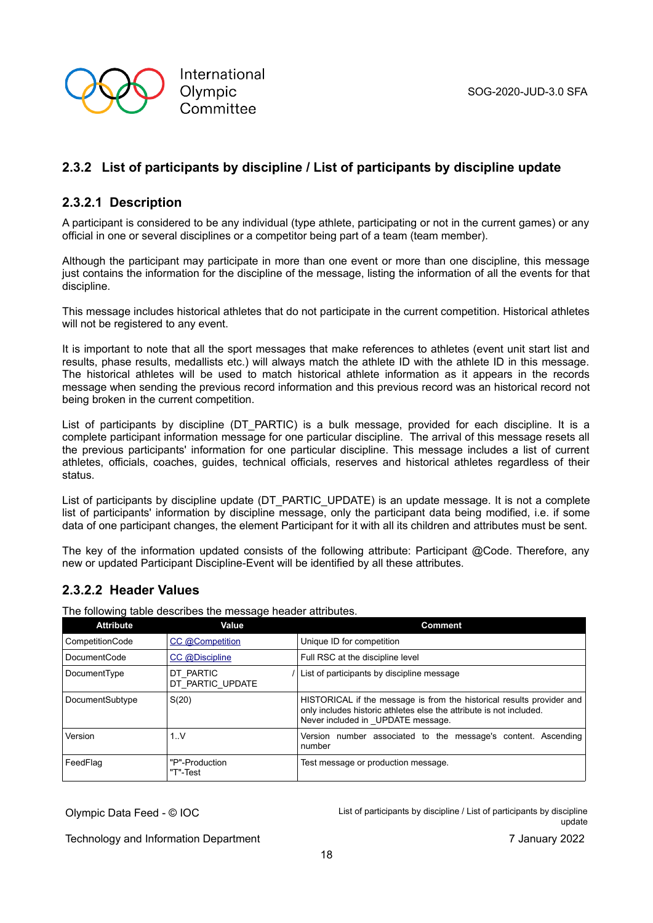



#### <span id="page-17-2"></span>**2.3.2 List of participants by discipline / List of participants by discipline update**

#### <span id="page-17-1"></span>**2.3.2.1 Description**

A participant is considered to be any individual (type athlete, participating or not in the current games) or any official in one or several disciplines or a competitor being part of a team (team member).

Although the participant may participate in more than one event or more than one discipline, this message just contains the information for the discipline of the message, listing the information of all the events for that discipline.

This message includes historical athletes that do not participate in the current competition. Historical athletes will not be registered to any event.

It is important to note that all the sport messages that make references to athletes (event unit start list and results, phase results, medallists etc.) will always match the athlete ID with the athlete ID in this message. The historical athletes will be used to match historical athlete information as it appears in the records message when sending the previous record information and this previous record was an historical record not being broken in the current competition.

List of participants by discipline (DT\_PARTIC) is a bulk message, provided for each discipline. It is a complete participant information message for one particular discipline. The arrival of this message resets all the previous participants' information for one particular discipline. This message includes a list of current athletes, officials, coaches, guides, technical officials, reserves and historical athletes regardless of their status.

List of participants by discipline update (DT\_PARTIC\_UPDATE) is an update message. It is not a complete list of participants' information by discipline message, only the participant data being modified, i.e. if some data of one participant changes, the element Participant for it with all its children and attributes must be sent.

The key of the information updated consists of the following attribute: Participant @Code. Therefore, any new or updated Participant Discipline-Event will be identified by all these attributes.

#### <span id="page-17-0"></span>**2.3.2.2 Header Values**

The following table describes the message header attributes.

| <b>Attribute</b> | Value                         | <b>Comment</b>                                                                                                                                                                    |
|------------------|-------------------------------|-----------------------------------------------------------------------------------------------------------------------------------------------------------------------------------|
| CompetitionCode  | CC @Competition               | Unique ID for competition                                                                                                                                                         |
| DocumentCode     | CC @Discipline                | Full RSC at the discipline level                                                                                                                                                  |
| DocumentType     | DT PARTIC<br>DT PARTIC UPDATE | List of participants by discipline message                                                                                                                                        |
| DocumentSubtype  | S(20)                         | HISTORICAL if the message is from the historical results provider and<br>only includes historic athletes else the attribute is not included.<br>Never included in UPDATE message. |
| Version          | 1.5V                          | Version number associated to the message's content. Ascending<br>number                                                                                                           |
| FeedFlag         | "P"-Production<br>"T"-Test    | Test message or production message.                                                                                                                                               |

Olympic Data Feed - © IOC List of participants by discipline / List of participants by discipline update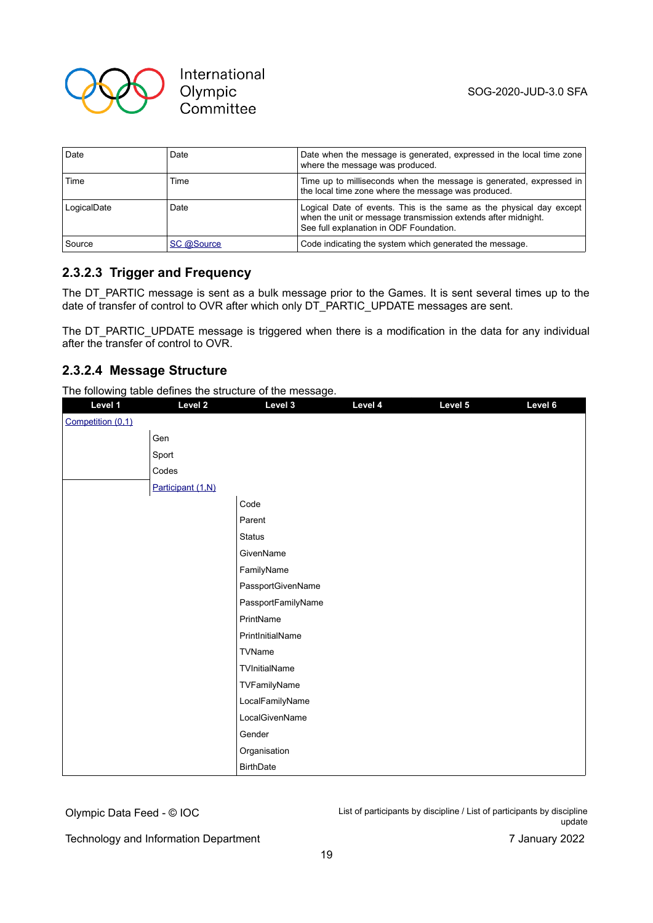

| Date        | Date       | Date when the message is generated, expressed in the local time zone<br>where the message was produced.                                                                         |
|-------------|------------|---------------------------------------------------------------------------------------------------------------------------------------------------------------------------------|
| Time        | Time       | Time up to milliseconds when the message is generated, expressed in<br>the local time zone where the message was produced.                                                      |
| LogicalDate | Date       | Logical Date of events. This is the same as the physical day except<br>when the unit or message transmission extends after midnight.<br>See full explanation in ODF Foundation. |
| Source      | SC @Source | Code indicating the system which generated the message.                                                                                                                         |

#### <span id="page-18-1"></span>**2.3.2.3 Trigger and Frequency**

The DT\_PARTIC message is sent as a bulk message prior to the Games. It is sent several times up to the date of transfer of control to OVR after which only DT\_PARTIC\_UPDATE messages are sent.

The DT\_PARTIC\_UPDATE message is triggered when there is a modification in the data for any individual after the transfer of control to OVR.

#### <span id="page-18-0"></span>**2.3.2.4 Message Structure**

The following table defines the structure of the message.

| Level 1           | Level 2           | Level 3            | Level 4 | Level 5 | Level 6 |
|-------------------|-------------------|--------------------|---------|---------|---------|
| Competition (0,1) |                   |                    |         |         |         |
|                   | Gen               |                    |         |         |         |
|                   | Sport             |                    |         |         |         |
|                   | Codes             |                    |         |         |         |
|                   | Participant (1,N) |                    |         |         |         |
|                   |                   | Code               |         |         |         |
|                   |                   | Parent             |         |         |         |
|                   |                   | <b>Status</b>      |         |         |         |
|                   |                   | GivenName          |         |         |         |
|                   |                   | FamilyName         |         |         |         |
|                   |                   | PassportGivenName  |         |         |         |
|                   |                   | PassportFamilyName |         |         |         |
|                   |                   | PrintName          |         |         |         |
|                   |                   | PrintlnitialName   |         |         |         |
|                   |                   | TVName             |         |         |         |
|                   |                   | TVInitialName      |         |         |         |
|                   |                   | TVFamilyName       |         |         |         |
|                   |                   | LocalFamilyName    |         |         |         |
|                   |                   | LocalGivenName     |         |         |         |
|                   |                   | Gender             |         |         |         |
|                   |                   | Organisation       |         |         |         |
|                   |                   | <b>BirthDate</b>   |         |         |         |

Olympic Data Feed - © IOC **List of participants by discipline** / List of participants by discipline update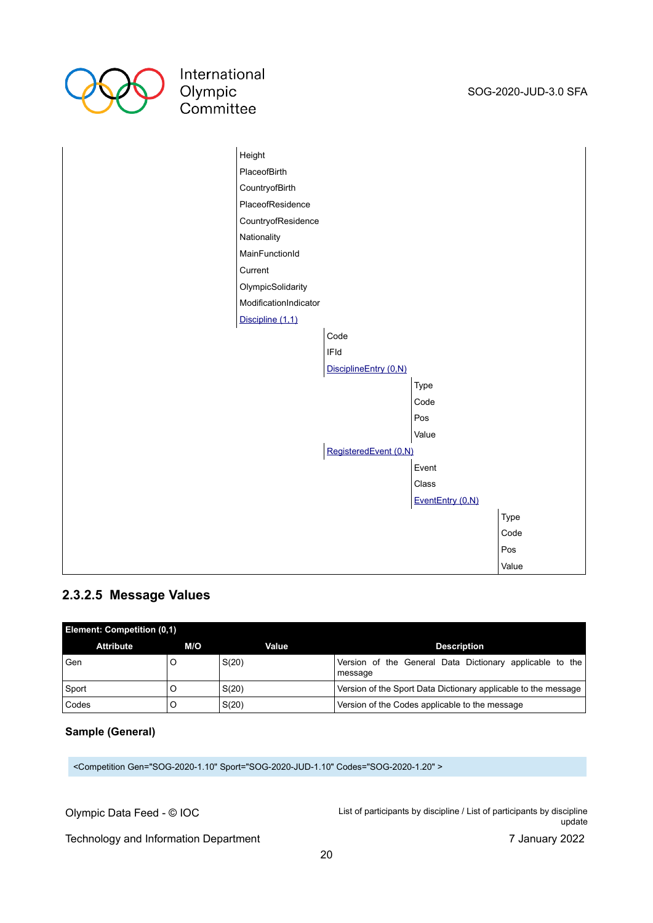



#### <span id="page-19-0"></span>**2.3.2.5 Message Values**

<span id="page-19-1"></span>

| <b>Element: Competition (0,1)</b> |     |       |                                                                     |  |  |  |  |
|-----------------------------------|-----|-------|---------------------------------------------------------------------|--|--|--|--|
| <b>Attribute</b>                  | M/O | Value | <b>Description</b>                                                  |  |  |  |  |
| Gen                               |     | S(20) | Version of the General Data Dictionary applicable to the<br>message |  |  |  |  |
| Sport                             |     | S(20) | Version of the Sport Data Dictionary applicable to the message      |  |  |  |  |
| Codes                             |     | S(20) | Version of the Codes applicable to the message                      |  |  |  |  |

#### **Sample (General)**

<Competition Gen="SOG-2020-1.10" Sport="SOG-2020-JUD-1.10" Codes="SOG-2020-1.20" >

Olympic Data Feed - © IOC List of participants by discipline / List of participants by discipline update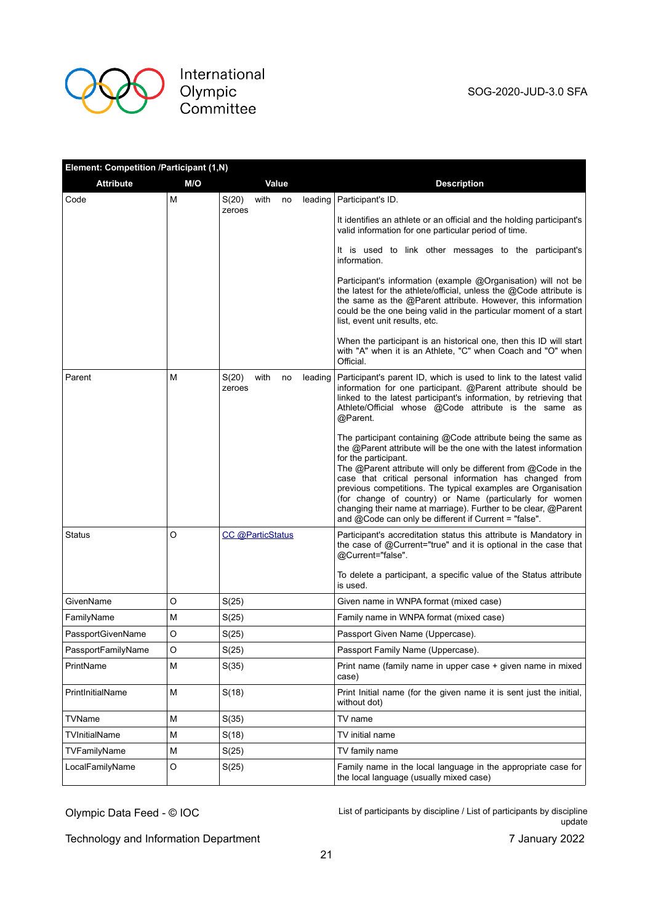

<span id="page-20-0"></span>

| <b>Element: Competition /Participant (1,N)</b> |         |                  |      |       |         |                                                                                                                                                                                                                                                                                                                                                                                                                                                                                                                                               |
|------------------------------------------------|---------|------------------|------|-------|---------|-----------------------------------------------------------------------------------------------------------------------------------------------------------------------------------------------------------------------------------------------------------------------------------------------------------------------------------------------------------------------------------------------------------------------------------------------------------------------------------------------------------------------------------------------|
| <b>Attribute</b>                               | M/O     |                  |      | Value |         | <b>Description</b>                                                                                                                                                                                                                                                                                                                                                                                                                                                                                                                            |
| Code                                           | М       | S(20)<br>zeroes  | with | no    |         | leading   Participant's ID.<br>It identifies an athlete or an official and the holding participant's<br>valid information for one particular period of time.                                                                                                                                                                                                                                                                                                                                                                                  |
|                                                |         |                  |      |       |         | It is used to link other messages to the participant's<br>information.                                                                                                                                                                                                                                                                                                                                                                                                                                                                        |
|                                                |         |                  |      |       |         | Participant's information (example @Organisation) will not be<br>the latest for the athlete/official, unless the @Code attribute is<br>the same as the @Parent attribute. However, this information<br>could be the one being valid in the particular moment of a start<br>list, event unit results, etc.                                                                                                                                                                                                                                     |
|                                                |         |                  |      |       |         | When the participant is an historical one, then this ID will start<br>with "A" when it is an Athlete, "C" when Coach and "O" when<br>Official.                                                                                                                                                                                                                                                                                                                                                                                                |
| Parent                                         | М       | S(20)<br>zeroes  | with | no    | leading | Participant's parent ID, which is used to link to the latest valid<br>information for one participant. @Parent attribute should be<br>linked to the latest participant's information, by retrieving that<br>Athlete/Official whose @Code attribute is the same as<br>@Parent.                                                                                                                                                                                                                                                                 |
|                                                |         |                  |      |       |         | The participant containing @Code attribute being the same as<br>the @Parent attribute will be the one with the latest information<br>for the participant.<br>The @Parent attribute will only be different from @Code in the<br>case that critical personal information has changed from<br>previous competitions. The typical examples are Organisation<br>(for change of country) or Name (particularly for women<br>changing their name at marriage). Further to be clear, @Parent<br>and @Code can only be different if Current = "false". |
| <b>Status</b>                                  | O       | CC @ParticStatus |      |       |         | Participant's accreditation status this attribute is Mandatory in<br>the case of @Current="true" and it is optional in the case that<br>@Current="false".                                                                                                                                                                                                                                                                                                                                                                                     |
|                                                |         |                  |      |       |         | To delete a participant, a specific value of the Status attribute<br>is used.                                                                                                                                                                                                                                                                                                                                                                                                                                                                 |
| GivenName                                      | O       | S(25)            |      |       |         | Given name in WNPA format (mixed case)                                                                                                                                                                                                                                                                                                                                                                                                                                                                                                        |
| FamilyName                                     | М       | S(25)            |      |       |         | Family name in WNPA format (mixed case)                                                                                                                                                                                                                                                                                                                                                                                                                                                                                                       |
| PassportGivenName                              | O       | S(25)            |      |       |         | Passport Given Name (Uppercase).                                                                                                                                                                                                                                                                                                                                                                                                                                                                                                              |
| PassportFamilyName                             | $\circ$ | S(25)            |      |       |         | Passport Family Name (Uppercase).                                                                                                                                                                                                                                                                                                                                                                                                                                                                                                             |
| PrintName                                      | М       | S(35)            |      |       |         | Print name (family name in upper case + given name in mixed<br>case)                                                                                                                                                                                                                                                                                                                                                                                                                                                                          |
| PrintlnitialName                               | М       | S(18)            |      |       |         | Print Initial name (for the given name it is sent just the initial,<br>without dot)                                                                                                                                                                                                                                                                                                                                                                                                                                                           |
| TVName                                         | М       | S(35)            |      |       |         | TV name                                                                                                                                                                                                                                                                                                                                                                                                                                                                                                                                       |
| TVInitialName                                  | М       | S(18)            |      |       |         | TV initial name                                                                                                                                                                                                                                                                                                                                                                                                                                                                                                                               |
| TVFamilyName                                   | М       | S(25)            |      |       |         | TV family name                                                                                                                                                                                                                                                                                                                                                                                                                                                                                                                                |
| LocalFamilyName                                | O       | S(25)            |      |       |         | Family name in the local language in the appropriate case for<br>the local language (usually mixed case)                                                                                                                                                                                                                                                                                                                                                                                                                                      |

Olympic Data Feed - © IOC List of participants by discipline / List of participants by discipline update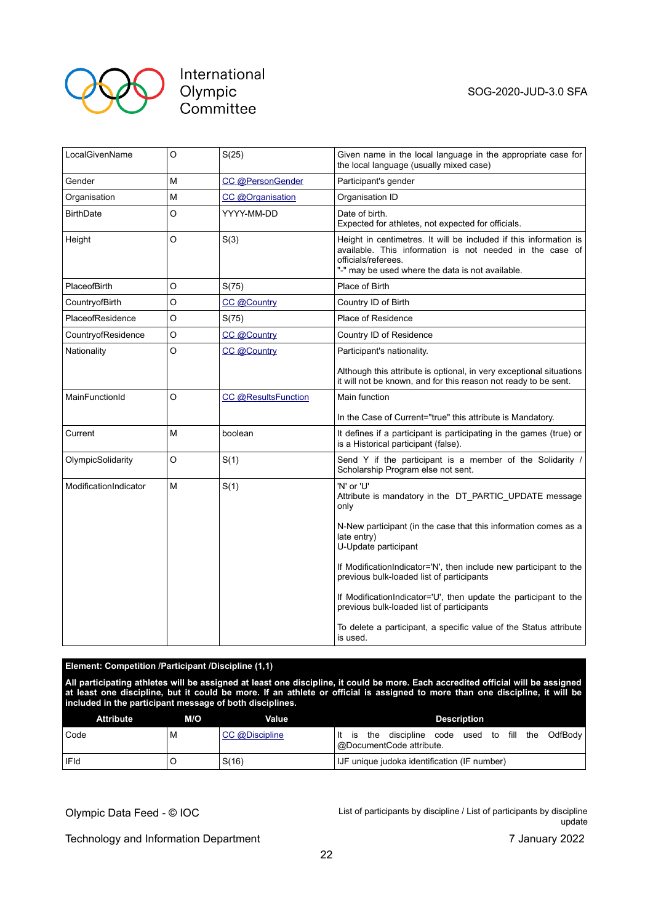

#### SOG-2020-JUD-3.0 SFA

| LocalGivenName        | O | S(25)               | Given name in the local language in the appropriate case for<br>the local language (usually mixed case)                                                                                                  |
|-----------------------|---|---------------------|----------------------------------------------------------------------------------------------------------------------------------------------------------------------------------------------------------|
| Gender                | M | CC @PersonGender    | Participant's gender                                                                                                                                                                                     |
| Organisation          | М | CC @Organisation    | Organisation ID                                                                                                                                                                                          |
| <b>BirthDate</b>      | O | YYYY-MM-DD          | Date of birth.<br>Expected for athletes, not expected for officials.                                                                                                                                     |
| Height                | O | S(3)                | Height in centimetres. It will be included if this information is<br>available. This information is not needed in the case of<br>officials/referees.<br>"-" may be used where the data is not available. |
| PlaceofBirth          | O | S(75)               | Place of Birth                                                                                                                                                                                           |
| CountryofBirth        | O | CC @Country         | Country ID of Birth                                                                                                                                                                                      |
| PlaceofResidence      | O | S(75)               | Place of Residence                                                                                                                                                                                       |
| CountryofResidence    | O | CC @Country         | Country ID of Residence                                                                                                                                                                                  |
| Nationality           | O | CC @Country         | Participant's nationality.                                                                                                                                                                               |
|                       |   |                     | Although this attribute is optional, in very exceptional situations<br>it will not be known, and for this reason not ready to be sent.                                                                   |
| MainFunctionId        | O | CC @ResultsFunction | Main function                                                                                                                                                                                            |
|                       |   |                     | In the Case of Current="true" this attribute is Mandatory.                                                                                                                                               |
| Current               | M | boolean             | It defines if a participant is participating in the games (true) or<br>is a Historical participant (false).                                                                                              |
| OlympicSolidarity     | O | S(1)                | Send Y if the participant is a member of the Solidarity /<br>Scholarship Program else not sent.                                                                                                          |
| ModificationIndicator | M | S(1)                | 'N' or 'U'<br>Attribute is mandatory in the DT_PARTIC_UPDATE message<br>only                                                                                                                             |
|                       |   |                     | N-New participant (in the case that this information comes as a<br>late entry)<br>U-Update participant                                                                                                   |
|                       |   |                     | If ModificationIndicator='N', then include new participant to the<br>previous bulk-loaded list of participants                                                                                           |
|                       |   |                     | If ModificationIndicator='U', then update the participant to the<br>previous bulk-loaded list of participants                                                                                            |
|                       |   |                     | To delete a participant, a specific value of the Status attribute<br>is used.                                                                                                                            |

#### <span id="page-21-1"></span>**Element: Competition /Participant /Discipline (1,1)**

**All participating athletes will be assigned at least one discipline, it could be more. Each accredited official will be assigned at least one discipline, but it could be more. If an athlete or official is assigned to more than one discipline, it will be included in the participant message of both disciplines.**

| <b>Attribute</b> | M/O | Value          | Description                                                                    |
|------------------|-----|----------------|--------------------------------------------------------------------------------|
| Code             | M   | CC @Discipline | It is the discipline code used to fill the OdfBody<br>@DocumentCode attribute. |
| IFId             |     | S(16)          | IJF unique judoka identification (IF number)                                   |

<span id="page-21-0"></span>Olympic Data Feed - © IOC List of participants by discipline / List of participants by discipline update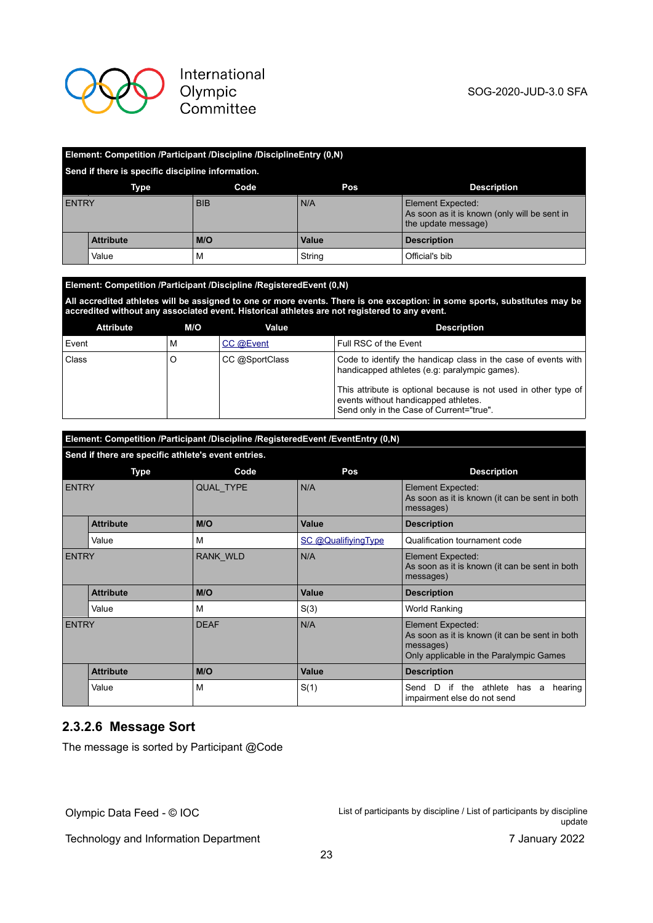

|                                           | Element: Competition /Participant /Discipline /DisciplineEntry (0,N) |            |        |                                                                                                 |  |
|-------------------------------------------|----------------------------------------------------------------------|------------|--------|-------------------------------------------------------------------------------------------------|--|
|                                           | Send if there is specific discipline information.                    |            |        |                                                                                                 |  |
| Pos<br>Code<br><b>Description</b><br>Type |                                                                      |            |        |                                                                                                 |  |
| <b>ENTRY</b>                              |                                                                      | <b>BIB</b> | N/A    | <b>Element Expected:</b><br>As soon as it is known (only will be sent in<br>the update message) |  |
|                                           | <b>Attribute</b>                                                     | M/O        | Value  | <b>Description</b>                                                                              |  |
|                                           | Value                                                                | м          | String | Official's bib                                                                                  |  |

<span id="page-22-2"></span>**Element: Competition /Participant /Discipline /RegisteredEvent (0,N)**

**All accredited athletes will be assigned to one or more events. There is one exception: in some sports, substitutes may be accredited without any associated event. Historical athletes are not registered to any event.**

| <b>Attribute</b> | M/O | Value          | <b>Description</b>                                                                                                                                                                                                                                                     |
|------------------|-----|----------------|------------------------------------------------------------------------------------------------------------------------------------------------------------------------------------------------------------------------------------------------------------------------|
| Event            | м   | CC @Event      | Full RSC of the Event                                                                                                                                                                                                                                                  |
| Class            |     | CC @SportClass | Code to identify the handicap class in the case of events with<br>handicapped athletes (e.g. paralympic games).<br>This attribute is optional because is not used in other type of<br>events without handicapped athletes.<br>Send only in the Case of Current="true". |

<span id="page-22-1"></span>**Element: Competition /Participant /Discipline /RegisteredEvent /EventEntry (0,N)**

**Send if there are specific athlete's event entries.**

|              | Type             | Code             | Pos                 | <b>Description</b>                                                                                                                 |
|--------------|------------------|------------------|---------------------|------------------------------------------------------------------------------------------------------------------------------------|
| <b>ENTRY</b> |                  | <b>QUAL TYPE</b> | N/A                 | Element Expected:<br>As soon as it is known (it can be sent in both<br>messages)                                                   |
|              | <b>Attribute</b> | M/O              | <b>Value</b>        | <b>Description</b>                                                                                                                 |
|              | Value            | M                | SC @QualifiyingType | Qualification tournament code                                                                                                      |
| <b>ENTRY</b> |                  | <b>RANK WLD</b>  | N/A                 | Element Expected:<br>As soon as it is known (it can be sent in both<br>messages)                                                   |
|              | <b>Attribute</b> | M/O              | <b>Value</b>        | <b>Description</b>                                                                                                                 |
|              | Value            | M                | S(3)                | World Ranking                                                                                                                      |
| <b>ENTRY</b> |                  | <b>DEAF</b>      | N/A                 | <b>Element Expected:</b><br>As soon as it is known (it can be sent in both<br>messages)<br>Only applicable in the Paralympic Games |
|              | <b>Attribute</b> | M/O              | <b>Value</b>        | <b>Description</b>                                                                                                                 |
|              | Value            | M                | S(1)                | Send D<br>if<br>the athlete has a<br>hearing<br>impairment else do not send                                                        |

#### <span id="page-22-0"></span>**2.3.2.6 Message Sort**

The message is sorted by Participant @Code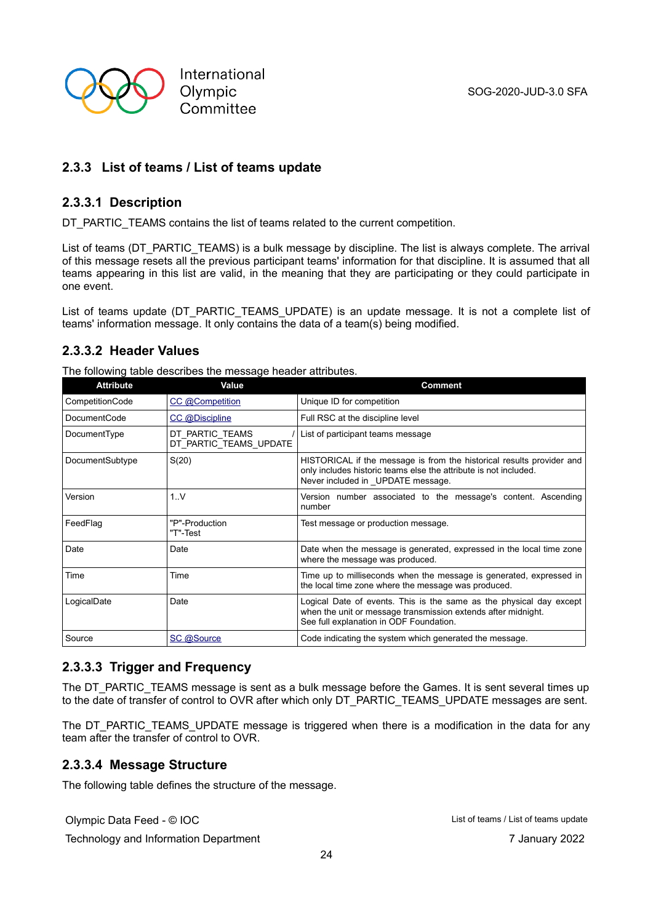

#### <span id="page-23-4"></span>**2.3.3 List of teams / List of teams update**

#### <span id="page-23-3"></span>**2.3.3.1 Description**

DT\_PARTIC\_TEAMS contains the list of teams related to the current competition.

List of teams (DT\_PARTIC\_TEAMS) is a bulk message by discipline. The list is always complete. The arrival of this message resets all the previous participant teams' information for that discipline. It is assumed that all teams appearing in this list are valid, in the meaning that they are participating or they could participate in one event.

List of teams update (DT\_PARTIC\_TEAMS\_UPDATE) is an update message. It is not a complete list of teams' information message. It only contains the data of a team(s) being modified.

#### <span id="page-23-2"></span>**2.3.3.2 Header Values**

The following table describes the message header attributes.

| <b>Attribute</b> | Value                                     | <b>Comment</b>                                                                                                                                                                  |
|------------------|-------------------------------------------|---------------------------------------------------------------------------------------------------------------------------------------------------------------------------------|
| CompetitionCode  | CC @Competition                           | Unique ID for competition                                                                                                                                                       |
| DocumentCode     | CC @Discipline                            | Full RSC at the discipline level                                                                                                                                                |
| DocumentType     | DT PARTIC TEAMS<br>DT_PARTIC_TEAMS_UPDATE | List of participant teams message                                                                                                                                               |
| DocumentSubtype  | S(20)                                     | HISTORICAL if the message is from the historical results provider and<br>only includes historic teams else the attribute is not included.<br>Never included in _UPDATE message. |
| Version          | 1.1V                                      | Version number associated to the message's content. Ascending<br>number                                                                                                         |
| FeedFlag         | "P"-Production<br>"T"-Test                | Test message or production message.                                                                                                                                             |
| Date             | Date                                      | Date when the message is generated, expressed in the local time zone<br>where the message was produced.                                                                         |
| Time             | Time                                      | Time up to milliseconds when the message is generated, expressed in<br>the local time zone where the message was produced.                                                      |
| LogicalDate      | Date                                      | Logical Date of events. This is the same as the physical day except<br>when the unit or message transmission extends after midnight.<br>See full explanation in ODF Foundation. |
| Source           | SC @Source                                | Code indicating the system which generated the message.                                                                                                                         |

#### <span id="page-23-1"></span>**2.3.3.3 Trigger and Frequency**

The DT\_PARTIC\_TEAMS message is sent as a bulk message before the Games. It is sent several times up to the date of transfer of control to OVR after which only DT\_PARTIC\_TEAMS\_UPDATE messages are sent.

The DT\_PARTIC\_TEAMS\_UPDATE message is triggered when there is a modification in the data for any team after the transfer of control to OVR.

#### <span id="page-23-0"></span>**2.3.3.4 Message Structure**

The following table defines the structure of the message.

Technology and Information Department 7 January 2022

Olympic Data Feed - © IOC <br>
Colympic Data Feed - © IOC List of teams update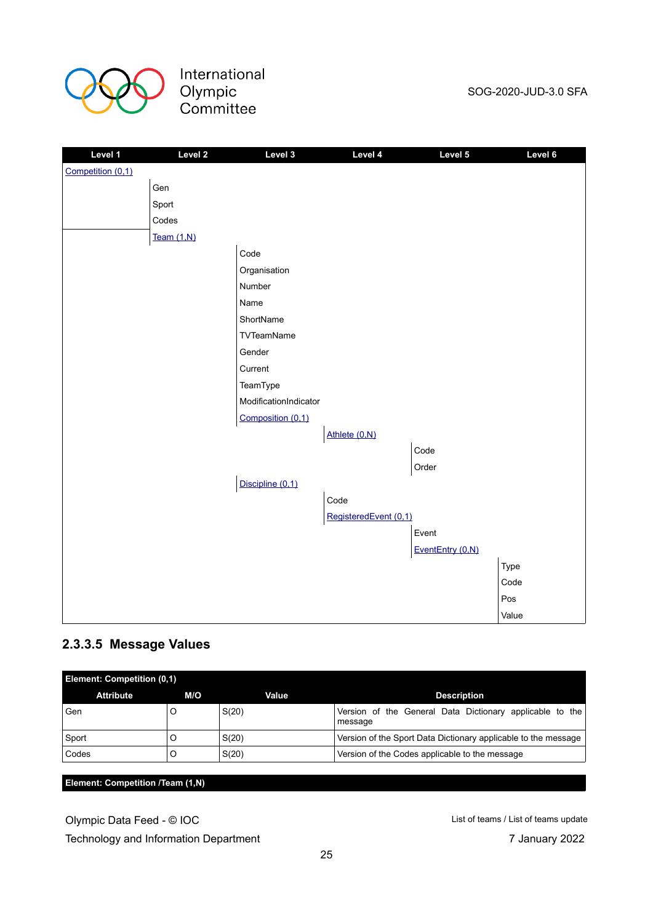

#### SOG-2020-JUD-3.0 SFA

| Level 1           | Level 2      | Level 3               | Level 4               | Level 5          | Level 6 |
|-------------------|--------------|-----------------------|-----------------------|------------------|---------|
| Competition (0,1) |              |                       |                       |                  |         |
|                   | Gen          |                       |                       |                  |         |
|                   | Sport        |                       |                       |                  |         |
|                   | Codes        |                       |                       |                  |         |
|                   | Team $(1,N)$ |                       |                       |                  |         |
|                   |              | Code                  |                       |                  |         |
|                   |              | Organisation          |                       |                  |         |
|                   |              | Number                |                       |                  |         |
|                   |              | Name                  |                       |                  |         |
|                   |              | ShortName             |                       |                  |         |
|                   |              | TVTeamName            |                       |                  |         |
|                   |              | Gender                |                       |                  |         |
|                   |              | Current               |                       |                  |         |
|                   |              | TeamType              |                       |                  |         |
|                   |              | ModificationIndicator |                       |                  |         |
|                   |              | Composition (0,1)     |                       |                  |         |
|                   |              |                       | Athlete (0,N)         |                  |         |
|                   |              |                       |                       | Code             |         |
|                   |              |                       |                       | Order            |         |
|                   |              | Discipline (0,1)      |                       |                  |         |
|                   |              |                       | Code                  |                  |         |
|                   |              |                       | RegisteredEvent (0,1) |                  |         |
|                   |              |                       |                       | Event            |         |
|                   |              |                       |                       | EventEntry (0,N) |         |
|                   |              |                       |                       |                  | Type    |
|                   |              |                       |                       |                  | Code    |
|                   |              |                       |                       |                  | Pos     |
|                   |              |                       |                       |                  | Value   |

### <span id="page-24-0"></span>**2.3.3.5 Message Values**

<span id="page-24-2"></span>

| <b>Element: Competition (0,1)</b> |     |       |                                                                     |  |  |
|-----------------------------------|-----|-------|---------------------------------------------------------------------|--|--|
| <b>Attribute</b>                  | M/O | Value | <b>Description</b>                                                  |  |  |
| Gen                               |     | S(20) | Version of the General Data Dictionary applicable to the<br>message |  |  |
| Sport                             |     | S(20) | Version of the Sport Data Dictionary applicable to the message      |  |  |
| Codes                             |     | S(20) | Version of the Codes applicable to the message                      |  |  |

#### <span id="page-24-1"></span>**Element: Competition /Team (1,N)**

Olympic Data Feed - © IOC <br>
Colympic Data Feed - © IOC List of teams update Technology and Information Department 7 January 2022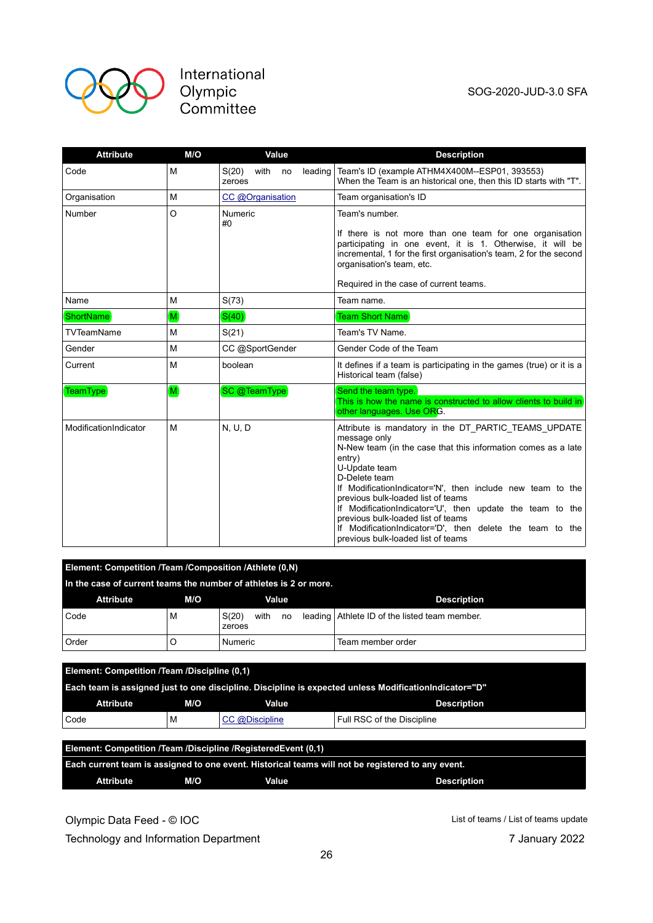

#### SOG-2020-JUD-3.0 SFA

| <b>Attribute</b>      | M/O      | Value                                    | <b>Description</b>                                                                                                                                                                                                                                                                                                                                                                                                                                                                           |
|-----------------------|----------|------------------------------------------|----------------------------------------------------------------------------------------------------------------------------------------------------------------------------------------------------------------------------------------------------------------------------------------------------------------------------------------------------------------------------------------------------------------------------------------------------------------------------------------------|
| Code                  | M        | S(20)<br>leading<br>with<br>no<br>zeroes | Team's ID (example ATHM4X400M--ESP01, 393553)<br>When the Team is an historical one, then this ID starts with "T".                                                                                                                                                                                                                                                                                                                                                                           |
| Organisation          | м        | CC @Organisation                         | Team organisation's ID                                                                                                                                                                                                                                                                                                                                                                                                                                                                       |
| Number                | $\Omega$ | <b>Numeric</b><br>#0                     | Team's number.<br>If there is not more than one team for one organisation<br>participating in one event, it is 1. Otherwise, it will be<br>incremental, 1 for the first organisation's team, 2 for the second<br>organisation's team, etc.<br>Required in the case of current teams.                                                                                                                                                                                                         |
| Name                  | M        | S(73)                                    | Team name.                                                                                                                                                                                                                                                                                                                                                                                                                                                                                   |
| ShortName             | M        | S(40)                                    | <b>Team Short Name</b>                                                                                                                                                                                                                                                                                                                                                                                                                                                                       |
| TVTeamName            | M        | S(21)                                    | Team's TV Name.                                                                                                                                                                                                                                                                                                                                                                                                                                                                              |
| Gender                | M        | CC @SportGender                          | Gender Code of the Team                                                                                                                                                                                                                                                                                                                                                                                                                                                                      |
| Current               | M        | boolean                                  | It defines if a team is participating in the games (true) or it is a<br>Historical team (false)                                                                                                                                                                                                                                                                                                                                                                                              |
| <b>TeamType</b>       | <b>M</b> | SC @TeamType                             | Send the team type.<br>This is how the name is constructed to allow clients to build in<br>other languages. Use ORG.                                                                                                                                                                                                                                                                                                                                                                         |
| ModificationIndicator | M        | N, U, D                                  | Attribute is mandatory in the DT_PARTIC_TEAMS_UPDATE<br>message only<br>N-New team (in the case that this information comes as a late<br>entry)<br>U-Update team<br>D-Delete team<br>If Modification Indicator='N', then include new team to the<br>previous bulk-loaded list of teams<br>If ModificationIndicator='U', then update the team to the<br>previous bulk-loaded list of teams<br>If ModificationIndicator='D', then delete the team to the<br>previous bulk-loaded list of teams |

<span id="page-25-2"></span>

| <b>Element: Competition /Team /Composition /Athlete (0,N)</b> |                                                                   |                               |                                               |  |  |  |
|---------------------------------------------------------------|-------------------------------------------------------------------|-------------------------------|-----------------------------------------------|--|--|--|
|                                                               | In the case of current teams the number of athletes is 2 or more. |                               |                                               |  |  |  |
| <b>Attribute</b>                                              | M/O                                                               | Value                         | <b>Description</b>                            |  |  |  |
| Code                                                          | м                                                                 | S(20)<br>with<br>no<br>zeroes | leading Athlete ID of the listed team member. |  |  |  |
| Order                                                         | O                                                                 | Numeric                       | Team member order                             |  |  |  |

<span id="page-25-1"></span>

| <b>Element: Competition /Team /Discipline (0.1)</b>                                                          |     |       |             |  |  |
|--------------------------------------------------------------------------------------------------------------|-----|-------|-------------|--|--|
| <b>Each team is assigned just to one discipline. Discipline is expected unless ModificationIndicator="D"</b> |     |       |             |  |  |
| <b>Attribute</b>                                                                                             | M/O | Value | Description |  |  |
| Code<br>Full RSC of the Discipline<br>CC @Discipline<br>м                                                    |     |       |             |  |  |

<span id="page-25-0"></span>

| <b>Element: Competition /Team /Discipline /RegisteredEvent (0.1)</b>                              |  |  |  |  |  |
|---------------------------------------------------------------------------------------------------|--|--|--|--|--|
| Each current team is assigned to one event. Historical teams will not be registered to any event. |  |  |  |  |  |
| M/O<br>Attribute<br>Value<br>Description                                                          |  |  |  |  |  |

Olympic Data Feed - © IOC **List of teams / List of teams / List of teams update**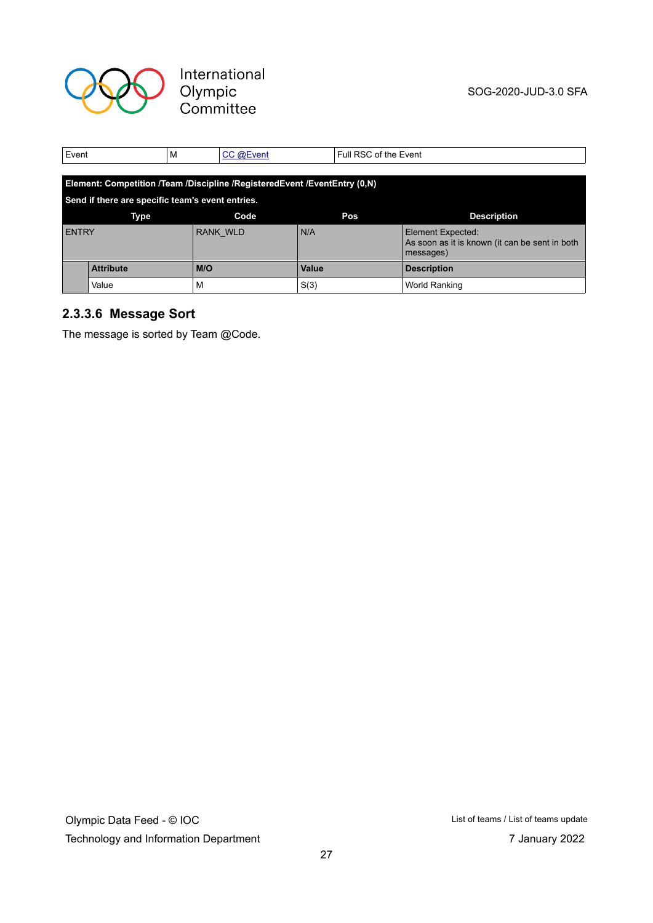

#### SOG-2020-JUD-3.0 SFA

<span id="page-26-1"></span>

| Event        | M                                                                                                                             | CC @Event       | Full RSC of the Event |                                                                                         |  |  |  |
|--------------|-------------------------------------------------------------------------------------------------------------------------------|-----------------|-----------------------|-----------------------------------------------------------------------------------------|--|--|--|
|              | Element: Competition /Team /Discipline /RegisteredEvent /EventEntry (0,N)<br>Send if there are specific team's event entries. |                 |                       |                                                                                         |  |  |  |
|              | Type                                                                                                                          | Code            | Pos                   | <b>Description</b>                                                                      |  |  |  |
| <b>ENTRY</b> |                                                                                                                               | <b>RANK WLD</b> | N/A                   | <b>Element Expected:</b><br>As soon as it is known (it can be sent in both<br>messages) |  |  |  |
|              | <b>Attribute</b>                                                                                                              | M/O             | Value                 | <b>Description</b>                                                                      |  |  |  |
|              | Value                                                                                                                         | м               | S(3)                  | World Ranking                                                                           |  |  |  |

#### <span id="page-26-0"></span>**2.3.3.6 Message Sort**

The message is sorted by Team @Code.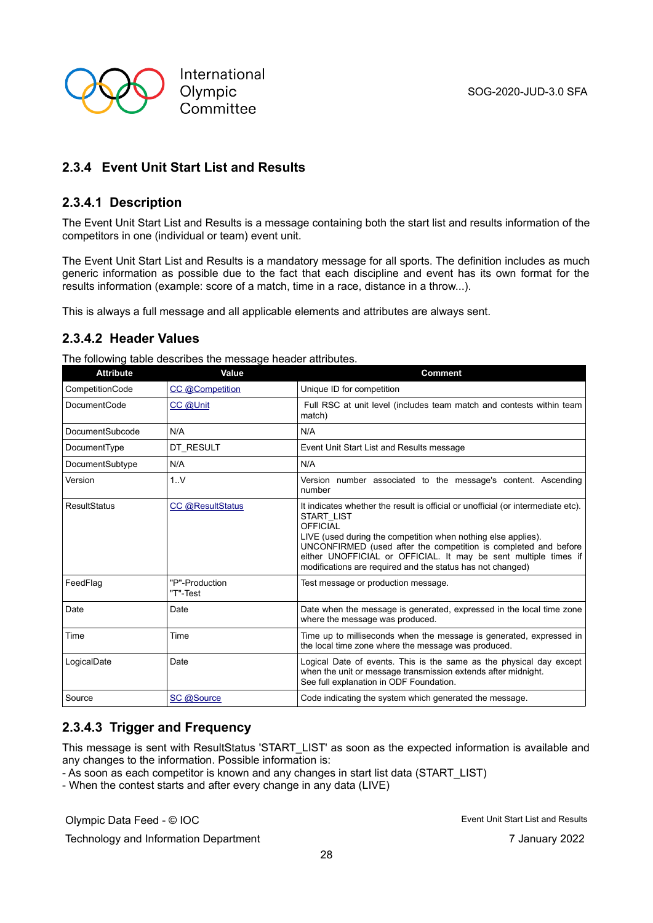

#### <span id="page-27-3"></span>**2.3.4 Event Unit Start List and Results**

#### <span id="page-27-2"></span>**2.3.4.1 Description**

The Event Unit Start List and Results is a message containing both the start list and results information of the competitors in one (individual or team) event unit.

The Event Unit Start List and Results is a mandatory message for all sports. The definition includes as much generic information as possible due to the fact that each discipline and event has its own format for the results information (example: score of a match, time in a race, distance in a throw...).

This is always a full message and all applicable elements and attributes are always sent.

#### <span id="page-27-1"></span>**2.3.4.2 Header Values**

The following table describes the message header attributes.

| <b>Attribute</b>       | Value                      | <b>Comment</b>                                                                                                                                                                                                                                                                                                                                                                                |
|------------------------|----------------------------|-----------------------------------------------------------------------------------------------------------------------------------------------------------------------------------------------------------------------------------------------------------------------------------------------------------------------------------------------------------------------------------------------|
| CompetitionCode        | CC @Competition            | Unique ID for competition                                                                                                                                                                                                                                                                                                                                                                     |
| <b>DocumentCode</b>    | CC @Unit                   | Full RSC at unit level (includes team match and contests within team<br>match)                                                                                                                                                                                                                                                                                                                |
| <b>DocumentSubcode</b> | N/A                        | N/A                                                                                                                                                                                                                                                                                                                                                                                           |
| DocumentType           | DT RESULT                  | Event Unit Start List and Results message                                                                                                                                                                                                                                                                                                                                                     |
| DocumentSubtype        | N/A                        | N/A                                                                                                                                                                                                                                                                                                                                                                                           |
| Version                | 1. V                       | Version number associated to the message's content. Ascending<br>number                                                                                                                                                                                                                                                                                                                       |
| <b>ResultStatus</b>    | CC @ResultStatus           | It indicates whether the result is official or unofficial (or intermediate etc).<br><b>START LIST</b><br><b>OFFICIAL</b><br>LIVE (used during the competition when nothing else applies).<br>UNCONFIRMED (used after the competition is completed and before<br>either UNOFFICIAL or OFFICIAL. It may be sent multiple times if<br>modifications are required and the status has not changed) |
| FeedFlag               | "P"-Production<br>"T"-Test | Test message or production message.                                                                                                                                                                                                                                                                                                                                                           |
| Date                   | Date                       | Date when the message is generated, expressed in the local time zone<br>where the message was produced.                                                                                                                                                                                                                                                                                       |
| Time                   | Time                       | Time up to milliseconds when the message is generated, expressed in<br>the local time zone where the message was produced.                                                                                                                                                                                                                                                                    |
| LogicalDate            | Date                       | Logical Date of events. This is the same as the physical day except<br>when the unit or message transmission extends after midnight.<br>See full explanation in ODF Foundation.                                                                                                                                                                                                               |
| Source                 | SC @Source                 | Code indicating the system which generated the message.                                                                                                                                                                                                                                                                                                                                       |

#### <span id="page-27-0"></span>**2.3.4.3 Trigger and Frequency**

This message is sent with ResultStatus 'START\_LIST' as soon as the expected information is available and any changes to the information. Possible information is:

- As soon as each competitor is known and any changes in start list data (START\_LIST)

- When the contest starts and after every change in any data (LIVE)

Olympic Data Feed - © IOC **Event Unit Start List and Results**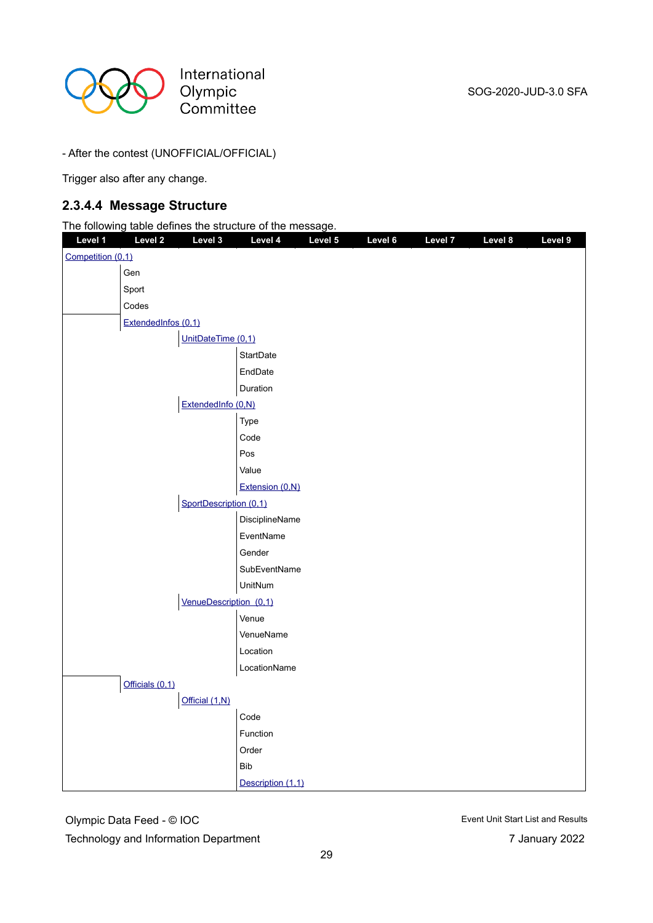

- After the contest (UNOFFICIAL/OFFICIAL)

Trigger also after any change.

#### <span id="page-28-0"></span>**2.3.4.4 Message Structure**

The following table defines the structure of the message.

| Level 1           | Level 2             | Level 3                | Level 4           | Level 5 | Level 6 | Level 7 | Level 8 | Level 9 |
|-------------------|---------------------|------------------------|-------------------|---------|---------|---------|---------|---------|
| Competition (0,1) |                     |                        |                   |         |         |         |         |         |
|                   | Gen                 |                        |                   |         |         |         |         |         |
|                   | Sport               |                        |                   |         |         |         |         |         |
|                   | Codes               |                        |                   |         |         |         |         |         |
|                   | ExtendedInfos (0,1) |                        |                   |         |         |         |         |         |
|                   |                     | UnitDateTime (0,1)     |                   |         |         |         |         |         |
|                   |                     |                        | StartDate         |         |         |         |         |         |
|                   |                     |                        | EndDate           |         |         |         |         |         |
|                   |                     |                        | Duration          |         |         |         |         |         |
|                   |                     | ExtendedInfo (0,N)     |                   |         |         |         |         |         |
|                   |                     |                        | Type              |         |         |         |         |         |
|                   |                     |                        | Code              |         |         |         |         |         |
|                   |                     |                        | Pos               |         |         |         |         |         |
|                   |                     |                        | Value             |         |         |         |         |         |
|                   |                     |                        | Extension (0,N)   |         |         |         |         |         |
|                   |                     | SportDescription (0,1) |                   |         |         |         |         |         |
|                   |                     |                        | DisciplineName    |         |         |         |         |         |
|                   |                     |                        | EventName         |         |         |         |         |         |
|                   |                     |                        | Gender            |         |         |         |         |         |
|                   |                     |                        | SubEventName      |         |         |         |         |         |
|                   |                     |                        | UnitNum           |         |         |         |         |         |
|                   |                     | VenueDescription (0,1) |                   |         |         |         |         |         |
|                   |                     |                        | Venue             |         |         |         |         |         |
|                   |                     |                        | VenueName         |         |         |         |         |         |
|                   |                     |                        | Location          |         |         |         |         |         |
|                   |                     |                        | LocationName      |         |         |         |         |         |
|                   | Officials (0,1)     |                        |                   |         |         |         |         |         |
|                   |                     | Official (1,N)         |                   |         |         |         |         |         |
|                   |                     |                        | Code              |         |         |         |         |         |
|                   |                     |                        | Function          |         |         |         |         |         |
|                   |                     |                        | Order             |         |         |         |         |         |
|                   |                     |                        | <b>Bib</b>        |         |         |         |         |         |
|                   |                     |                        | Description (1,1) |         |         |         |         |         |

Olympic Data Feed - © IOC **Event Unit Start List and Results** Technology and Information Department 7 January 2022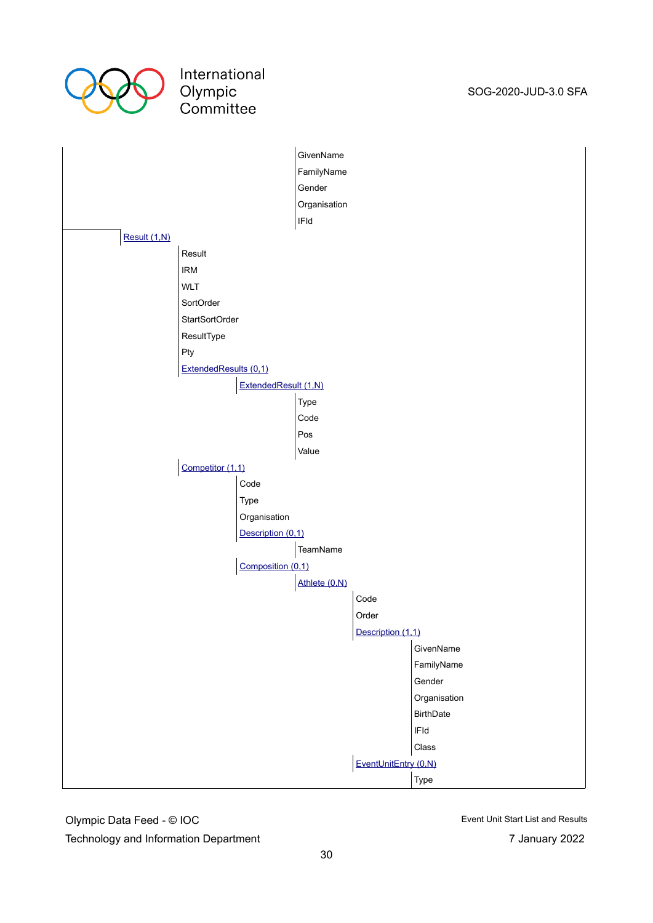

#### SOG-2020-JUD-3.0 SFA



Olympic Data Feed - © IOC **Example 2018** Event Unit Start List and Results Technology and Information Department 7 January 2022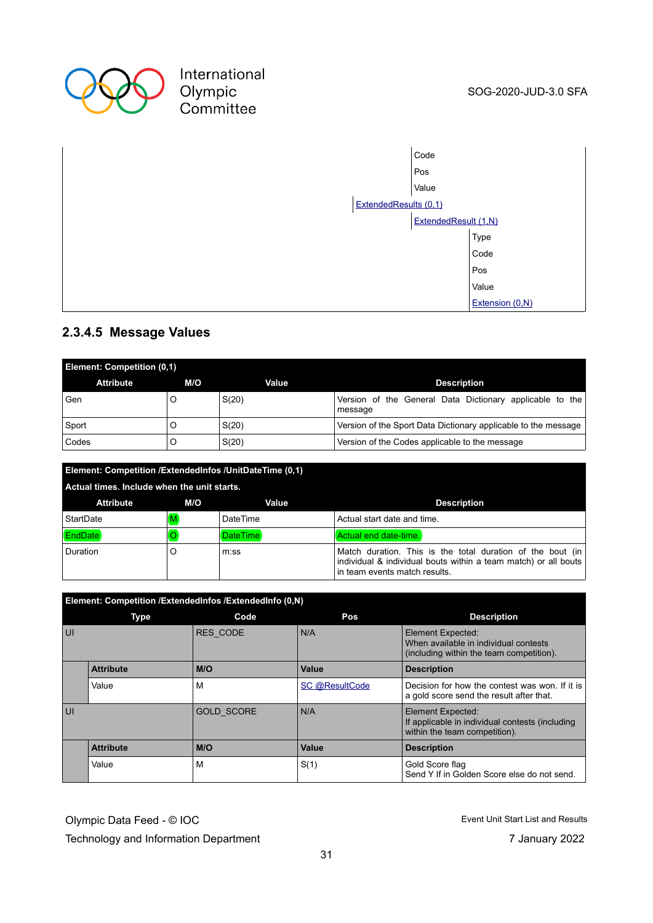

|                       | Code                 |                 |  |
|-----------------------|----------------------|-----------------|--|
|                       | Pos                  |                 |  |
|                       | Value                |                 |  |
| ExtendedResults (0,1) |                      |                 |  |
|                       | ExtendedResult (1,N) |                 |  |
|                       |                      | Type            |  |
|                       |                      | Code            |  |
|                       |                      | Pos             |  |
|                       |                      | Value           |  |
|                       |                      | Extension (0,N) |  |

### <span id="page-30-0"></span>**2.3.4.5 Message Values**

<span id="page-30-3"></span>

| <b>Element: Competition (0,1)</b> |     |       |                                                                     |
|-----------------------------------|-----|-------|---------------------------------------------------------------------|
| <b>Attribute</b>                  | M/O | Value | <b>Description</b>                                                  |
| Gen                               | Ő   | S(20) | Version of the General Data Dictionary applicable to the<br>message |
| Sport                             | Ő   | S(20) | Version of the Sport Data Dictionary applicable to the message      |
| Codes                             | Ő   | S(20) | Version of the Codes applicable to the message                      |

<span id="page-30-2"></span>

|                                             | <b>Element: Competition /ExtendedInfos /UnitDateTime (0.1)</b> |                 |                                                                                                                                                                |  |  |
|---------------------------------------------|----------------------------------------------------------------|-----------------|----------------------------------------------------------------------------------------------------------------------------------------------------------------|--|--|
| Actual times. Include when the unit starts. |                                                                |                 |                                                                                                                                                                |  |  |
| <b>Attribute</b>                            | M/O                                                            | Value           | <b>Description</b>                                                                                                                                             |  |  |
| StartDate                                   |                                                                | <b>DateTime</b> | Actual start date and time.                                                                                                                                    |  |  |
| EndDate                                     |                                                                | <b>DateTime</b> | Actual end date-time.                                                                                                                                          |  |  |
| Duration                                    | O                                                              | $m$ :ss         | Match duration. This is the total duration of the bout (in<br>individual & individual bouts within a team match) or all bouts<br>in team events match results. |  |  |

<span id="page-30-1"></span>

|    | Element: Competition /ExtendedInfos /ExtendedInfo (0,N) |                   |                |                                                                                                               |  |
|----|---------------------------------------------------------|-------------------|----------------|---------------------------------------------------------------------------------------------------------------|--|
|    | Type                                                    | Code              | Pos            | <b>Description</b>                                                                                            |  |
| UI |                                                         | <b>RES CODE</b>   | N/A            | <b>Element Expected:</b><br>When available in individual contests<br>(including within the team competition). |  |
|    | <b>Attribute</b>                                        | M/O               | Value          | <b>Description</b>                                                                                            |  |
|    | Value                                                   | M                 | SC @ResultCode | Decision for how the contest was won. If it is<br>a gold score send the result after that.                    |  |
| U  |                                                         | <b>GOLD SCORE</b> | N/A            | <b>Element Expected:</b><br>If applicable in individual contests (including<br>within the team competition).  |  |
|    | <b>Attribute</b>                                        | M/O               | Value          | <b>Description</b>                                                                                            |  |
|    | Value                                                   | M                 | S(1)           | Gold Score flag<br>Send Y If in Golden Score else do not send.                                                |  |

Olympic Data Feed - © IOC **Example 2018** Event Unit Start List and Results Technology and Information Department 7 January 2022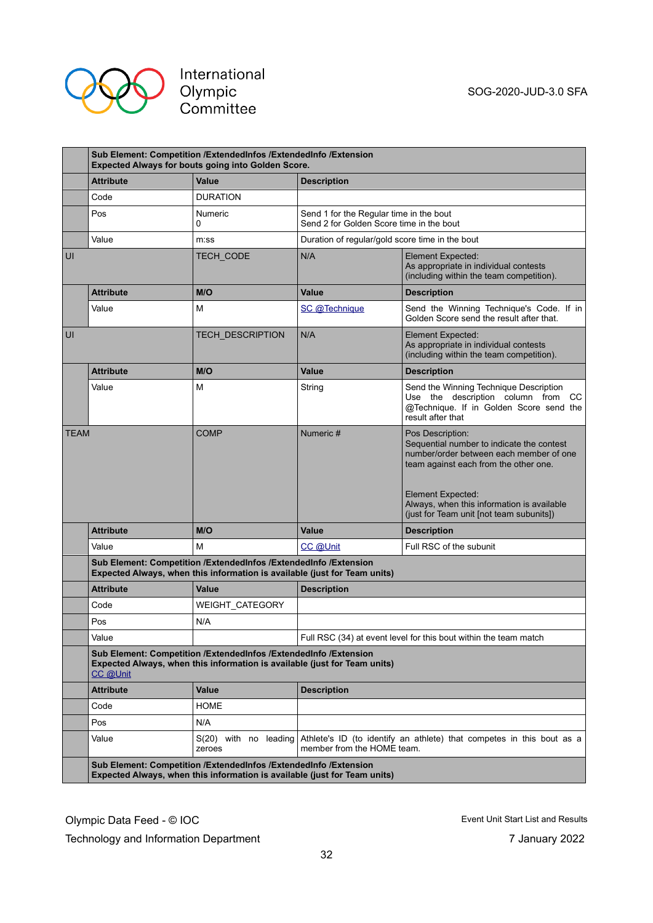

|             | Sub Element: Competition /ExtendedInfos /ExtendedInfo /Extension<br><b>Expected Always for bouts going into Golden Score.</b>                             |                                                                                                                                               |                                                                                     |                                                                                                                                                                                                                                                                         |  |
|-------------|-----------------------------------------------------------------------------------------------------------------------------------------------------------|-----------------------------------------------------------------------------------------------------------------------------------------------|-------------------------------------------------------------------------------------|-------------------------------------------------------------------------------------------------------------------------------------------------------------------------------------------------------------------------------------------------------------------------|--|
|             | <b>Attribute</b>                                                                                                                                          | Value                                                                                                                                         | <b>Description</b>                                                                  |                                                                                                                                                                                                                                                                         |  |
|             | Code                                                                                                                                                      | <b>DURATION</b>                                                                                                                               |                                                                                     |                                                                                                                                                                                                                                                                         |  |
|             | Pos                                                                                                                                                       | Numeric<br>0                                                                                                                                  | Send 1 for the Regular time in the bout<br>Send 2 for Golden Score time in the bout |                                                                                                                                                                                                                                                                         |  |
|             | Value                                                                                                                                                     | m:ss                                                                                                                                          |                                                                                     | Duration of regular/gold score time in the bout                                                                                                                                                                                                                         |  |
| UI          |                                                                                                                                                           | <b>TECH CODE</b>                                                                                                                              | N/A                                                                                 | <b>Element Expected:</b><br>As appropriate in individual contests<br>(including within the team competition).                                                                                                                                                           |  |
|             | <b>Attribute</b>                                                                                                                                          | M/O                                                                                                                                           | <b>Value</b>                                                                        | <b>Description</b>                                                                                                                                                                                                                                                      |  |
|             | Value                                                                                                                                                     | М                                                                                                                                             | SC @Technique                                                                       | Send the Winning Technique's Code. If in<br>Golden Score send the result after that.                                                                                                                                                                                    |  |
| UI          |                                                                                                                                                           | <b>TECH_DESCRIPTION</b>                                                                                                                       | N/A                                                                                 | <b>Element Expected:</b><br>As appropriate in individual contests<br>(including within the team competition).                                                                                                                                                           |  |
|             | <b>Attribute</b>                                                                                                                                          | M/O                                                                                                                                           | <b>Value</b>                                                                        | <b>Description</b>                                                                                                                                                                                                                                                      |  |
|             | Value                                                                                                                                                     | М                                                                                                                                             | String                                                                              | Send the Winning Technique Description<br>Use the description column from CC<br>@Technique. If in Golden Score send the<br>result after that                                                                                                                            |  |
| <b>TEAM</b> |                                                                                                                                                           | <b>COMP</b>                                                                                                                                   | Numeric #                                                                           | Pos Description:<br>Sequential number to indicate the contest<br>number/order between each member of one<br>team against each from the other one.<br><b>Element Expected:</b><br>Always, when this information is available<br>(just for Team unit [not team subunits]) |  |
|             | <b>Attribute</b>                                                                                                                                          | M/O                                                                                                                                           | Value                                                                               | <b>Description</b>                                                                                                                                                                                                                                                      |  |
|             | Value                                                                                                                                                     | М                                                                                                                                             | CC @Unit                                                                            | Full RSC of the subunit                                                                                                                                                                                                                                                 |  |
|             |                                                                                                                                                           | Sub Element: Competition /ExtendedInfos /ExtendedInfo /Extension<br>Expected Always, when this information is available (just for Team units) |                                                                                     |                                                                                                                                                                                                                                                                         |  |
|             | <b>Attribute</b>                                                                                                                                          | <b>Value</b>                                                                                                                                  | <b>Description</b>                                                                  |                                                                                                                                                                                                                                                                         |  |
|             | Code                                                                                                                                                      | WEIGHT_CATEGORY                                                                                                                               |                                                                                     |                                                                                                                                                                                                                                                                         |  |
|             | Pos                                                                                                                                                       | N/A                                                                                                                                           |                                                                                     |                                                                                                                                                                                                                                                                         |  |
|             | Value                                                                                                                                                     |                                                                                                                                               |                                                                                     | Full RSC (34) at event level for this bout within the team match                                                                                                                                                                                                        |  |
|             | Sub Element: Competition /ExtendedInfos /ExtendedInfo /Extension<br>Expected Always, when this information is available (just for Team units)<br>CC @Unit |                                                                                                                                               |                                                                                     |                                                                                                                                                                                                                                                                         |  |
|             | <b>Attribute</b>                                                                                                                                          | <b>Value</b>                                                                                                                                  | <b>Description</b>                                                                  |                                                                                                                                                                                                                                                                         |  |
|             | Code                                                                                                                                                      | <b>HOME</b>                                                                                                                                   |                                                                                     |                                                                                                                                                                                                                                                                         |  |
|             | Pos                                                                                                                                                       | N/A                                                                                                                                           |                                                                                     |                                                                                                                                                                                                                                                                         |  |
|             | Value                                                                                                                                                     | $S(20)$ with no leading<br>zeroes                                                                                                             | member from the HOME team.                                                          | Athlete's ID (to identify an athlete) that competes in this bout as a                                                                                                                                                                                                   |  |
|             |                                                                                                                                                           | Sub Element: Competition /ExtendedInfos /ExtendedInfo /Extension<br>Expected Always, when this information is available (just for Team units) |                                                                                     |                                                                                                                                                                                                                                                                         |  |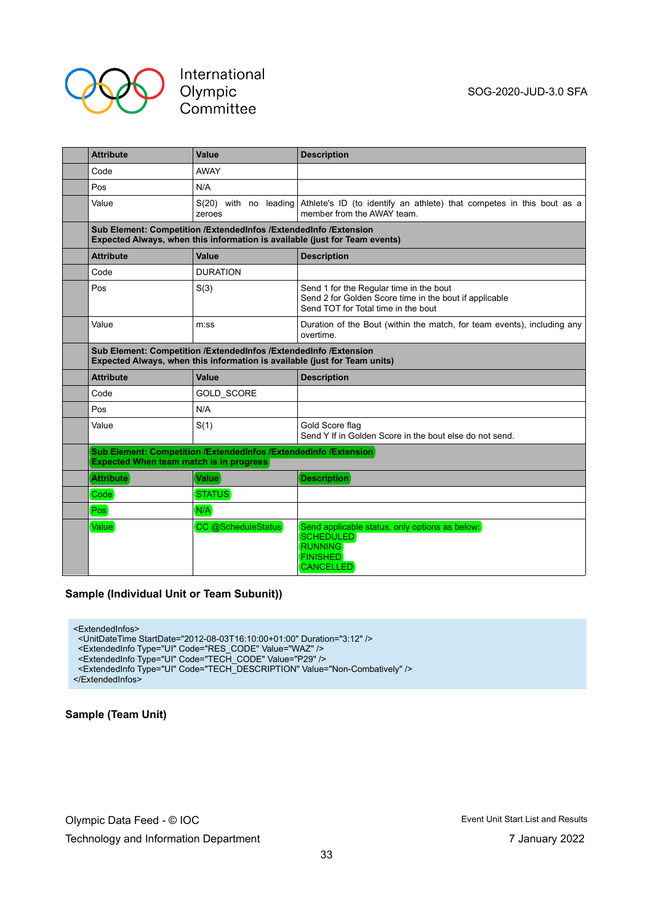

| <b>Attribute</b>                                                                                                                              | Value                                                            | <b>Description</b>                                                                                                                       |
|-----------------------------------------------------------------------------------------------------------------------------------------------|------------------------------------------------------------------|------------------------------------------------------------------------------------------------------------------------------------------|
| Code                                                                                                                                          | AWAY                                                             |                                                                                                                                          |
| Pos                                                                                                                                           | N/A                                                              |                                                                                                                                          |
| Value                                                                                                                                         | zeroes                                                           | $S(20)$ with no leading Athlete's ID (to identify an athlete) that competes in this bout as a<br>member from the AWAY team.              |
|                                                                                                                                               | Sub Element: Competition /ExtendedInfos /ExtendedInfo /Extension | Expected Always, when this information is available (just for Team events)                                                               |
| <b>Attribute</b>                                                                                                                              | Value                                                            | <b>Description</b>                                                                                                                       |
| Code                                                                                                                                          | <b>DURATION</b>                                                  |                                                                                                                                          |
| Pos                                                                                                                                           | S(3)                                                             | Send 1 for the Regular time in the bout<br>Send 2 for Golden Score time in the bout if applicable<br>Send TOT for Total time in the bout |
| Value                                                                                                                                         | m:ss                                                             | Duration of the Bout (within the match, for team events), including any<br>overtime.                                                     |
| Sub Element: Competition /ExtendedInfos /ExtendedInfo /Extension<br>Expected Always, when this information is available (just for Team units) |                                                                  |                                                                                                                                          |
| <b>Attribute</b>                                                                                                                              | Value                                                            | <b>Description</b>                                                                                                                       |
| Code                                                                                                                                          | GOLD_SCORE                                                       |                                                                                                                                          |
| Pos                                                                                                                                           | N/A                                                              |                                                                                                                                          |
| Value                                                                                                                                         | S(1)                                                             | Gold Score flag<br>Send Y If in Golden Score in the bout else do not send.                                                               |
| <b>Expected When team match is in progress</b>                                                                                                | Sub Element: Competition /ExtendedInfos /ExtendedInfo /Extension |                                                                                                                                          |
| <b>Attribute</b>                                                                                                                              | <b>Value</b>                                                     | <b>Description</b>                                                                                                                       |
| <b>Code</b>                                                                                                                                   | <b>STATUS</b>                                                    |                                                                                                                                          |
| Pos)                                                                                                                                          | N/A                                                              |                                                                                                                                          |
| <b>Value</b>                                                                                                                                  | CC @ScheduleStatus                                               | Send applicable status, only options as below:<br><b>SCHEDULED</b><br><b>RUNNING</b><br><b>FINISHED</b><br><b>CANCELLED</b>              |

 **Sample (Individual Unit or Team Subunit))** 

<ExtendedInfos>

<UnitDateTime StartDate="2012-08-03T16:10:00+01:00" Duration="3:12" />

<ExtendedInfo Type="UI" Code="RES\_CODE" Value="WAZ" />

<ExtendedInfo Type="UI" Code="TECH\_CODE" Value="P29" />

<ExtendedInfo Type="UI" Code="TECH\_DESCRIPTION" Value="Non-Combatively" />

</ExtendedInfos>

 **Sample (Team Unit)**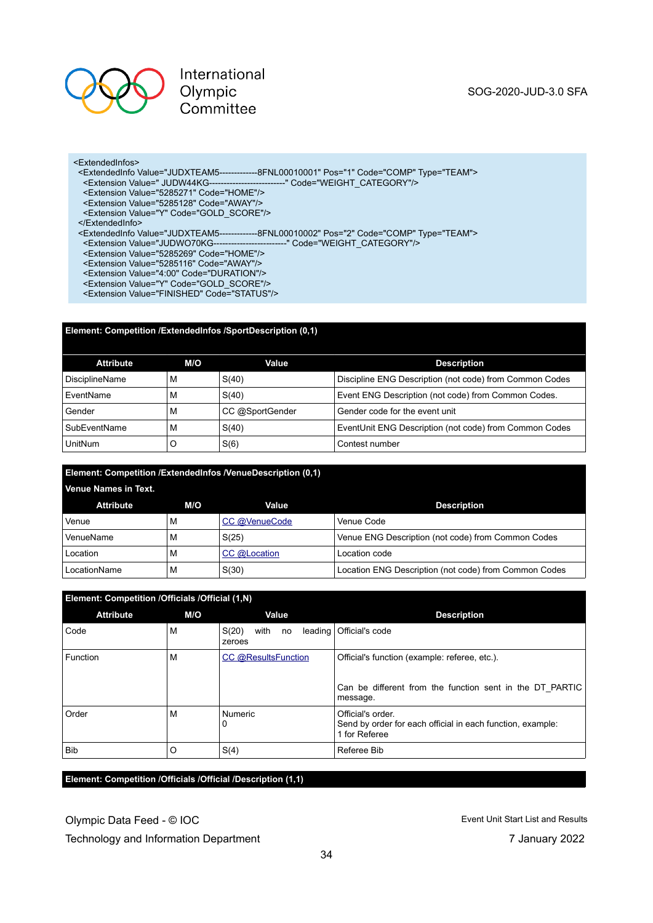

- <ExtendedInfos>
- <ExtendedInfo Value="JUDXTEAM5-------------8FNL00010001" Pos="1" Code="COMP" Type="TEAM">
- <Extension Value=" JUDW44KG--------------------------" Code="WEIGHT\_CATEGORY"/>
- <Extension Value="5285271" Code="HOME"/>
- <Extension Value="5285128" Code="AWAY"/>
- <Extension Value="Y" Code="GOLD\_SCORE"/>
- </ExtendedInfo>
- <ExtendedInfo Value="JUDXTEAM5-------------8FNL00010002" Pos="2" Code="COMP" Type="TEAM">
- -----" Code="WEIGHT\_CATEGORY"/>
	- <Extension Value="5285269" Code="HOME"/>
	- <Extension Value="5285116" Code="AWAY"/>
	- <Extension Value="4:00" Code="DURATION"/>
- <Extension Value="Y" Code="GOLD\_SCORE"/>
- <Extension Value="FINISHED" Code="STATUS"/>

<span id="page-33-3"></span>

| Element: Competition /ExtendedInfos /SportDescription (0.1) |     |                 |                                                         |  |
|-------------------------------------------------------------|-----|-----------------|---------------------------------------------------------|--|
| <b>Attribute</b>                                            | M/O | Value           | <b>Description</b>                                      |  |
| <b>DisciplineName</b>                                       | м   | S(40)           | Discipline ENG Description (not code) from Common Codes |  |
| EventName                                                   | М   | S(40)           | Event ENG Description (not code) from Common Codes.     |  |
| Gender                                                      | М   | CC @SportGender | Gender code for the event unit                          |  |
| SubEventName                                                | м   | S(40)           | EventUnit ENG Description (not code) from Common Codes  |  |
| <b>UnitNum</b>                                              | O   | S(6)            | Contest number                                          |  |

#### <span id="page-33-2"></span>**Element: Competition /ExtendedInfos /VenueDescription (0,1)**

### **Venue Names in Text.**

| <b>Attribute</b> | M/O | Value         | <b>Description</b>                                    |
|------------------|-----|---------------|-------------------------------------------------------|
| Venue            | м   | CC @VenueCode | Venue Code                                            |
| VenueName        | М   | S(25)         | Venue ENG Description (not code) from Common Codes    |
| Location         | м   | CC @Location  | Location code                                         |
| LocationName     | м   | S(30)         | Location ENG Description (not code) from Common Codes |

<span id="page-33-1"></span>

| Element: Competition /Officials /Official (1,N) |     |                                          |                                                                                                  |  |
|-------------------------------------------------|-----|------------------------------------------|--------------------------------------------------------------------------------------------------|--|
| <b>Attribute</b>                                | M/O | Value                                    | <b>Description</b>                                                                               |  |
| Code                                            | М   | S(20)<br>with<br>leading<br>no<br>zeroes | Official's code                                                                                  |  |
| Function                                        | М   | CC @ResultsFunction                      | Official's function (example: referee, etc.).                                                    |  |
|                                                 |     |                                          | Can be different from the function sent in the DT PARTIC<br>message.                             |  |
| Order                                           | М   | <b>Numeric</b><br>0                      | Official's order.<br>Send by order for each official in each function, example:<br>1 for Referee |  |
| <b>Bib</b>                                      | O   | S(4)                                     | Referee Bib                                                                                      |  |

#### <span id="page-33-0"></span>**Element: Competition /Officials /Official /Description (1,1)**

Olympic Data Feed - © IOC **Example 2018** Event Unit Start List and Results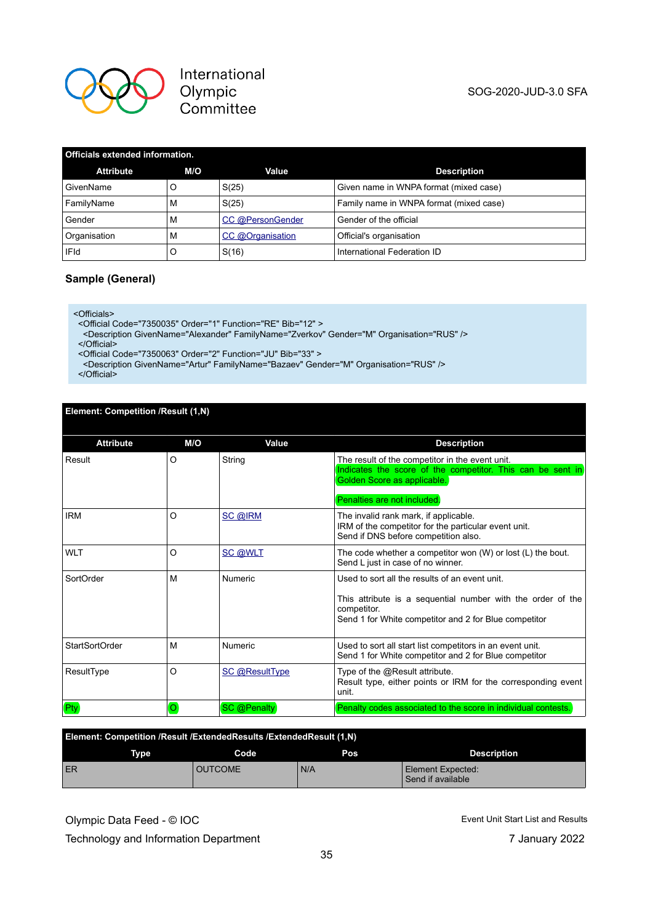

| Officials extended information. |     |                  |                                         |  |  |
|---------------------------------|-----|------------------|-----------------------------------------|--|--|
| <b>Attribute</b>                | M/O | Value            | <b>Description</b>                      |  |  |
| GivenName                       | O   | S(25)            | Given name in WNPA format (mixed case)  |  |  |
| FamilyName                      | м   | S(25)            | Family name in WNPA format (mixed case) |  |  |
| Gender                          | м   | CC @PersonGender | Gender of the official                  |  |  |
| Organisation                    | м   | CC @Organisation | Official's organisation                 |  |  |
| IFId                            | O   | S(16)            | International Federation ID             |  |  |

#### **Sample (General)**

<Officials>

<Official Code="7350035" Order="1" Function="RE" Bib="12" >

 <Description GivenName="Alexander" FamilyName="Zverkov" Gender="M" Organisation="RUS" /> </Official>

<Official Code="7350063" Order="2" Function="JU" Bib="33" >

<Description GivenName="Artur" FamilyName="Bazaev" Gender="M" Organisation="RUS" />

</Official>

<span id="page-34-1"></span>

| Element: Competition /Result (1,N) |         |                       |                                                                                                                                                                                       |  |
|------------------------------------|---------|-----------------------|---------------------------------------------------------------------------------------------------------------------------------------------------------------------------------------|--|
| <b>Attribute</b>                   | M/O     | Value                 | <b>Description</b>                                                                                                                                                                    |  |
| Result                             | O       | String                | The result of the competitor in the event unit.<br>Indicates the score of the competitor. This can be sent in<br>Golden Score as applicable.<br>Penalties are not included.           |  |
| <b>IRM</b>                         | $\circ$ | SC @IRM               | The invalid rank mark, if applicable.<br>IRM of the competitor for the particular event unit.<br>Send if DNS before competition also.                                                 |  |
| WLT                                | O       | SC @WLT               | The code whether a competitor won (W) or lost (L) the bout.<br>Send L just in case of no winner.                                                                                      |  |
| SortOrder                          | M       | Numeric               | Used to sort all the results of an event unit.<br>This attribute is a sequential number with the order of the<br>competitor.<br>Send 1 for White competitor and 2 for Blue competitor |  |
| <b>StartSortOrder</b>              | M       | <b>Numeric</b>        | Used to sort all start list competitors in an event unit.<br>Send 1 for White competitor and 2 for Blue competitor                                                                    |  |
| ResultType                         | $\circ$ | <b>SC @ResultType</b> | Type of the @Result attribute.<br>Result type, either points or IRM for the corresponding event<br>unit.                                                                              |  |
| Pty                                | O       | <b>SC</b> @Penalty    | Penalty codes associated to the score in individual contests.                                                                                                                         |  |

<span id="page-34-0"></span>

| <b>Element: Competition /Result /ExtendedResults /ExtendedResult (1,N)</b> |                |     |                                        |  |  |  |
|----------------------------------------------------------------------------|----------------|-----|----------------------------------------|--|--|--|
| Pos<br>Tvpe<br>Description<br>Code                                         |                |     |                                        |  |  |  |
| ER                                                                         | <b>OUTCOME</b> | N/A | Element Expected:<br>Send if available |  |  |  |

Olympic Data Feed - © IOC **Example 2018** Event Unit Start List and Results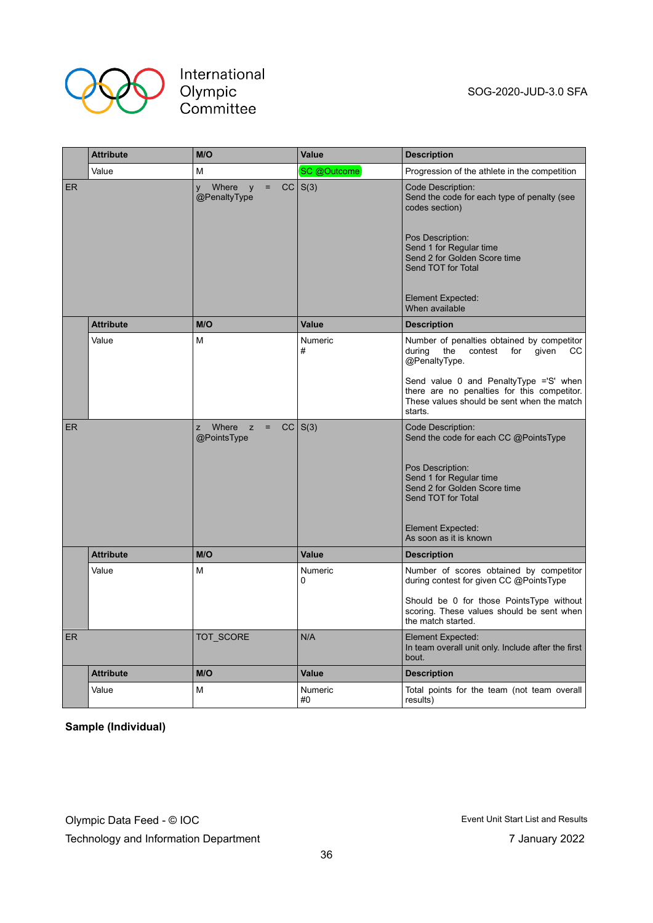

#### SOG-2020-JUD-3.0 SFA

|           | <b>Attribute</b> | M/O                                                     | Value               | <b>Description</b>                                                                                                                             |
|-----------|------------------|---------------------------------------------------------|---------------------|------------------------------------------------------------------------------------------------------------------------------------------------|
|           | Value            | M                                                       | <b>SC</b> @Outcome  | Progression of the athlete in the competition                                                                                                  |
| <b>ER</b> |                  | CC<br>Where<br>$\mathsf{v}$<br>$=$<br>y<br>@PenaltyType | S(3)                | Code Description:<br>Send the code for each type of penalty (see<br>codes section)                                                             |
|           |                  |                                                         |                     | Pos Description:<br>Send 1 for Regular time<br>Send 2 for Golden Score time<br>Send TOT for Total                                              |
|           |                  |                                                         |                     | <b>Element Expected:</b><br>When available                                                                                                     |
|           | <b>Attribute</b> | M/O                                                     | <b>Value</b>        | <b>Description</b>                                                                                                                             |
|           | Value            | M                                                       | <b>Numeric</b><br># | Number of penalties obtained by competitor<br>during<br>the<br>contest<br>for<br>given<br>CС<br>@PenaltyType.                                  |
|           |                  |                                                         |                     | Send value 0 and PenaltyType ='S' when<br>there are no penalties for this competitor.<br>These values should be sent when the match<br>starts. |
| ER        |                  | Where $z =$<br>$\mathsf{z}$<br>@PointsType              | CC   S(3)           | <b>Code Description:</b><br>Send the code for each CC @PointsType                                                                              |
|           |                  |                                                         |                     | Pos Description:<br>Send 1 for Regular time<br>Send 2 for Golden Score time<br>Send TOT for Total                                              |
|           |                  |                                                         |                     | <b>Element Expected:</b><br>As soon as it is known                                                                                             |
|           | <b>Attribute</b> | M/O                                                     | <b>Value</b>        | <b>Description</b>                                                                                                                             |
|           | Value            | M                                                       | <b>Numeric</b><br>0 | Number of scores obtained by competitor<br>during contest for given CC @PointsType                                                             |
|           |                  |                                                         |                     | Should be 0 for those PointsType without<br>scoring. These values should be sent when<br>the match started.                                    |
| <b>ER</b> |                  | TOT SCORE                                               | N/A                 | <b>Element Expected:</b><br>In team overall unit only. Include after the first<br>bout.                                                        |
|           | <b>Attribute</b> | M/O                                                     | <b>Value</b>        | <b>Description</b>                                                                                                                             |
|           | Value            | M                                                       | Numeric<br>#0       | Total points for the team (not team overall<br>results)                                                                                        |

 **Sample (Individual)**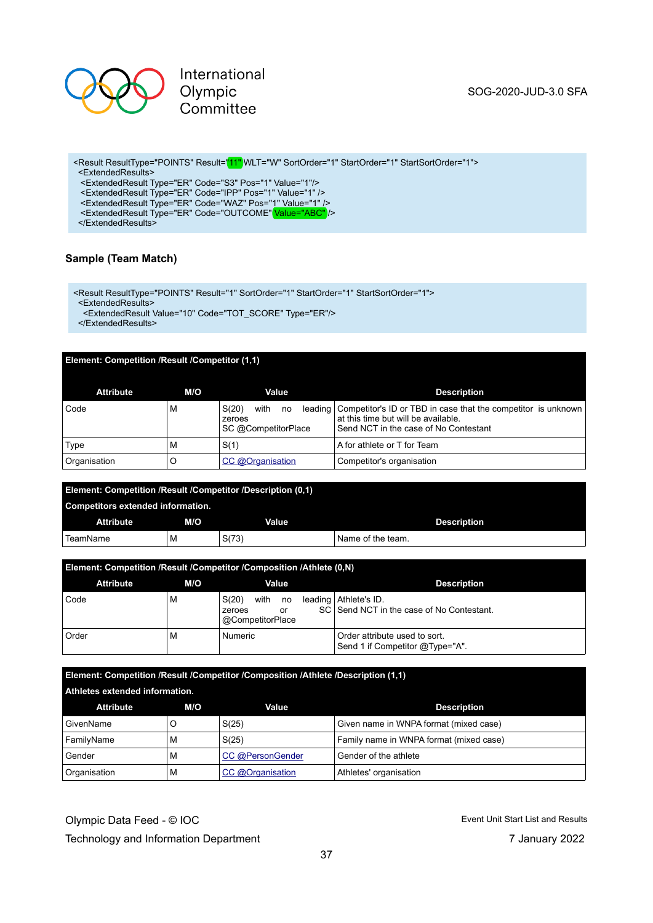

<Result ResultType="POINTS" Result="11" WLT="W" SortOrder="1" StartOrder="1" StartSortOrder="1"> <ExtendedResults> <ExtendedResult Type="ER" Code="S3" Pos="1" Value="1"/> <ExtendedResult Type="ER" Code="IPP" Pos="1" Value="1" /> <ExtendedResult Type="ER" Code="WAZ" Pos="1" Value="1" /> <ExtendedResult Type="ER" Code="OUTCOME" <mark>Value="ABC"</mark> /> </ExtendedResults>

#### **Sample (Team Match)**

<Result ResultType="POINTS" Result="1" SortOrder="1" StartOrder="1" StartSortOrder="1"> <ExtendedResults>

 <ExtendedResult Value="10" Code="TOT\_SCORE" Type="ER"/> </ExtendedResults>

<span id="page-36-3"></span>

| Element: Competition /Result /Competitor (1,1) |     |                                                      |                                                                                                                                                           |  |  |  |  |  |
|------------------------------------------------|-----|------------------------------------------------------|-----------------------------------------------------------------------------------------------------------------------------------------------------------|--|--|--|--|--|
| <b>Attribute</b>                               | M/O | Value                                                | <b>Description</b>                                                                                                                                        |  |  |  |  |  |
| Code                                           | М   | S(20)<br>with<br>no<br>zeroes<br>SC @CompetitorPlace | leading   Competitor's ID or TBD in case that the competitor is unknown  <br>at this time but will be available.<br>Send NCT in the case of No Contestant |  |  |  |  |  |
| Type                                           | М   | S(1)                                                 | A for athlete or T for Team                                                                                                                               |  |  |  |  |  |
| Organisation                                   | O   | CC @Organisation                                     | Competitor's organisation                                                                                                                                 |  |  |  |  |  |

<span id="page-36-2"></span>

| <b>Element: Competition /Result /Competitor /Description (0.1)</b> |   |       |                    |  |  |  |
|--------------------------------------------------------------------|---|-------|--------------------|--|--|--|
| Competitors extended information.                                  |   |       |                    |  |  |  |
| <b>Attribute</b><br>Value<br>M/O<br><b>Description</b>             |   |       |                    |  |  |  |
| TeamName                                                           | M | S(73) | 'Name of the team. |  |  |  |

<span id="page-36-1"></span>

| <b>Element: Competition /Result /Competitor /Composition /Athlete (0.N)</b> |     |                                                         |                                                                      |  |  |  |
|-----------------------------------------------------------------------------|-----|---------------------------------------------------------|----------------------------------------------------------------------|--|--|--|
| <b>Attribute</b>                                                            | M/O | Value                                                   | <b>Description</b>                                                   |  |  |  |
| Code                                                                        | M   | S(20)<br>with<br>no<br>zeroes<br>or<br>@CompetitorPlace | leading   Athlete's ID.<br>SC Send NCT in the case of No Contestant. |  |  |  |
| Order                                                                       | м   | Numeric                                                 | Order attribute used to sort.<br>Send 1 if Competitor @Type="A".     |  |  |  |

<span id="page-36-0"></span>**Element: Competition /Result /Competitor /Composition /Athlete /Description (1,1)**

| Athletes extended information. |     |                  |                                         |  |  |  |
|--------------------------------|-----|------------------|-----------------------------------------|--|--|--|
| <b>Attribute</b>               | M/O | Value            | <b>Description</b>                      |  |  |  |
| GivenName                      |     | S(25)            | Given name in WNPA format (mixed case)  |  |  |  |
| FamilyName                     | м   | S(25)            | Family name in WNPA format (mixed case) |  |  |  |
| Gender                         | М   | CC @PersonGender | Gender of the athlete                   |  |  |  |
| Organisation                   | м   | CC @Organisation | Athletes' organisation                  |  |  |  |

Olympic Data Feed - © IOC **Example 2018** Event Unit Start List and Results Technology and Information Department 7 January 2022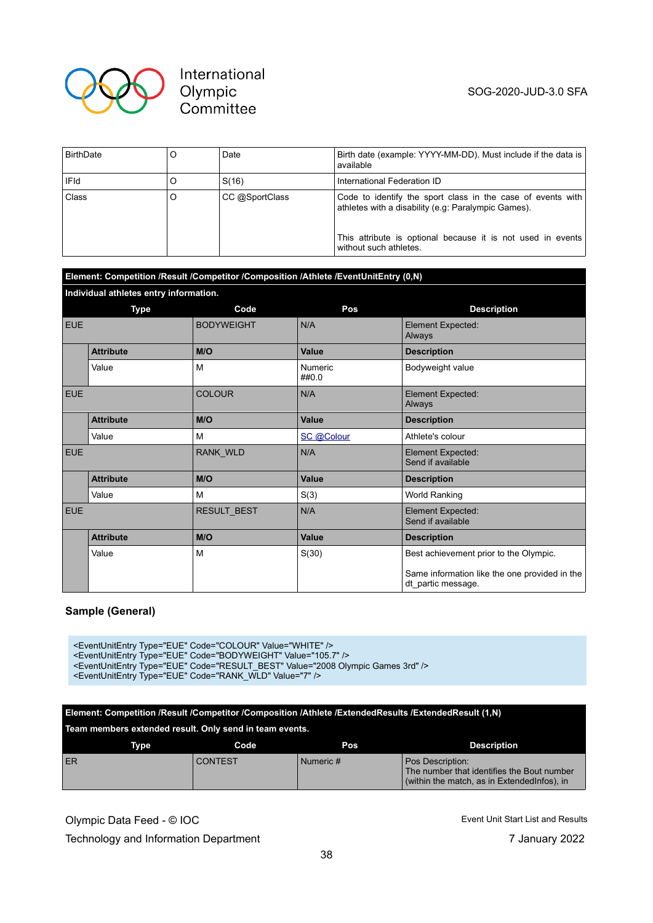

| <b>BirthDate</b> | O | Date           | Birth date (example: YYYY-MM-DD). Must include if the data is<br>available                                         |
|------------------|---|----------------|--------------------------------------------------------------------------------------------------------------------|
| IFId             | O | S(16)          | International Federation ID                                                                                        |
| Class            | O | CC @SportClass | Code to identify the sport class in the case of events with<br>athletes with a disability (e.g: Paralympic Games). |
|                  |   |                | This attribute is optional because it is not used in events<br>without such athletes.                              |

<span id="page-37-0"></span>

|            | Element: Competition /Result /Competitor /Composition /Athlete /EventUnitEntry (0,N) |                    |                         |                                                                                                               |  |  |  |
|------------|--------------------------------------------------------------------------------------|--------------------|-------------------------|---------------------------------------------------------------------------------------------------------------|--|--|--|
|            | Individual athletes entry information.                                               |                    |                         |                                                                                                               |  |  |  |
|            | <b>Type</b>                                                                          | Code               | Pos                     | <b>Description</b>                                                                                            |  |  |  |
| <b>EUE</b> |                                                                                      | <b>BODYWEIGHT</b>  | N/A                     | <b>Element Expected:</b><br>Always                                                                            |  |  |  |
|            | <b>Attribute</b>                                                                     | M/O                | Value                   | <b>Description</b>                                                                                            |  |  |  |
|            | Value                                                                                | м                  | <b>Numeric</b><br>##0.0 | Bodyweight value                                                                                              |  |  |  |
| <b>EUE</b> |                                                                                      | <b>COLOUR</b>      | N/A                     | Element Expected:<br>Always                                                                                   |  |  |  |
|            | <b>Attribute</b>                                                                     | M/O                | <b>Value</b>            | <b>Description</b>                                                                                            |  |  |  |
|            | Value                                                                                | M                  | SC @Colour              | Athlete's colour                                                                                              |  |  |  |
| <b>EUE</b> |                                                                                      | <b>RANK WLD</b>    | N/A                     | <b>Element Expected:</b><br>Send if available                                                                 |  |  |  |
|            | <b>Attribute</b>                                                                     | M/O                | Value                   | <b>Description</b>                                                                                            |  |  |  |
|            | Value                                                                                | M                  | S(3)                    | World Ranking                                                                                                 |  |  |  |
| <b>EUE</b> |                                                                                      | <b>RESULT BEST</b> | N/A                     | <b>Element Expected:</b><br>Send if available                                                                 |  |  |  |
|            | <b>Attribute</b>                                                                     | M/O                | Value                   | <b>Description</b>                                                                                            |  |  |  |
|            | Value                                                                                | м                  | S(30)                   | Best achievement prior to the Olympic.<br>Same information like the one provided in the<br>dt partic message. |  |  |  |

#### **Sample (General)**

<EventUnitEntry Type="EUE" Code="COLOUR" Value="WHITE" />

<EventUnitEntry Type="EUE" Code="BODYWEIGHT" Value="105.7" />

<EventUnitEntry Type="EUE" Code="RESULT\_BEST" Value="2008 Olympic Games 3rd" />

<EventUnitEntry Type="EUE" Code="RANK\_WLD" Value="7" />

<span id="page-37-1"></span>

| Element: Competition /Result /Competitor /Composition /Athlete /ExtendedResults /ExtendedResult (1,N) |                                   |  |                                                                                                               |  |  |  |  |
|-------------------------------------------------------------------------------------------------------|-----------------------------------|--|---------------------------------------------------------------------------------------------------------------|--|--|--|--|
| Team members extended result. Only send in team events.                                               |                                   |  |                                                                                                               |  |  |  |  |
| Type                                                                                                  | Pos<br><b>Description</b><br>Code |  |                                                                                                               |  |  |  |  |
| ER                                                                                                    | Numeric #<br><b>CONTEST</b>       |  | Pos Description:<br>The number that identifies the Bout number<br>(within the match, as in ExtendedInfos), in |  |  |  |  |

Olympic Data Feed - © IOC **Example 2018** Event Unit Start List and Results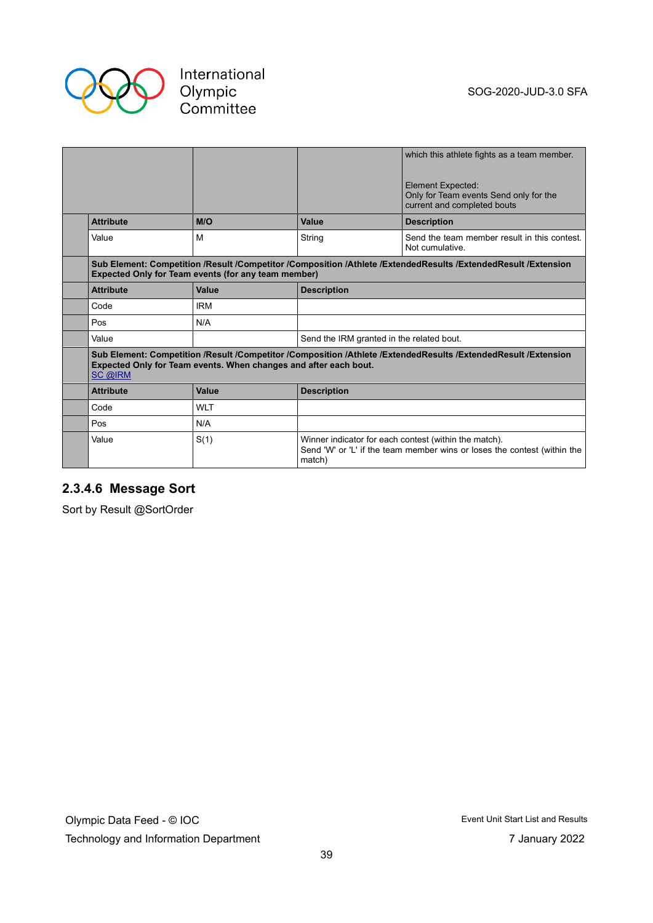

|                  |                                                                  |                                           | which this athlete fights as a team member.<br><b>Element Expected:</b>                                                           |  |  |
|------------------|------------------------------------------------------------------|-------------------------------------------|-----------------------------------------------------------------------------------------------------------------------------------|--|--|
|                  |                                                                  |                                           | Only for Team events Send only for the<br>current and completed bouts                                                             |  |  |
| <b>Attribute</b> | M/O                                                              | Value                                     | <b>Description</b>                                                                                                                |  |  |
| Value            | M                                                                | String                                    | Send the team member result in this contest.<br>Not cumulative.                                                                   |  |  |
|                  | Expected Only for Team events (for any team member)              |                                           | Sub Element: Competition /Result /Competitor /Composition /Athlete /ExtendedResults /ExtendedResult /Extension                    |  |  |
| <b>Attribute</b> | Value                                                            | <b>Description</b>                        |                                                                                                                                   |  |  |
| Code             | <b>IRM</b>                                                       |                                           |                                                                                                                                   |  |  |
| Pos              | N/A                                                              |                                           |                                                                                                                                   |  |  |
| Value            |                                                                  | Send the IRM granted in the related bout. |                                                                                                                                   |  |  |
| SC @IRM          | Expected Only for Team events. When changes and after each bout. |                                           | Sub Element: Competition /Result /Competitor /Composition /Athlete /ExtendedResults /ExtendedResult /Extension                    |  |  |
| <b>Attribute</b> | Value                                                            | <b>Description</b>                        |                                                                                                                                   |  |  |
| Code             | <b>WLT</b>                                                       |                                           |                                                                                                                                   |  |  |
| Pos              | N/A                                                              |                                           |                                                                                                                                   |  |  |
| Value            | S(1)                                                             | match)                                    | Winner indicator for each contest (within the match).<br>Send 'W' or 'L' if the team member wins or loses the contest (within the |  |  |

### <span id="page-38-0"></span>**2.3.4.6 Message Sort**

Sort by Result @SortOrder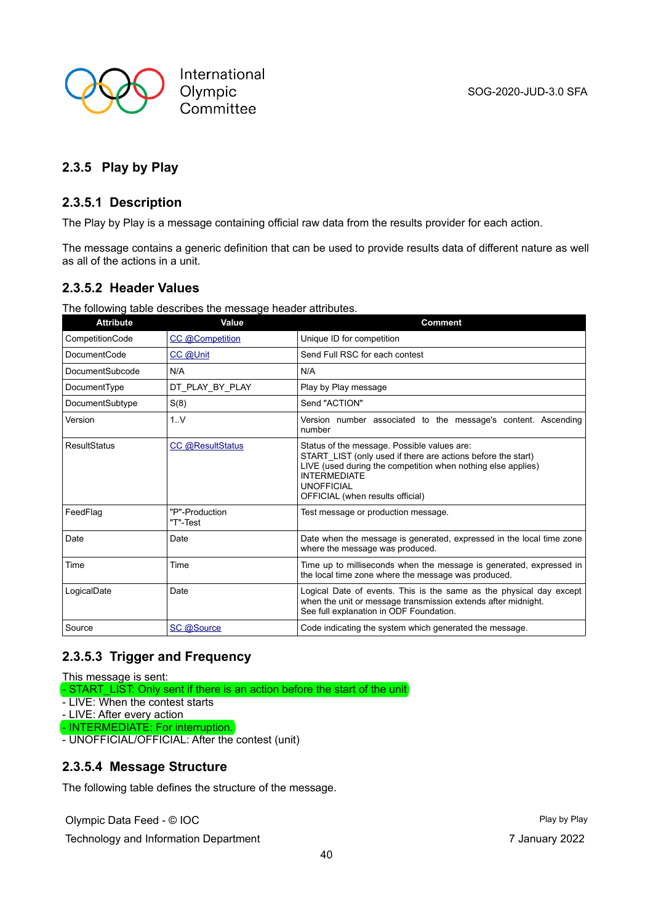

#### <span id="page-39-4"></span>**2.3.5 Play by Play**

#### <span id="page-39-3"></span>**2.3.5.1 Description**

The Play by Play is a message containing official raw data from the results provider for each action.

The message contains a generic definition that can be used to provide results data of different nature as well as all of the actions in a unit.

#### <span id="page-39-2"></span>**2.3.5.2 Header Values**

The following table describes the message header attributes.

| <b>Attribute</b>       | Value                      | <b>Comment</b>                                                                                                                                                                                                                                              |
|------------------------|----------------------------|-------------------------------------------------------------------------------------------------------------------------------------------------------------------------------------------------------------------------------------------------------------|
| CompetitionCode        | CC @Competition            | Unique ID for competition                                                                                                                                                                                                                                   |
| <b>DocumentCode</b>    | CC @Unit                   | Send Full RSC for each contest                                                                                                                                                                                                                              |
| <b>DocumentSubcode</b> | N/A                        | N/A                                                                                                                                                                                                                                                         |
| DocumentType           | DT PLAY BY PLAY            | Play by Play message                                                                                                                                                                                                                                        |
| DocumentSubtype        | S(8)                       | Send "ACTION"                                                                                                                                                                                                                                               |
| Version                | 1.1V                       | Version number associated to the message's content. Ascending<br>number                                                                                                                                                                                     |
| <b>ResultStatus</b>    | CC @ResultStatus           | Status of the message. Possible values are:<br>START LIST (only used if there are actions before the start)<br>LIVE (used during the competition when nothing else applies)<br><b>INTERMEDIATE</b><br><b>UNOFFICIAL</b><br>OFFICIAL (when results official) |
| FeedFlag               | "P"-Production<br>"T"-Test | Test message or production message.                                                                                                                                                                                                                         |
| Date                   | Date                       | Date when the message is generated, expressed in the local time zone<br>where the message was produced.                                                                                                                                                     |
| Time                   | Time                       | Time up to milliseconds when the message is generated, expressed in<br>the local time zone where the message was produced.                                                                                                                                  |
| LogicalDate            | Date                       | Logical Date of events. This is the same as the physical day except<br>when the unit or message transmission extends after midnight.<br>See full explanation in ODF Foundation.                                                                             |
| Source                 | SC @Source                 | Code indicating the system which generated the message.                                                                                                                                                                                                     |

#### <span id="page-39-1"></span>**2.3.5.3 Trigger and Frequency**

This message is sent:

- START\_LIST: Only sent if there is an action before the start of the unit
- LIVE: When the contest starts
- LIVE: After every action

- INTERMEDIATE: For interruption.

- UNOFFICIAL/OFFICIAL: After the contest (unit)

#### <span id="page-39-0"></span>**2.3.5.4 Message Structure**

The following table defines the structure of the message.

Olympic Data Feed - © IOC Play by Play by Play by Play by Play by Play by Play by Play by Play by Play by Play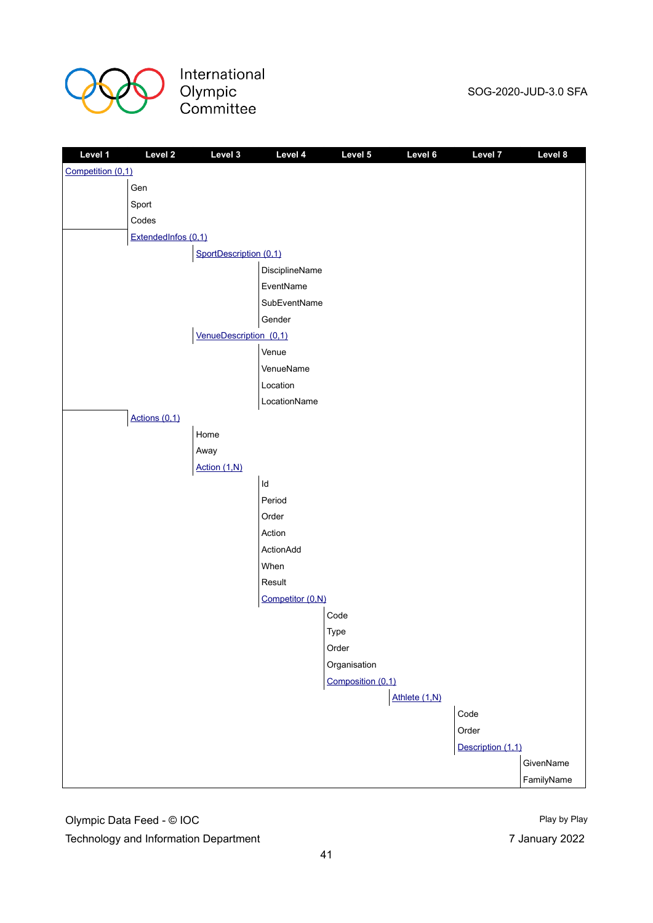

#### SOG-2020-JUD-3.0 SFA

| Level 1           | Level 2             | Level 3                | Level 4          | Level 5           | Level 6       | Level 7           | Level 8    |
|-------------------|---------------------|------------------------|------------------|-------------------|---------------|-------------------|------------|
| Competition (0,1) |                     |                        |                  |                   |               |                   |            |
|                   | Gen                 |                        |                  |                   |               |                   |            |
|                   | Sport               |                        |                  |                   |               |                   |            |
|                   | Codes               |                        |                  |                   |               |                   |            |
|                   | ExtendedInfos (0,1) |                        |                  |                   |               |                   |            |
|                   |                     | SportDescription (0,1) |                  |                   |               |                   |            |
|                   |                     |                        | DisciplineName   |                   |               |                   |            |
|                   |                     |                        | EventName        |                   |               |                   |            |
|                   |                     |                        | SubEventName     |                   |               |                   |            |
|                   |                     |                        | Gender           |                   |               |                   |            |
|                   |                     | VenueDescription (0,1) |                  |                   |               |                   |            |
|                   |                     |                        | Venue            |                   |               |                   |            |
|                   |                     |                        | VenueName        |                   |               |                   |            |
|                   |                     |                        | Location         |                   |               |                   |            |
|                   |                     |                        | LocationName     |                   |               |                   |            |
|                   | Actions (0,1)       |                        |                  |                   |               |                   |            |
|                   |                     | Home                   |                  |                   |               |                   |            |
|                   |                     | Away                   |                  |                   |               |                   |            |
|                   |                     | Action (1,N)           |                  |                   |               |                   |            |
|                   |                     |                        | ${\sf Id}$       |                   |               |                   |            |
|                   |                     |                        | Period           |                   |               |                   |            |
|                   |                     |                        | Order            |                   |               |                   |            |
|                   |                     |                        | Action           |                   |               |                   |            |
|                   |                     |                        | ActionAdd        |                   |               |                   |            |
|                   |                     |                        | When             |                   |               |                   |            |
|                   |                     |                        | Result           |                   |               |                   |            |
|                   |                     |                        | Competitor (0,N) |                   |               |                   |            |
|                   |                     |                        |                  | Code              |               |                   |            |
|                   |                     |                        |                  | Type              |               |                   |            |
|                   |                     |                        |                  | Order             |               |                   |            |
|                   |                     |                        |                  | Organisation      |               |                   |            |
|                   |                     |                        |                  | Composition (0,1) |               |                   |            |
|                   |                     |                        |                  |                   | Athlete (1,N) |                   |            |
|                   |                     |                        |                  |                   |               | Code              |            |
|                   |                     |                        |                  |                   |               | Order             |            |
|                   |                     |                        |                  |                   |               | Description (1,1) |            |
|                   |                     |                        |                  |                   |               |                   | GivenName  |
|                   |                     |                        |                  |                   |               |                   | FamilyName |

Olympic Data Feed - © IOC Play by Play by Play by Play by Play by Play by Play by Play by Play by Play by Play Technology and Information Department 7 January 2022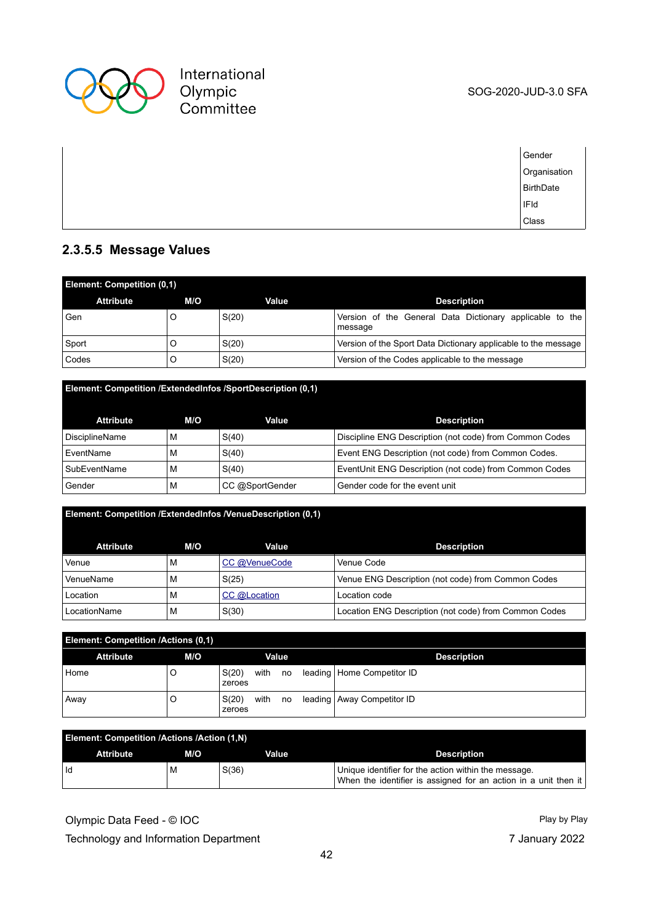

| Gender           |
|------------------|
| Organisation     |
| <b>BirthDate</b> |
| IFId             |
| Class            |

#### <span id="page-41-0"></span>**2.3.5.5 Message Values**

<span id="page-41-5"></span>

| <b>Element: Competition (0,1)</b> |     |       |                                                                     |
|-----------------------------------|-----|-------|---------------------------------------------------------------------|
| <b>Attribute</b>                  | M/O | Value | <b>Description</b>                                                  |
| Gen                               |     | S(20) | Version of the General Data Dictionary applicable to the<br>message |
| Sport                             |     | S(20) | Version of the Sport Data Dictionary applicable to the message      |
| Codes                             |     | S(20) | Version of the Codes applicable to the message                      |

#### <span id="page-41-4"></span>**Element: Competition /ExtendedInfos /SportDescription (0,1)**

| <b>Attribute</b>      | M/O | Value           | <b>Description</b>                                      |
|-----------------------|-----|-----------------|---------------------------------------------------------|
| <b>DisciplineName</b> | м   | S(40)           | Discipline ENG Description (not code) from Common Codes |
| EventName             | М   | S(40)           | Event ENG Description (not code) from Common Codes.     |
| SubEventName          | М   | S(40)           | EventUnit ENG Description (not code) from Common Codes  |
| Gender                | М   | CC @SportGender | Gender code for the event unit                          |

#### <span id="page-41-3"></span>**Element: Competition /ExtendedInfos /VenueDescription (0,1)**

| <b>Attribute</b> | M/O | Value         | <b>Description</b>                                    |
|------------------|-----|---------------|-------------------------------------------------------|
| Venue            | М   | CC @VenueCode | Venue Code                                            |
| VenueName        | М   | S(25)         | Venue ENG Description (not code) from Common Codes    |
| Location         | М   | CC @Location  | Location code                                         |
| LocationName     | М   | S(30)         | Location ENG Description (not code) from Common Codes |

<span id="page-41-2"></span>

| <b>Element: Competition /Actions (0,1)</b> |     |                 |      |       |  |                              |
|--------------------------------------------|-----|-----------------|------|-------|--|------------------------------|
| <b>Attribute</b>                           | M/O |                 |      | Value |  | <b>Description</b>           |
| Home                                       | O   | S(20)<br>zeroes | with | no    |  | leading   Home Competitor ID |
| Away                                       | O   | S(20)<br>zeroes | with | no    |  | leading   Away Competitor ID |

<span id="page-41-1"></span>

| <b>Element: Competition /Actions /Action (1,N)</b> |     |       |                                                                                                                         |
|----------------------------------------------------|-----|-------|-------------------------------------------------------------------------------------------------------------------------|
| Attribute                                          | M/O | Value | <b>Description</b>                                                                                                      |
| Id                                                 | М   | S(36) | Unique identifier for the action within the message.<br>When the identifier is assigned for an action in a unit then it |

Olympic Data Feed - © IOC Play by Play by Play by Play by Play by Play by Play by Play by Play by Play by Play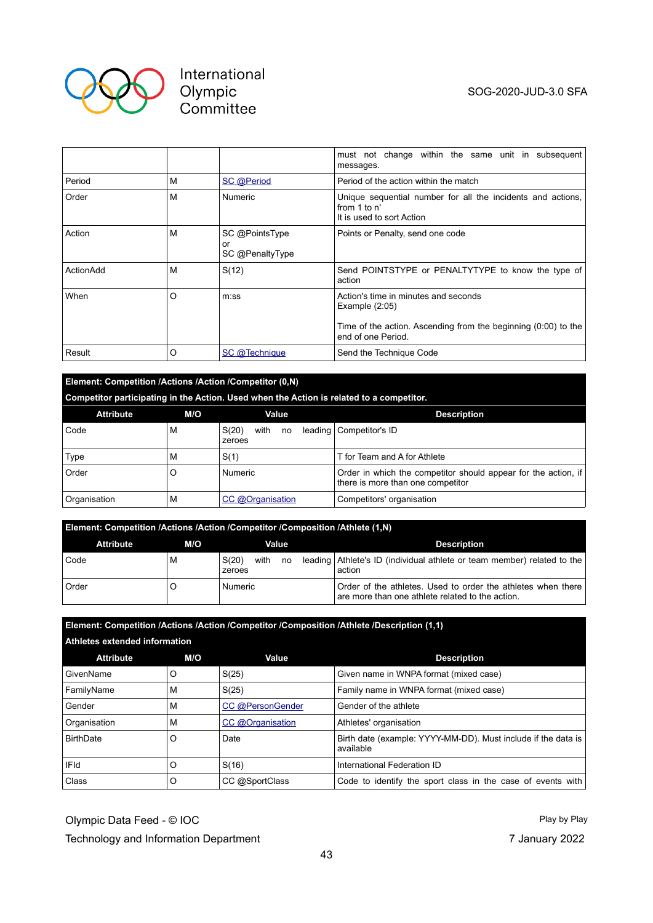

#### SOG-2020-JUD-3.0 SFA

|           |   |                                         | must not change within the same unit in subsequent<br>messages.                                                                                  |
|-----------|---|-----------------------------------------|--------------------------------------------------------------------------------------------------------------------------------------------------|
| Period    | М | <b>SC</b> @Period                       | Period of the action within the match                                                                                                            |
| Order     | M | <b>Numeric</b>                          | Unique sequential number for all the incidents and actions,<br>from 1 to n'<br>It is used to sort Action                                         |
| Action    | M | SC @PointsType<br>or<br>SC @PenaltyType | Points or Penalty, send one code                                                                                                                 |
| ActionAdd | M | S(12)                                   | Send POINTSTYPE or PENALTYTYPE to know the type of<br>action                                                                                     |
| When      | O | m:ss                                    | Action's time in minutes and seconds<br>Example $(2:05)$<br>Time of the action. Ascending from the beginning (0:00) to the<br>end of one Period. |
| Result    | O | SC @Technique                           | Send the Technique Code                                                                                                                          |

#### <span id="page-42-2"></span>**Element: Competition /Actions /Action /Competitor (0,N)**

**Competitor participating in the Action. Used when the Action is related to a competitor.**

| <b>Attribute</b> | M/O | Value                         | <b>Description</b>                                                                                  |
|------------------|-----|-------------------------------|-----------------------------------------------------------------------------------------------------|
| Code             | м   | S(20)<br>with<br>no<br>zeroes | leading   Competitor's ID                                                                           |
| Type             | м   | S(1)                          | T for Team and A for Athlete                                                                        |
| Order            |     | <b>Numeric</b>                | Order in which the competitor should appear for the action, if<br>there is more than one competitor |
| Organisation     | м   | CC @Organisation              | Competitors' organisation                                                                           |

#### <span id="page-42-1"></span>**Element: Competition /Actions /Action /Competitor /Composition /Athlete (1,N)**

| <b>Attribute</b> | M/O | Value                         | <b>Description</b>                                                                                               |
|------------------|-----|-------------------------------|------------------------------------------------------------------------------------------------------------------|
| Code             | м   | S(20)<br>with<br>no<br>zeroes | leading Athlete's ID (individual athlete or team member) related to the<br>action                                |
| Order            |     | Numeric                       | Order of the athletes. Used to order the athletes when there<br>are more than one athlete related to the action. |

#### <span id="page-42-0"></span>**Element: Competition /Actions /Action /Competitor /Composition /Athlete /Description (1,1)**

| Athletes extended information |     |                  |                                                                            |  |  |
|-------------------------------|-----|------------------|----------------------------------------------------------------------------|--|--|
| <b>Attribute</b>              | M/O | Value            | <b>Description</b>                                                         |  |  |
| GivenName                     | O   | S(25)            | Given name in WNPA format (mixed case)                                     |  |  |
| FamilyName                    | м   | S(25)            | Family name in WNPA format (mixed case)                                    |  |  |
| Gender                        | м   | CC @PersonGender | Gender of the athlete                                                      |  |  |
| Organisation                  | м   | CC @Organisation | Athletes' organisation                                                     |  |  |
| <b>BirthDate</b>              | O   | Date             | Birth date (example: YYYY-MM-DD). Must include if the data is<br>available |  |  |
| IFId                          | Ω   | S(16)            | International Federation ID                                                |  |  |
| <b>Class</b>                  | O   | CC @SportClass   | Code to identify the sport class in the case of events with                |  |  |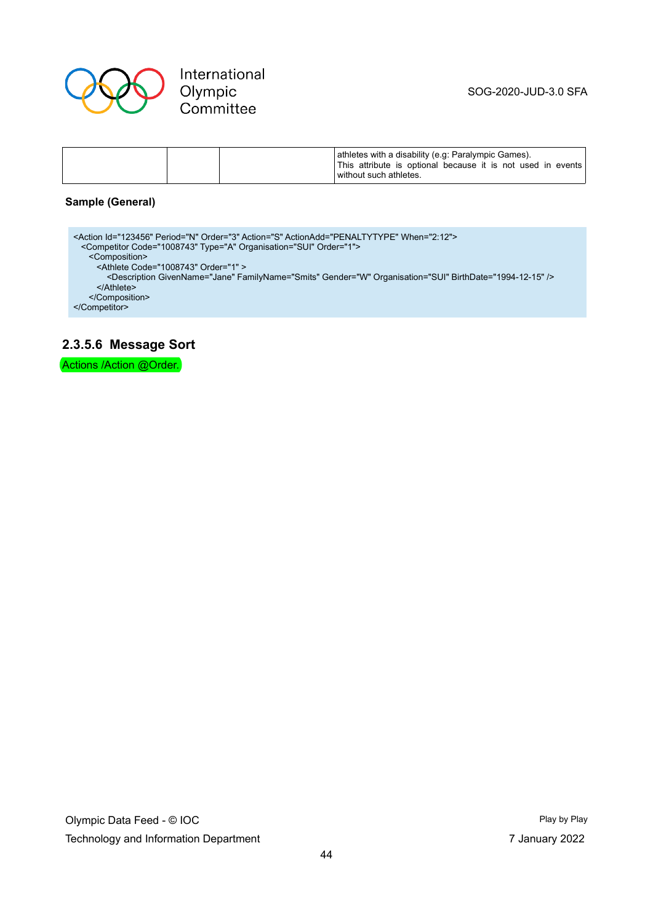

#### **Sample (General)**

| <action action="S" actionadd="PENALTYTYPE" id="123456" order="3" period="N" when="2:12"><br/><competitor code="1008743" order="1" organisation="SUI" type="A"><br/><composition><br/><athlete code="1008743" order="1"><br/><description birthdate="1994-12-15" familyname="Smits" gender="W" givenname="Jane" organisation="SUI"></description><br/><math>&lt;</math>/Athlete&gt;<br/></athlete></composition><br/></competitor></action> |  |
|--------------------------------------------------------------------------------------------------------------------------------------------------------------------------------------------------------------------------------------------------------------------------------------------------------------------------------------------------------------------------------------------------------------------------------------------|--|
|                                                                                                                                                                                                                                                                                                                                                                                                                                            |  |

#### <span id="page-43-0"></span>**2.3.5.6 Message Sort**

Actions /Action @Order.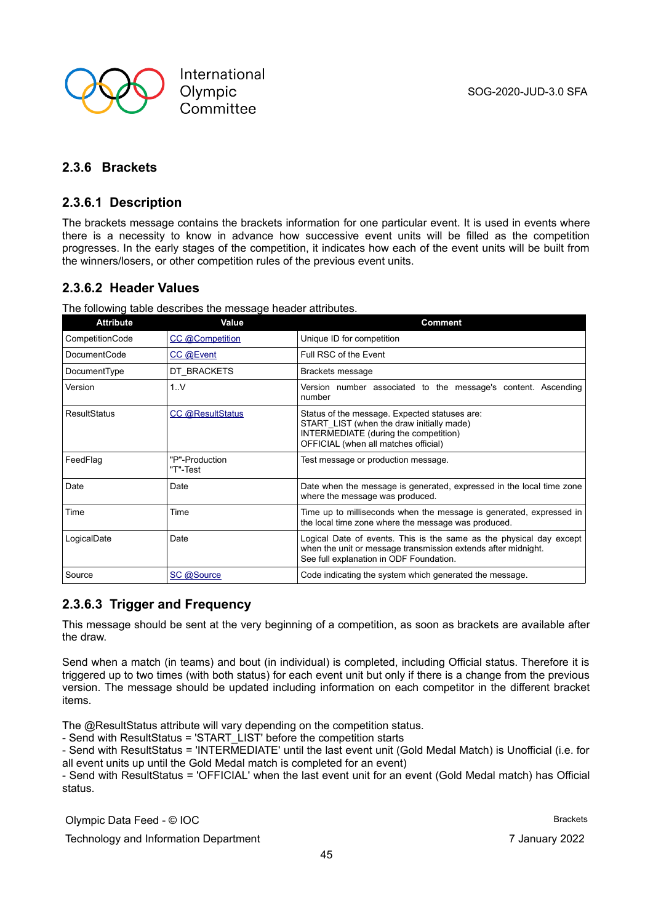

#### <span id="page-44-0"></span>**2.3.6 Brackets**

#### <span id="page-44-3"></span>**2.3.6.1 Description**

The brackets message contains the brackets information for one particular event. It is used in events where there is a necessity to know in advance how successive event units will be filled as the competition progresses. In the early stages of the competition, it indicates how each of the event units will be built from the winners/losers, or other competition rules of the previous event units.

#### <span id="page-44-2"></span>**2.3.6.2 Header Values**

The following table describes the message header attributes.

| <b>Attribute</b>    | Value                      | <b>Comment</b>                                                                                                                                                                  |  |  |  |
|---------------------|----------------------------|---------------------------------------------------------------------------------------------------------------------------------------------------------------------------------|--|--|--|
| CompetitionCode     | CC @Competition            | Unique ID for competition                                                                                                                                                       |  |  |  |
| DocumentCode        | CC @Event                  | Full RSC of the Event                                                                                                                                                           |  |  |  |
| DocumentType        | DT BRACKETS                | Brackets message                                                                                                                                                                |  |  |  |
| Version             | 1.1V                       | Version number associated to the message's content. Ascending<br>number                                                                                                         |  |  |  |
| <b>ResultStatus</b> | CC @ResultStatus           | Status of the message. Expected statuses are:<br>START LIST (when the draw initially made)<br>INTERMEDIATE (during the competition)<br>OFFICIAL (when all matches official)     |  |  |  |
| FeedFlag            | "P"-Production<br>"T"-Test | Test message or production message.                                                                                                                                             |  |  |  |
| Date                | Date                       | Date when the message is generated, expressed in the local time zone<br>where the message was produced.                                                                         |  |  |  |
| Time                | Time                       | Time up to milliseconds when the message is generated, expressed in<br>the local time zone where the message was produced.                                                      |  |  |  |
| LogicalDate         | Date                       | Logical Date of events. This is the same as the physical day except<br>when the unit or message transmission extends after midnight.<br>See full explanation in ODF Foundation. |  |  |  |
| Source              | SC @Source                 | Code indicating the system which generated the message.                                                                                                                         |  |  |  |

#### <span id="page-44-1"></span>**2.3.6.3 Trigger and Frequency**

This message should be sent at the very beginning of a competition, as soon as brackets are available after the draw.

Send when a match (in teams) and bout (in individual) is completed, including Official status. Therefore it is triggered up to two times (with both status) for each event unit but only if there is a change from the previous version. The message should be updated including information on each competitor in the different bracket items.

The @ResultStatus attribute will vary depending on the competition status.

- Send with ResultStatus = 'START\_LIST' before the competition starts

- Send with ResultStatus = 'INTERMEDIATE' until the last event unit (Gold Medal Match) is Unofficial (i.e. for all event units up until the Gold Medal match is completed for an event)

- Send with ResultStatus = 'OFFICIAL' when the last event unit for an event (Gold Medal match) has Official status.

Olympic Data Feed - © IOC Brackets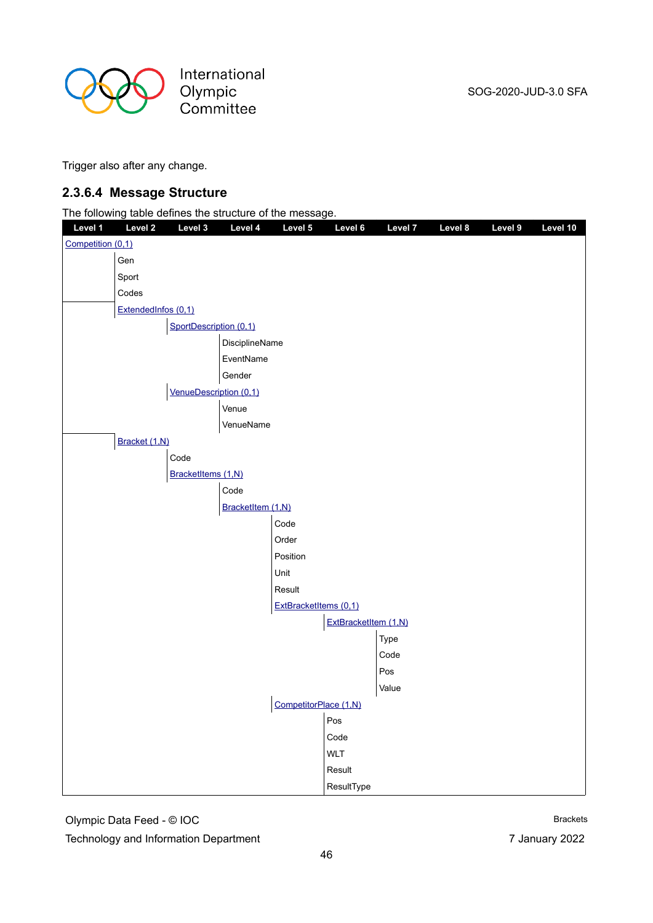

Trigger also after any change.

#### <span id="page-45-0"></span>**2.3.6.4 Message Structure**

The following table defines the structure of the message.

| Level 1           | Level 2             | Level 3                | Level 4           | Level 5               | Level 6              | Level 7      | Level 8 | Level 9 | Level 10 |
|-------------------|---------------------|------------------------|-------------------|-----------------------|----------------------|--------------|---------|---------|----------|
| Competition (0,1) |                     |                        |                   |                       |                      |              |         |         |          |
|                   | Gen                 |                        |                   |                       |                      |              |         |         |          |
|                   | Sport               |                        |                   |                       |                      |              |         |         |          |
|                   | Codes               |                        |                   |                       |                      |              |         |         |          |
|                   | ExtendedInfos (0,1) |                        |                   |                       |                      |              |         |         |          |
|                   |                     | SportDescription (0,1) |                   |                       |                      |              |         |         |          |
|                   |                     |                        | DisciplineName    |                       |                      |              |         |         |          |
|                   |                     |                        | EventName         |                       |                      |              |         |         |          |
|                   |                     |                        | Gender            |                       |                      |              |         |         |          |
|                   |                     | VenueDescription (0,1) |                   |                       |                      |              |         |         |          |
|                   |                     |                        | Venue             |                       |                      |              |         |         |          |
|                   |                     |                        | VenueName         |                       |                      |              |         |         |          |
|                   | Bracket (1,N)       |                        |                   |                       |                      |              |         |         |          |
|                   |                     | Code                   |                   |                       |                      |              |         |         |          |
|                   |                     | BracketItems (1,N)     |                   |                       |                      |              |         |         |          |
|                   |                     |                        | Code              |                       |                      |              |         |         |          |
|                   |                     |                        | BracketItem (1,N) |                       |                      |              |         |         |          |
|                   |                     |                        |                   | Code                  |                      |              |         |         |          |
|                   |                     |                        |                   | Order                 |                      |              |         |         |          |
|                   |                     |                        |                   | Position              |                      |              |         |         |          |
|                   |                     |                        |                   | Unit                  |                      |              |         |         |          |
|                   |                     |                        |                   | Result                |                      |              |         |         |          |
|                   |                     |                        |                   | ExtBracketItems (0,1) |                      |              |         |         |          |
|                   |                     |                        |                   |                       | ExtBracketItem (1,N) |              |         |         |          |
|                   |                     |                        |                   |                       |                      | Type<br>Code |         |         |          |
|                   |                     |                        |                   |                       |                      | Pos          |         |         |          |
|                   |                     |                        |                   |                       |                      | Value        |         |         |          |
|                   |                     |                        |                   | CompetitorPlace (1,N) |                      |              |         |         |          |
|                   |                     |                        |                   |                       | Pos                  |              |         |         |          |
|                   |                     |                        |                   |                       | Code                 |              |         |         |          |
|                   |                     |                        |                   |                       | <b>WLT</b>           |              |         |         |          |
|                   |                     |                        |                   |                       | Result               |              |         |         |          |
|                   |                     |                        |                   |                       | ResultType           |              |         |         |          |

Olympic Data Feed - © IOC Brackets Technology and Information Department 7 January 2022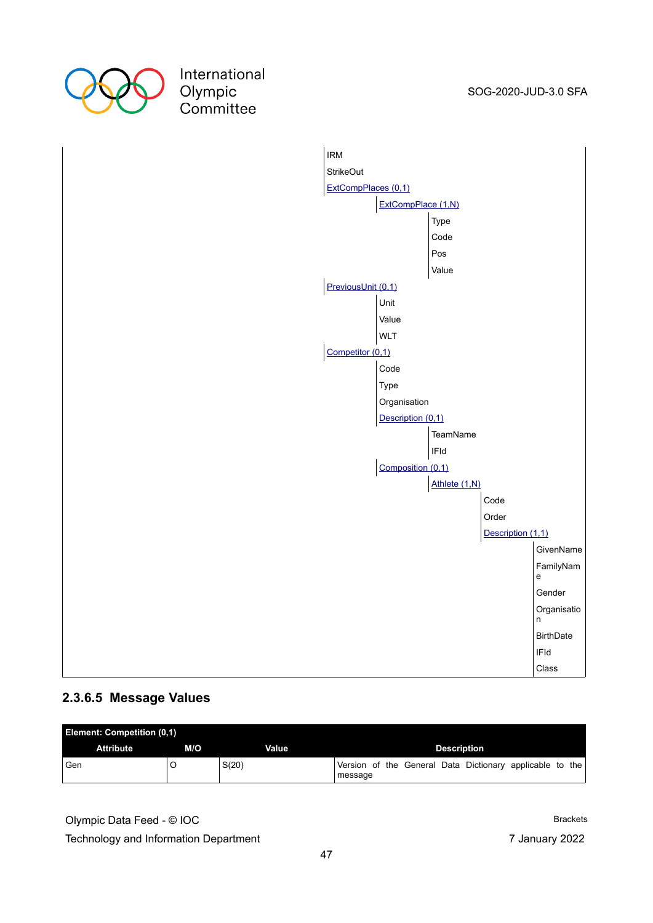



### <span id="page-46-0"></span>**2.3.6.5 Message Values**

<span id="page-46-1"></span>

| <b>Element: Competition (0,1)</b> |     |       |                                                                     |  |  |  |
|-----------------------------------|-----|-------|---------------------------------------------------------------------|--|--|--|
| <b>Attribute</b>                  | M/O | Value | <b>Description</b>                                                  |  |  |  |
| Gen                               |     | S(20) | Version of the General Data Dictionary applicable to the<br>message |  |  |  |

Olympic Data Feed - © IOC Brackets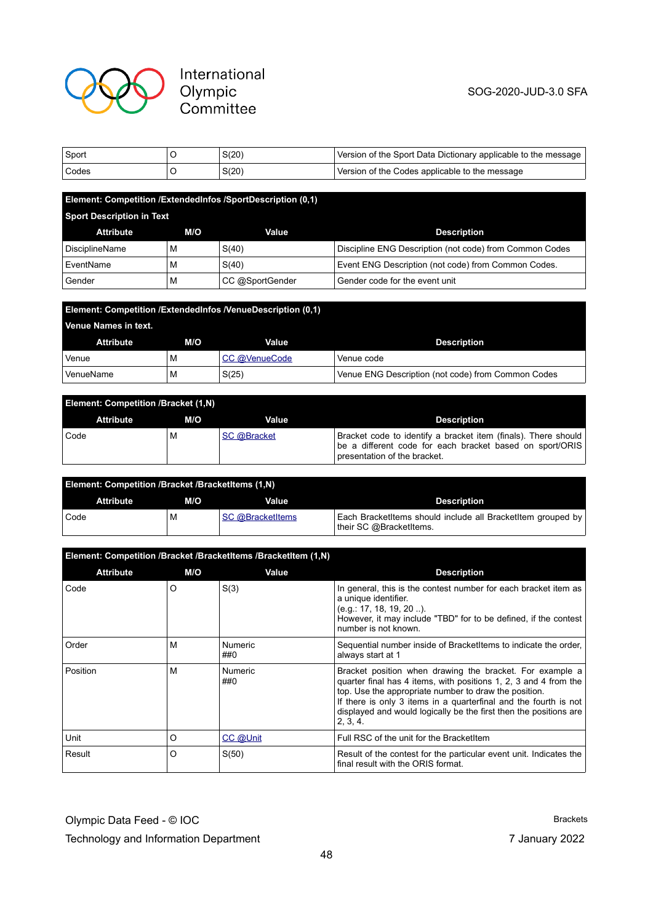

| Sport | S(20) | Version of the Sport Data Dictionary applicable to the message |
|-------|-------|----------------------------------------------------------------|
| Codes | S(20) | Version of the Codes applicable to the message                 |

<span id="page-47-5"></span>**Element: Competition /ExtendedInfos /SportDescription (0,1)**

| <b>Sport Description in Text</b> |     |                 |                                                         |  |  |  |
|----------------------------------|-----|-----------------|---------------------------------------------------------|--|--|--|
| <b>Attribute</b>                 | M/O | Value           | <b>Description</b>                                      |  |  |  |
| <b>DisciplineName</b>            | M   | S(40)           | Discipline ENG Description (not code) from Common Codes |  |  |  |
| EventName                        | м   | S(40)           | Event ENG Description (not code) from Common Codes.     |  |  |  |
| Gender                           | M   | CC @SportGender | Gender code for the event unit                          |  |  |  |

<span id="page-47-4"></span>

| <b>Element: Competition /ExtendedInfos /VenueDescription (0.1)</b> |     |               |                                                    |  |  |
|--------------------------------------------------------------------|-----|---------------|----------------------------------------------------|--|--|
| l Venue Names in text.                                             |     |               |                                                    |  |  |
| <b>Attribute</b>                                                   | M/O | Value         | <b>Description</b>                                 |  |  |
| Venue                                                              | м   | CC @VenueCode | Venue code                                         |  |  |
| VenueName                                                          | м   | S(25)         | Venue ENG Description (not code) from Common Codes |  |  |

<span id="page-47-3"></span>

| <b>Element: Competition /Bracket (1,N)</b> |     |             |                                                                                                                                                            |  |  |  |
|--------------------------------------------|-----|-------------|------------------------------------------------------------------------------------------------------------------------------------------------------------|--|--|--|
| <b>Attribute</b>                           | M/O | Value       | Description                                                                                                                                                |  |  |  |
| Code                                       | M   | SC @Bracket | Bracket code to identify a bracket item (finals). There should<br>be a different code for each bracket based on sport/ORIS<br>presentation of the bracket. |  |  |  |

<span id="page-47-2"></span>

| <b>Element: Competition /Bracket /BracketItems (1,N)</b> |     |                  |                                                                                        |  |  |
|----------------------------------------------------------|-----|------------------|----------------------------------------------------------------------------------------|--|--|
| <b>Attribute</b>                                         | M/O | Value            | <b>Description</b>                                                                     |  |  |
| Code                                                     | М   | SC @BracketItems | Each BracketItems should include all BracketItem grouped by<br>their SC @BracketItems. |  |  |

<span id="page-47-1"></span><span id="page-47-0"></span>

|                  | Element: Competition /Bracket /BracketItems /BracketItem (1,N) |                       |                                                                                                                                                                                                                                                                                                                                            |  |  |  |  |
|------------------|----------------------------------------------------------------|-----------------------|--------------------------------------------------------------------------------------------------------------------------------------------------------------------------------------------------------------------------------------------------------------------------------------------------------------------------------------------|--|--|--|--|
| <b>Attribute</b> | M/O                                                            | Value                 | <b>Description</b>                                                                                                                                                                                                                                                                                                                         |  |  |  |  |
| Code             | O                                                              | S(3)                  | In general, this is the contest number for each bracket item as<br>a unique identifier.<br>$(e.g.: 17, 18, 19, 20)$ .<br>However, it may include "TBD" for to be defined, if the contest<br>number is not known.                                                                                                                           |  |  |  |  |
| Order            | М                                                              | <b>Numeric</b><br>##0 | Sequential number inside of BracketItems to indicate the order.<br>always start at 1                                                                                                                                                                                                                                                       |  |  |  |  |
| Position         | М                                                              | <b>Numeric</b><br>##0 | Bracket position when drawing the bracket. For example a<br>quarter final has 4 items, with positions 1, 2, 3 and 4 from the<br>top. Use the appropriate number to draw the position.<br>If there is only 3 items in a quarterfinal and the fourth is not<br>displayed and would logically be the first then the positions are<br>2, 3, 4. |  |  |  |  |
| Unit             | O                                                              | CC @Unit              | Full RSC of the unit for the BracketItem                                                                                                                                                                                                                                                                                                   |  |  |  |  |
| Result           | O                                                              | S(50)                 | Result of the contest for the particular event unit. Indicates the<br>final result with the ORIS format.                                                                                                                                                                                                                                   |  |  |  |  |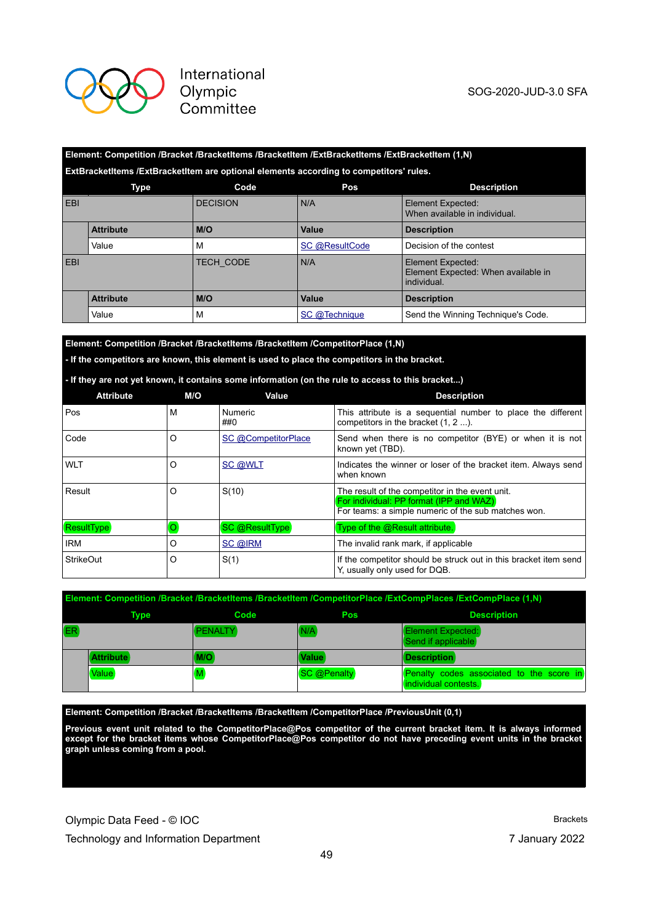

#### **Element: Competition /Bracket /BracketItems /BracketItem /ExtBracketItems /ExtBracketItem (1,N)**

#### **ExtBracketItems /ExtBracketItem are optional elements according to competitors' rules.**

|     | <b>Type</b>      | Code            | Pos            | <b>Description</b>                                                             |
|-----|------------------|-----------------|----------------|--------------------------------------------------------------------------------|
| EBI |                  | <b>DECISION</b> | N/A            | <b>Element Expected:</b><br>When available in individual.                      |
|     | <b>Attribute</b> | M/O             | Value          | <b>Description</b>                                                             |
|     | Value            | M               | SC @ResultCode | Decision of the contest                                                        |
| EBI |                  | TECH CODE       | N/A            | <b>Element Expected:</b><br>Element Expected: When available in<br>individual. |
|     | <b>Attribute</b> | M/O             | Value          | <b>Description</b>                                                             |
|     | Value            | M               | SC @Technique  | Send the Winning Technique's Code.                                             |

#### <span id="page-48-0"></span>**Element: Competition /Bracket /BracketItems /BracketItem /CompetitorPlace (1,N)**

#### **- If the competitors are known, this element is used to place the competitors in the bracket.**

#### **- If they are not yet known, it contains some information (on the rule to access to this bracket...)**

| <b>Attribute</b>  | M/O | Value                 | <b>Description</b>                                                                                                                                |
|-------------------|-----|-----------------------|---------------------------------------------------------------------------------------------------------------------------------------------------|
| Pos               | м   | <b>Numeric</b><br>##0 | This attribute is a sequential number to place the different<br>competitors in the bracket $(1, 2)$ .                                             |
| Code              | O   | SC @CompetitorPlace   | Send when there is no competitor (BYE) or when it is not<br>known yet (TBD).                                                                      |
| <b>WLT</b>        | O   | SC @WLT               | Indicates the winner or loser of the bracket item. Always send<br>when known                                                                      |
| Result            | O   | S(10)                 | The result of the competitor in the event unit.<br>For individual: PP format (IPP and WAZ)<br>For teams: a simple numeric of the sub matches won. |
| <b>ResultType</b> |     | <b>SC</b> @ResultType | Type of the @Result attribute.                                                                                                                    |
| <b>IRM</b>        | O   | SC @IRM               | The invalid rank mark, if applicable                                                                                                              |
| <b>StrikeOut</b>  | O   | S(1)                  | If the competitor should be struck out in this bracket item send<br>Y, usually only used for DQB.                                                 |

<span id="page-48-2"></span>**Element: Competition /Bracket /BracketItems /BracketItem /CompetitorPlace /ExtCompPlaces /ExtCompPlace (1,N) Type Code Pos Description**

| <b>ER</b> |                  | <b>PENALTY</b> | N/A                | Element Expected:<br>Send if applicable                                 |
|-----------|------------------|----------------|--------------------|-------------------------------------------------------------------------|
|           | <b>Attribute</b> | M/O            | Value              | <i><b>Description</b></i>                                               |
|           | Value            |                | <b>SC @Penalty</b> | <b>Penalty codes associated to the score in</b><br>individual contests. |

#### <span id="page-48-1"></span>**Element: Competition /Bracket /BracketItems /BracketItem /CompetitorPlace /PreviousUnit (0,1)**

**Previous event unit related to the CompetitorPlace@Pos competitor of the current bracket item. It is always informed except for the bracket items whose CompetitorPlace@Pos competitor do not have preceding event units in the bracket graph unless coming from a pool.**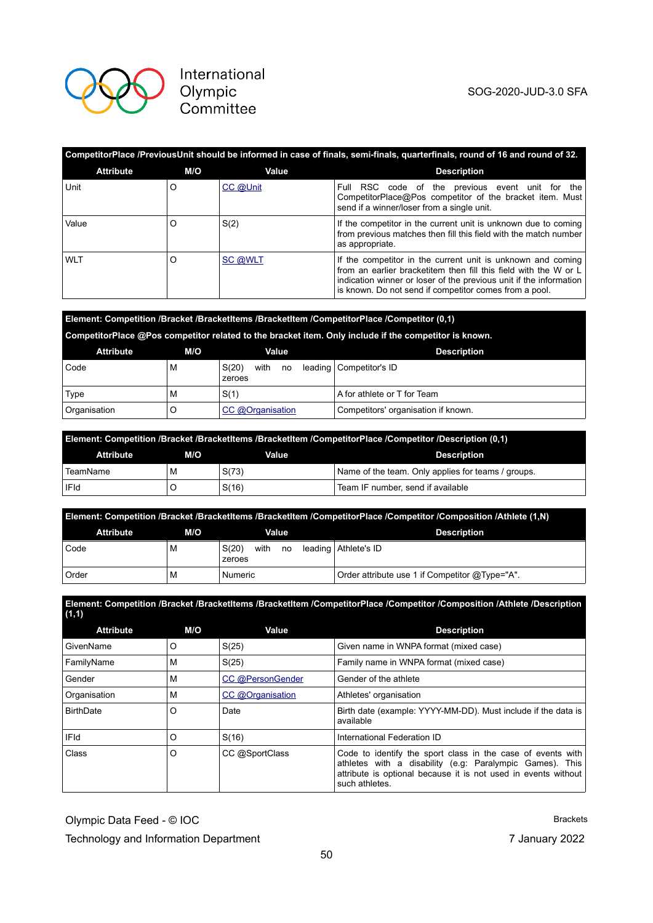

| CompetitorPlace /PreviousUnit should be informed in case of finals, semi-finals, quarterfinals, round of 16 and round of 32. |     |          |                                                                                                                                                                                                                                                                 |  |  |
|------------------------------------------------------------------------------------------------------------------------------|-----|----------|-----------------------------------------------------------------------------------------------------------------------------------------------------------------------------------------------------------------------------------------------------------------|--|--|
| <b>Attribute</b>                                                                                                             | M/O | Value    | <b>Description</b>                                                                                                                                                                                                                                              |  |  |
| Unit                                                                                                                         | O   | CC @Unit | RSC code of the previous event unit for the<br>Full<br>CompetitorPlace@Pos competitor of the bracket item. Must<br>send if a winner/loser from a single unit.                                                                                                   |  |  |
| Value                                                                                                                        | O   | S(2)     | If the competitor in the current unit is unknown due to coming<br>from previous matches then fill this field with the match number<br>as appropriate.                                                                                                           |  |  |
| <b>WLT</b>                                                                                                                   | O   | SC @WLT  | If the competitor in the current unit is unknown and coming<br>from an earlier bracketitem then fill this field with the W or L<br>indication winner or loser of the previous unit if the information<br>is known. Do not send if competitor comes from a pool. |  |  |

<span id="page-49-3"></span>

| Element: Competition /Bracket /BracketItems /BracketItem /CompetitorPlace /Competitor (0.1) |     |                               |                                                                                                       |  |  |
|---------------------------------------------------------------------------------------------|-----|-------------------------------|-------------------------------------------------------------------------------------------------------|--|--|
|                                                                                             |     |                               | CompetitorPlace @Pos competitor related to the bracket item. Only include if the competitor is known. |  |  |
| <b>Attribute</b>                                                                            | M/O | Value                         | <b>Description</b>                                                                                    |  |  |
| Code                                                                                        | м   | S(20)<br>with<br>no<br>zeroes | leading   Competitor's ID                                                                             |  |  |
| Type                                                                                        | м   | S(1)                          | A for athlete or T for Team                                                                           |  |  |
| Organisation                                                                                | O   | CC @Organisation              | Competitors' organisation if known.                                                                   |  |  |

<span id="page-49-2"></span>

| Element: Competition /Bracket /BracketItems /BracketItem /CompetitorPlace /Competitor /Description (0.1) |   |       |                                                    |  |  |
|----------------------------------------------------------------------------------------------------------|---|-------|----------------------------------------------------|--|--|
| <b>Attribute</b><br>M/O<br>Value<br><b>Description</b>                                                   |   |       |                                                    |  |  |
| TeamName                                                                                                 | M | S(73) | Name of the team. Only applies for teams / groups. |  |  |
| i IFId                                                                                                   |   | S(16) | Team IF number, send if available                  |  |  |
|                                                                                                          |   |       |                                                    |  |  |

<span id="page-49-1"></span>

| Element: Competition /Bracket /BracketItems /BracketItem /CompetitorPlace /Competitor /Composition /Athlete (1,N) |     |                               |  |                                                |  |
|-------------------------------------------------------------------------------------------------------------------|-----|-------------------------------|--|------------------------------------------------|--|
| <b>Attribute</b>                                                                                                  | M/O | Value                         |  | <b>Description</b>                             |  |
| Code                                                                                                              | м   | S(20)<br>with<br>no<br>zeroes |  | leading   Athlete's ID                         |  |
| Order                                                                                                             | м   | Numeric                       |  | Order attribute use 1 if Competitor @Type="A". |  |

<span id="page-49-0"></span>**Element: Competition /Bracket /BracketItems /BracketItem /CompetitorPlace /Competitor /Composition /Athlete /Description (1,1)**

| <b>Attribute</b> | M/O | Value                                                                              | <b>Description</b>                                                                                                                                                                                          |
|------------------|-----|------------------------------------------------------------------------------------|-------------------------------------------------------------------------------------------------------------------------------------------------------------------------------------------------------------|
| GivenName        | O   | S(25)                                                                              | Given name in WNPA format (mixed case)                                                                                                                                                                      |
| FamilyName       | м   | S(25)                                                                              | Family name in WNPA format (mixed case)                                                                                                                                                                     |
| Gender           | м   | CC @PersonGender                                                                   | Gender of the athlete                                                                                                                                                                                       |
| Organisation     | м   | CC @Organisation                                                                   | Athletes' organisation                                                                                                                                                                                      |
| <b>BirthDate</b> | O   | Birth date (example: YYYY-MM-DD). Must include if the data is<br>Date<br>available |                                                                                                                                                                                                             |
| IFId             | O   | S(16)                                                                              | International Federation ID                                                                                                                                                                                 |
| Class            | O   | CC @SportClass                                                                     | Code to identify the sport class in the case of events with<br>athletes with a disability (e.g. Paralympic Games). This<br>attribute is optional because it is not used in events without<br>such athletes. |

Olympic Data Feed - © IOC Brackets Technology and Information Department 7 January 2022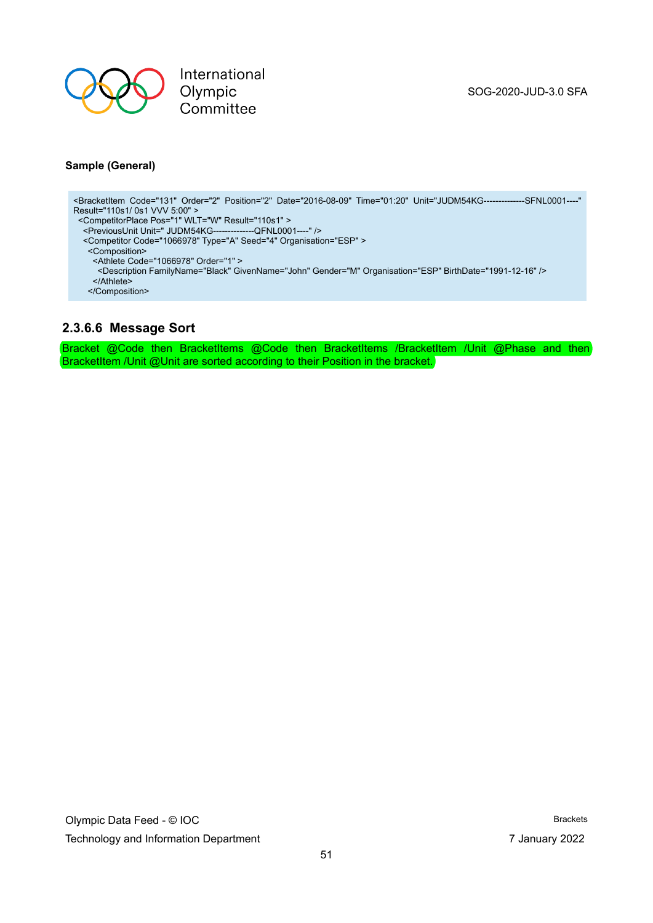

#### **Sample (General)**

<BracketItem Code="131" Order="2" Position="2" Date="2016-08-09" Time="01:20" Unit="JUDM54KG--------------SFNL0001----" Result="110s1/ 0s1 VVV 5:00" > <CompetitorPlace Pos="1" WLT="W" Result="110s1" > <PreviousUnit Unit=" JUDM54KG--------------QFNL0001----" /> <Competitor Code="1066978" Type="A" Seed="4" Organisation="ESP" > <Composition> <Athlete Code="1066978" Order="1" > <Description FamilyName="Black" GivenName="John" Gender="M" Organisation="ESP" BirthDate="1991-12-16" /> </Athlete> </Composition>

#### <span id="page-50-0"></span>**2.3.6.6 Message Sort**

Bracket @Code then BracketItems @Code then BracketItems /BracketItem /Unit @Phase and then BracketItem /Unit @Unit are sorted according to their Position in the bracket.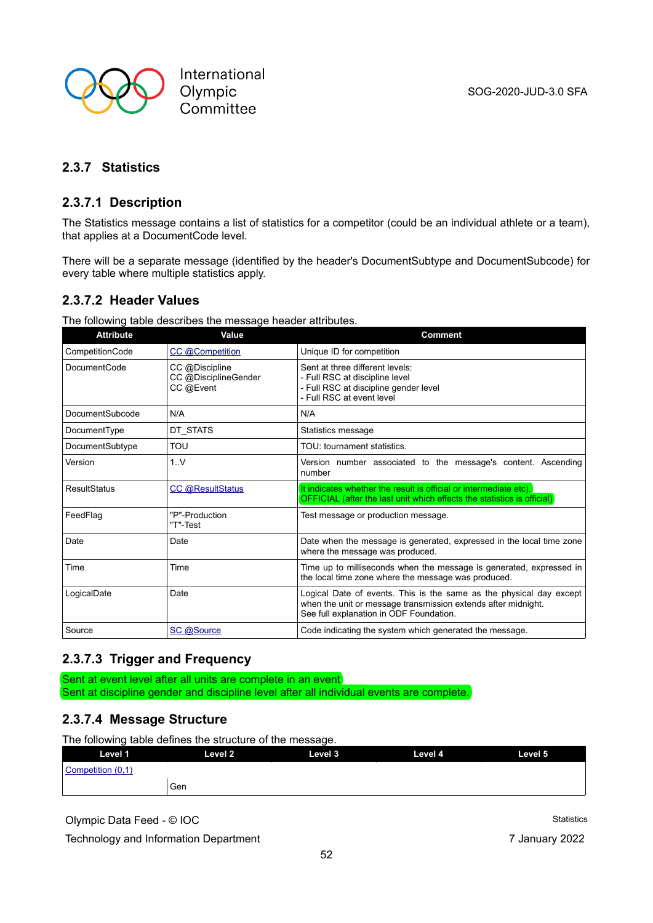

#### <span id="page-51-4"></span>**2.3.7 Statistics**

#### <span id="page-51-3"></span>**2.3.7.1 Description**

The Statistics message contains a list of statistics for a competitor (could be an individual athlete or a team), that applies at a DocumentCode level.

There will be a separate message (identified by the header's DocumentSubtype and DocumentSubcode) for every table where multiple statistics apply.

#### <span id="page-51-2"></span>**2.3.7.2 Header Values**

The following table describes the message header attributes.

| <b>Attribute</b>    | Value                                               | <b>Comment</b>                                                                                                                                                                  |
|---------------------|-----------------------------------------------------|---------------------------------------------------------------------------------------------------------------------------------------------------------------------------------|
| CompetitionCode     | CC @Competition                                     | Unique ID for competition                                                                                                                                                       |
| DocumentCode        | CC @Discipline<br>CC @DisciplineGender<br>CC @Event | Sent at three different levels:<br>- Full RSC at discipline level<br>- Full RSC at discipline gender level<br>- Full RSC at event level                                         |
| DocumentSubcode     | N/A                                                 | N/A                                                                                                                                                                             |
| DocumentType        | DT STATS                                            | Statistics message                                                                                                                                                              |
| DocumentSubtype     | <b>TOU</b>                                          | TOU: tournament statistics.                                                                                                                                                     |
| Version             | 1. V                                                | Version number associated to the message's content. Ascending<br>number                                                                                                         |
| <b>ResultStatus</b> | CC @ResultStatus                                    | It indicates whether the result is official or intermediate etc).<br>OFFICIAL (after the last unit which effects the statistics is official)                                    |
| FeedFlag            | "P"-Production<br>"T"-Test                          | Test message or production message.                                                                                                                                             |
| Date                | Date                                                | Date when the message is generated, expressed in the local time zone<br>where the message was produced.                                                                         |
| Time                | Time                                                | Time up to milliseconds when the message is generated, expressed in<br>the local time zone where the message was produced.                                                      |
| LogicalDate         | Date                                                | Logical Date of events. This is the same as the physical day except<br>when the unit or message transmission extends after midnight.<br>See full explanation in ODF Foundation. |
| Source              | SC @Source                                          | Code indicating the system which generated the message.                                                                                                                         |

#### <span id="page-51-1"></span>**2.3.7.3 Trigger and Frequency**

Sent at event level after all units are complete in an event Sent at discipline gender and discipline level after all individual events are complete.

#### <span id="page-51-0"></span>**2.3.7.4 Message Structure**

The following table defines the structure of the message.

| Level 1           | Level 2 | Level 3 | Level 4 | Level 5 |
|-------------------|---------|---------|---------|---------|
| Competition (0,1) |         |         |         |         |
|                   | Gen     |         |         |         |

Olympic Data Feed - © IOC Statistics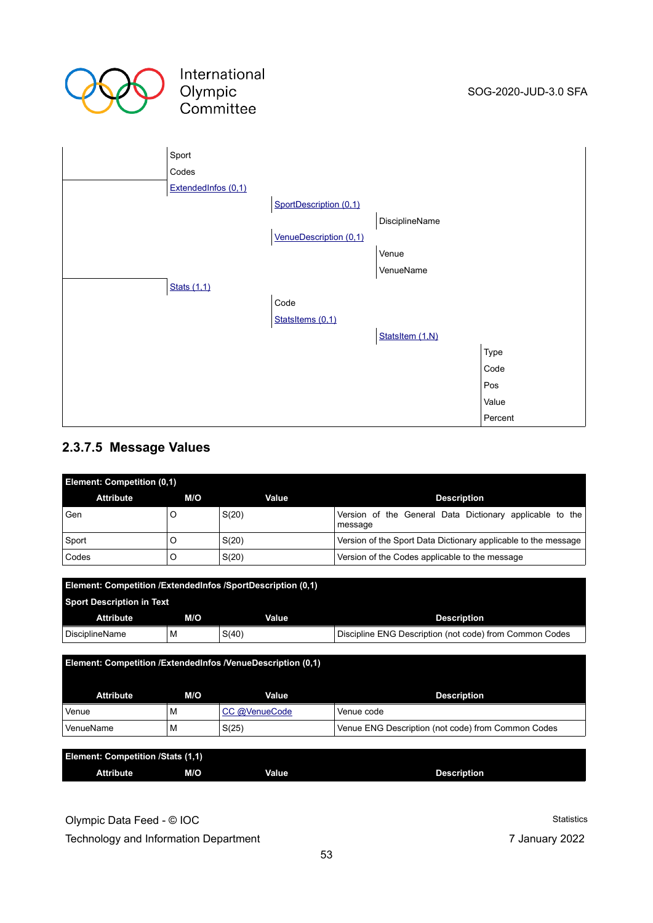



### <span id="page-52-0"></span>**2.3.7.5 Message Values**

<span id="page-52-4"></span><span id="page-52-3"></span><span id="page-52-1"></span>

| Element: Competition (0,1)                                  |     |                                                             |                                                                     |  |  |  |
|-------------------------------------------------------------|-----|-------------------------------------------------------------|---------------------------------------------------------------------|--|--|--|
| <b>Attribute</b>                                            | M/O | Value                                                       | <b>Description</b>                                                  |  |  |  |
| Gen                                                         | O   | S(20)                                                       | Version of the General Data Dictionary applicable to the<br>message |  |  |  |
| Sport                                                       | O   | S(20)                                                       | Version of the Sport Data Dictionary applicable to the message      |  |  |  |
| Codes                                                       | O   | S(20)                                                       | Version of the Codes applicable to the message                      |  |  |  |
|                                                             |     |                                                             |                                                                     |  |  |  |
| Element: Competition /ExtendedInfos /SportDescription (0,1) |     |                                                             |                                                                     |  |  |  |
| <b>Sport Description in Text</b>                            |     |                                                             |                                                                     |  |  |  |
| <b>Attribute</b>                                            | M/O | Value                                                       | <b>Description</b>                                                  |  |  |  |
| DisciplineName                                              | М   | S(40)                                                       | Discipline ENG Description (not code) from Common Codes             |  |  |  |
|                                                             |     |                                                             |                                                                     |  |  |  |
|                                                             |     | Element: Competition /ExtendedInfos /VenueDescription (0,1) |                                                                     |  |  |  |
|                                                             |     |                                                             |                                                                     |  |  |  |
| <b>Attribute</b>                                            | M/O | Value                                                       | <b>Description</b>                                                  |  |  |  |
| Venue                                                       | м   | CC @VenueCode                                               | Venue code                                                          |  |  |  |
| VenueName                                                   | М   | S(25)                                                       | Venue ENG Description (not code) from Common Codes                  |  |  |  |
|                                                             |     |                                                             |                                                                     |  |  |  |
| Element: Competition /Stats (1,1)                           |     |                                                             |                                                                     |  |  |  |
| <b>Attribute</b>                                            | M/O | Value                                                       | <b>Description</b>                                                  |  |  |  |

<span id="page-52-2"></span>Olympic Data Feed - © IOC Statistics Technology and Information Department 7 January 2022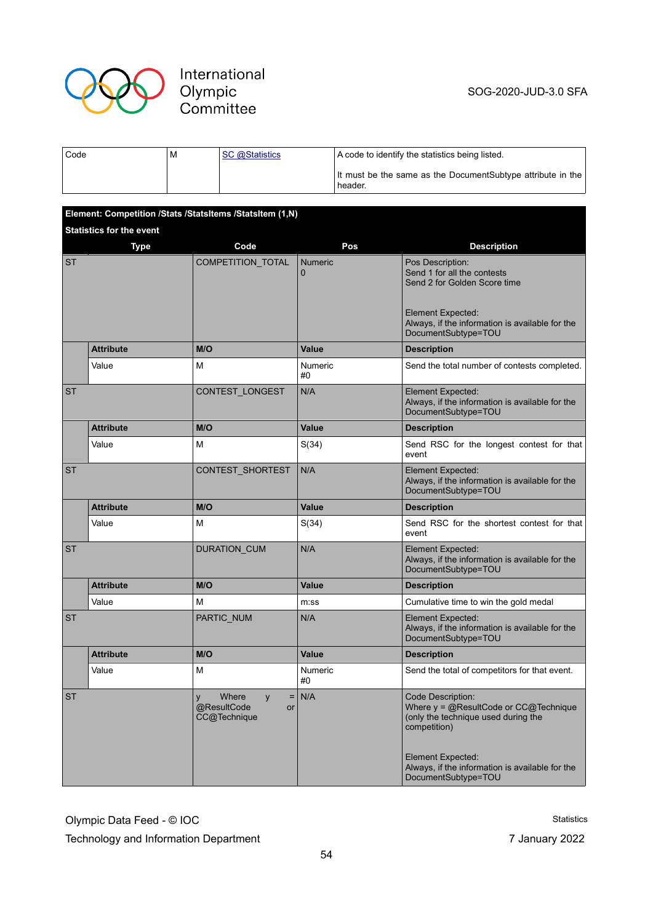

#### SOG-2020-JUD-3.0 SFA

| Code | М | SC @Statistics | A code to identify the statistics being listed.                        |
|------|---|----------------|------------------------------------------------------------------------|
|      |   |                | It must be the same as the DocumentSubtype attribute in the<br>header. |

<span id="page-53-0"></span>

| Element: Competition /Stats /StatsItems /StatsItem (1,N) |                                 |                                                                 |                     |                                                                                                                                                                                |  |  |
|----------------------------------------------------------|---------------------------------|-----------------------------------------------------------------|---------------------|--------------------------------------------------------------------------------------------------------------------------------------------------------------------------------|--|--|
|                                                          | <b>Statistics for the event</b> |                                                                 |                     |                                                                                                                                                                                |  |  |
|                                                          | <b>Type</b>                     | Code                                                            | Pos                 | <b>Description</b>                                                                                                                                                             |  |  |
| <b>ST</b>                                                |                                 | COMPETITION_TOTAL                                               | Numeric<br>$\Omega$ | Pos Description:<br>Send 1 for all the contests<br>Send 2 for Golden Score time<br>Element Expected:<br>Always, if the information is available for the<br>DocumentSubtype=TOU |  |  |
|                                                          | <b>Attribute</b>                | M/O                                                             | <b>Value</b>        | <b>Description</b>                                                                                                                                                             |  |  |
|                                                          | Value                           | М                                                               | Numeric<br>#0       | Send the total number of contests completed.                                                                                                                                   |  |  |
| <b>ST</b>                                                |                                 | <b>CONTEST LONGEST</b>                                          | N/A                 | Element Expected:<br>Always, if the information is available for the<br>DocumentSubtype=TOU                                                                                    |  |  |
|                                                          | <b>Attribute</b>                | M/O                                                             | <b>Value</b>        | <b>Description</b>                                                                                                                                                             |  |  |
|                                                          | Value                           | M                                                               | S(34)               | Send RSC for the longest contest for that<br>event                                                                                                                             |  |  |
| <b>ST</b>                                                |                                 | CONTEST_SHORTEST                                                | N/A                 | <b>Element Expected:</b><br>Always, if the information is available for the<br>DocumentSubtype=TOU                                                                             |  |  |
|                                                          | <b>Attribute</b>                | M/O                                                             | Value               | <b>Description</b>                                                                                                                                                             |  |  |
|                                                          | Value                           | M                                                               | S(34)               | Send RSC for the shortest contest for that<br>event                                                                                                                            |  |  |
| <b>ST</b>                                                |                                 | DURATION_CUM                                                    | N/A                 | <b>Element Expected:</b><br>Always, if the information is available for the<br>DocumentSubtype=TOU                                                                             |  |  |
|                                                          | <b>Attribute</b>                | M/O                                                             | <b>Value</b>        | <b>Description</b>                                                                                                                                                             |  |  |
|                                                          | Value                           | M                                                               | m:ss                | Cumulative time to win the gold medal                                                                                                                                          |  |  |
| <b>ST</b>                                                |                                 | PARTIC_NUM                                                      | N/A                 | <b>Element Expected:</b><br>Always, if the information is available for the<br>DocumentSubtype=TOU                                                                             |  |  |
|                                                          | <b>Attribute</b>                | M/O                                                             | <b>Value</b>        | <b>Description</b>                                                                                                                                                             |  |  |
|                                                          | Value                           | М                                                               | Numeric<br>#0       | Send the total of competitors for that event.                                                                                                                                  |  |  |
| <b>ST</b>                                                |                                 | Where<br>$\mathsf{V}$<br>y<br>@ResultCode<br>or<br>CC@Technique | $=$ $N/A$           | Code Description:<br>Where y = @ResultCode or CC@Technique<br>(only the technique used during the<br>competition)                                                              |  |  |
|                                                          |                                 |                                                                 |                     | Element Expected:<br>Always, if the information is available for the<br>DocumentSubtype=TOU                                                                                    |  |  |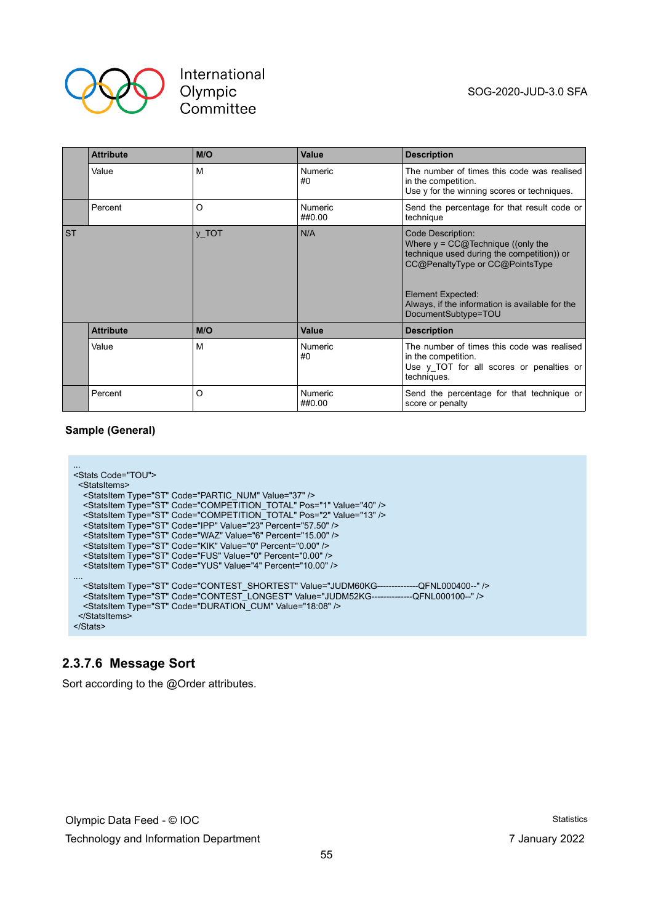

#### SOG-2020-JUD-3.0 SFA

|           | <b>Attribute</b> | M/O   | <b>Value</b>             | <b>Description</b>                                                                                                                                                                                                                               |
|-----------|------------------|-------|--------------------------|--------------------------------------------------------------------------------------------------------------------------------------------------------------------------------------------------------------------------------------------------|
|           | Value            | м     | <b>Numeric</b><br>#0     | The number of times this code was realised<br>in the competition.<br>Use y for the winning scores or techniques.                                                                                                                                 |
|           | Percent          | O     | <b>Numeric</b><br>##0.00 | Send the percentage for that result code or<br>technique                                                                                                                                                                                         |
| <b>ST</b> |                  | y TOT | N/A                      | Code Description:<br>Where $y = CC@$ Technique ((only the<br>technique used during the competition)) or<br>CC@PenaltyType or CC@PointsType<br><b>Element Expected:</b><br>Always, if the information is available for the<br>DocumentSubtype=TOU |
|           | <b>Attribute</b> | M/O   | <b>Value</b>             | <b>Description</b>                                                                                                                                                                                                                               |
|           | Value            | м     | <b>Numeric</b><br>#0     | The number of times this code was realised<br>in the competition.<br>Use y TOT for all scores or penalties or<br>techniques.                                                                                                                     |
|           | Percent          | O     | <b>Numeric</b><br>##0.00 | Send the percentage for that technique or<br>score or penalty                                                                                                                                                                                    |

#### **Sample (General)**

...

```
<Stats Code="TOU">
 <StatsItems>
   <StatsItem Type="ST" Code="PARTIC_NUM" Value="37" />
 <StatsItem Type="ST" Code="COMPETITION_TOTAL" Pos="1" Value="40" />
 <StatsItem Type="ST" Code="COMPETITION_TOTAL" Pos="2" Value="13" />
 <StatsItem Type="ST" Code="IPP" Value="23" Percent="57.50" />
 <StatsItem Type="ST" Code="WAZ" Value="6" Percent="15.00" />
 <StatsItem Type="ST" Code="KIK" Value="0" Percent="0.00" />
 <StatsItem Type="ST" Code="FUS" Value="0" Percent="0.00" />
 <StatsItem Type="ST" Code="YUS" Value="4" Percent="10.00" />
....
 <StatsItem Type="ST" Code="CONTEST_SHORTEST" Value="JUDM60KG--------------QFNL000400--" />
 <StatsItem Type="ST" Code="CONTEST_LONGEST" Value="JUDM52KG--------------QFNL000100--" />
   <StatsItem Type="ST" Code="DURATION_CUM" Value="18:08" />
 </StatsItems>
</Stats>
```
#### <span id="page-54-0"></span>**2.3.7.6 Message Sort**

Sort according to the @Order attributes.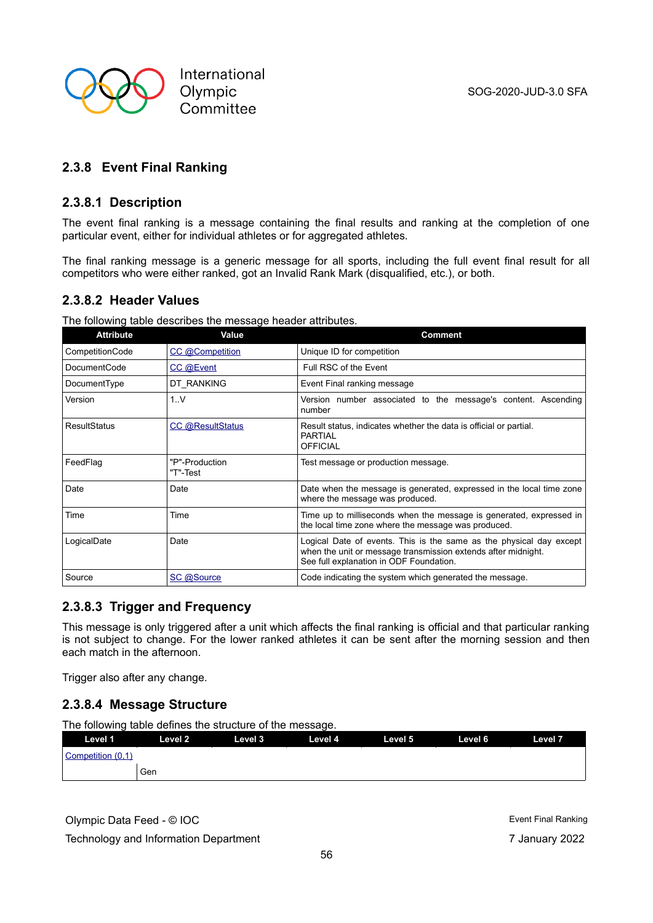

#### <span id="page-55-4"></span>**2.3.8 Event Final Ranking**

#### <span id="page-55-3"></span>**2.3.8.1 Description**

The event final ranking is a message containing the final results and ranking at the completion of one particular event, either for individual athletes or for aggregated athletes.

The final ranking message is a generic message for all sports, including the full event final result for all competitors who were either ranked, got an Invalid Rank Mark (disqualified, etc.), or both.

#### <span id="page-55-2"></span>**2.3.8.2 Header Values**

The following table describes the message header attributes.

| <b>Attribute</b>    | Value                      | <b>Comment</b>                                                                                                                                                                  |
|---------------------|----------------------------|---------------------------------------------------------------------------------------------------------------------------------------------------------------------------------|
| CompetitionCode     | CC @Competition            | Unique ID for competition                                                                                                                                                       |
| DocumentCode        | CC @Event                  | Full RSC of the Event                                                                                                                                                           |
| DocumentType        | DT RANKING                 | Event Final ranking message                                                                                                                                                     |
| Version             | 1.1V                       | Version number associated to the message's content. Ascending<br>number                                                                                                         |
| <b>ResultStatus</b> | CC @ResultStatus           | Result status, indicates whether the data is official or partial.<br><b>PARTIAL</b><br><b>OFFICIAL</b>                                                                          |
| FeedFlag            | "P"-Production<br>"T"-Test | Test message or production message.                                                                                                                                             |
| Date                | Date                       | Date when the message is generated, expressed in the local time zone<br>where the message was produced.                                                                         |
| Time                | Time                       | Time up to milliseconds when the message is generated, expressed in<br>the local time zone where the message was produced.                                                      |
| LogicalDate         | Date                       | Logical Date of events. This is the same as the physical day except<br>when the unit or message transmission extends after midnight.<br>See full explanation in ODF Foundation. |
| Source              | SC @Source                 | Code indicating the system which generated the message.                                                                                                                         |

#### <span id="page-55-1"></span>**2.3.8.3 Trigger and Frequency**

This message is only triggered after a unit which affects the final ranking is official and that particular ranking is not subject to change. For the lower ranked athletes it can be sent after the morning session and then each match in the afternoon.

Trigger also after any change.

#### <span id="page-55-0"></span>**2.3.8.4 Message Structure**

The following table defines the structure of the message.

| Level 1           | Level 2 | Level 3 | Level 4 | Level 5 | Level 6 | Level 7 |
|-------------------|---------|---------|---------|---------|---------|---------|
| Competition (0,1) |         |         |         |         |         |         |
|                   | Gen     |         |         |         |         |         |

Olympic Data Feed - © IOC **Example 2018** Event Final Ranking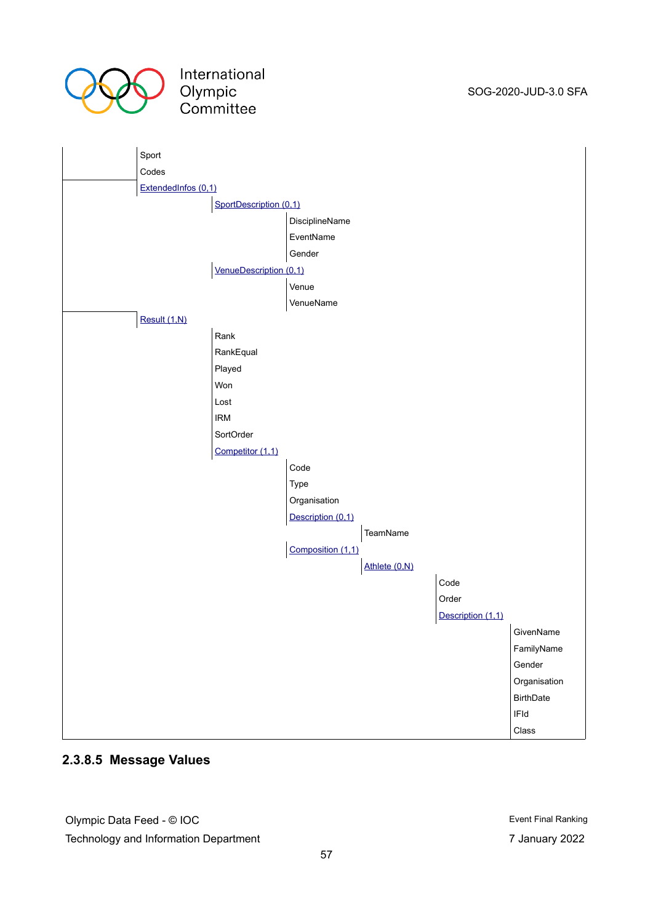



#### <span id="page-56-1"></span><span id="page-56-0"></span>**2.3.8.5 Message Values**

Olympic Data Feed - © IOC **Example 2018** Event Final Ranking Technology and Information Department 7 January 2022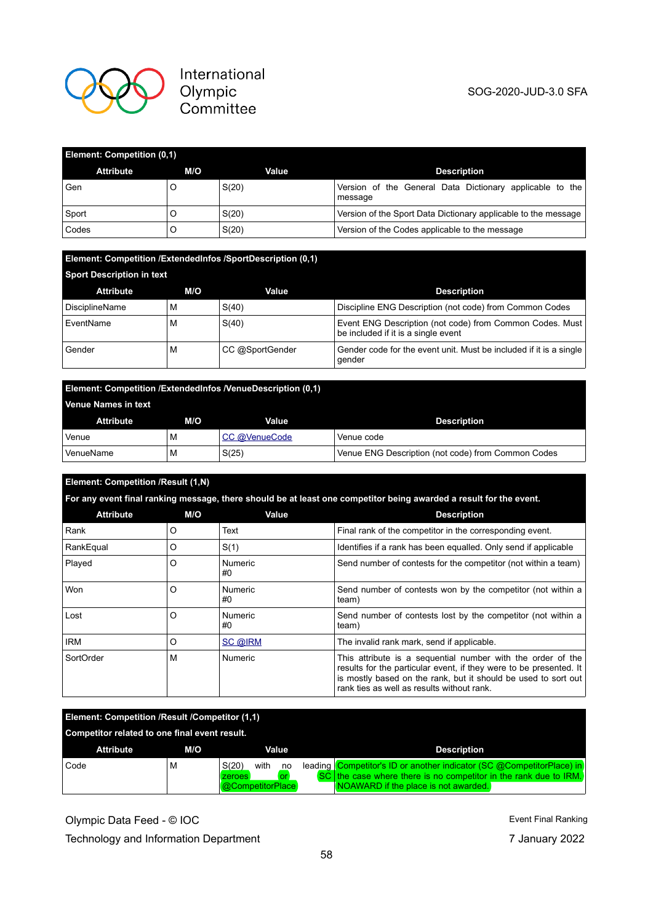

| <b>Element: Competition (0.1)</b> |     |       |                                                                     |  |  |
|-----------------------------------|-----|-------|---------------------------------------------------------------------|--|--|
| <b>Attribute</b>                  | M/O | Value | <b>Description</b>                                                  |  |  |
| Gen                               |     | S(20) | Version of the General Data Dictionary applicable to the<br>message |  |  |
| Sport                             |     | S(20) | Version of the Sport Data Dictionary applicable to the message      |  |  |
| Codes                             |     | S(20) | Version of the Codes applicable to the message                      |  |  |

<span id="page-57-3"></span>

|  | Element: Competition /ExtendedInfos /SportDescription (0,1) |  |  |
|--|-------------------------------------------------------------|--|--|
|--|-------------------------------------------------------------|--|--|

| Sport Description in text |     |                 |                                                                                                 |  |  |  |
|---------------------------|-----|-----------------|-------------------------------------------------------------------------------------------------|--|--|--|
| <b>Attribute</b>          | M/O | Value           | <b>Description</b>                                                                              |  |  |  |
| <b>DisciplineName</b>     | M   | S(40)           | Discipline ENG Description (not code) from Common Codes                                         |  |  |  |
| EventName                 | M   | S(40)           | Event ENG Description (not code) from Common Codes. Must<br>be included if it is a single event |  |  |  |
| Gender                    | M   | CC @SportGender | Gender code for the event unit. Must be included if it is a single<br>gender                    |  |  |  |

<span id="page-57-2"></span>

| <b>Element: Competition /ExtendedInfos /VenueDescription (0.1)</b> |     |               |                                                    |  |  |
|--------------------------------------------------------------------|-----|---------------|----------------------------------------------------|--|--|
| Venue Names in text                                                |     |               |                                                    |  |  |
| <b>Attribute</b>                                                   | M/O | Value         | <b>Description</b>                                 |  |  |
| Venue                                                              | M   | CC @VenueCode | Venue code                                         |  |  |
| VenueName                                                          | M   | S(25)         | Venue ENG Description (not code) from Common Codes |  |  |

<span id="page-57-1"></span>

|                  | Element: Competition /Result (1,N) |                      |                                                                                                                                                                                                                                                   |  |  |
|------------------|------------------------------------|----------------------|---------------------------------------------------------------------------------------------------------------------------------------------------------------------------------------------------------------------------------------------------|--|--|
|                  |                                    |                      | For any event final ranking message, there should be at least one competitor being awarded a result for the event.                                                                                                                                |  |  |
| <b>Attribute</b> | M/O                                | Value                | <b>Description</b>                                                                                                                                                                                                                                |  |  |
| Rank             | O                                  | Text                 | Final rank of the competitor in the corresponding event.                                                                                                                                                                                          |  |  |
| RankEqual        | O                                  | S(1)                 | Identifies if a rank has been equalled. Only send if applicable                                                                                                                                                                                   |  |  |
| Played           | O                                  | <b>Numeric</b><br>#0 | Send number of contests for the competitor (not within a team)                                                                                                                                                                                    |  |  |
| Won              | O                                  | <b>Numeric</b><br>#0 | Send number of contests won by the competitor (not within a<br>team)                                                                                                                                                                              |  |  |
| Lost             | O                                  | <b>Numeric</b><br>#0 | Send number of contests lost by the competitor (not within a<br>team)                                                                                                                                                                             |  |  |
| <b>IRM</b>       | O                                  | SC @IRM              | The invalid rank mark, send if applicable.                                                                                                                                                                                                        |  |  |
| SortOrder        | м                                  | <b>Numeric</b>       | This attribute is a sequential number with the order of the<br>results for the particular event, if they were to be presented. It<br>is mostly based on the rank, but it should be used to sort out<br>rank ties as well as results without rank. |  |  |

<span id="page-57-0"></span>

| <b>Element: Competition /Result /Competitor (1,1)</b> |     |                                                                |  |                                                                                                                                                                                   |  |
|-------------------------------------------------------|-----|----------------------------------------------------------------|--|-----------------------------------------------------------------------------------------------------------------------------------------------------------------------------------|--|
| Competitor related to one final event result.         |     |                                                                |  |                                                                                                                                                                                   |  |
| <b>Attribute</b>                                      | M/O | Value                                                          |  | <b>Description</b>                                                                                                                                                                |  |
| Code                                                  | M   | S(20)<br>with<br>no<br><b>or</b><br>zeroes<br>@CompetitorPlace |  | leading Competitor's ID or another indicator (SC @CompetitorPlace) in<br>SC the case where there is no competitor in the rank due to IRM.<br>NOAWARD if the place is not awarded. |  |

Olympic Data Feed - © IOC **Example 2018** Event Final Ranking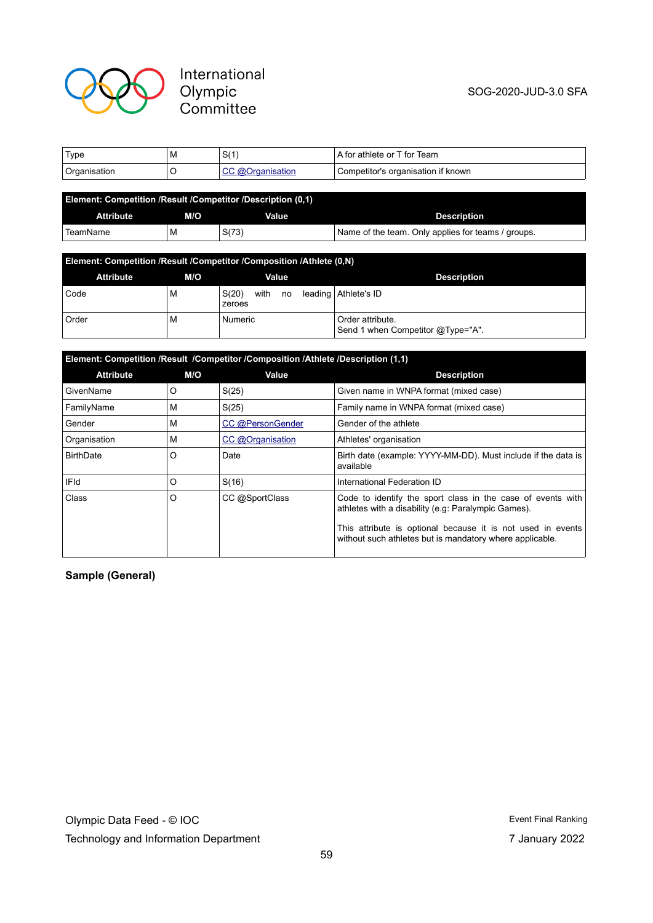

| Type         | M | S(1)             | A for athlete or T for Team        |
|--------------|---|------------------|------------------------------------|
| Organisation |   | CC @Organisation | Competitor's organisation if known |

<span id="page-58-2"></span>

| <b>Element: Competition /Result /Competitor /Description (0.1)</b> |     |       |                                                    |  |
|--------------------------------------------------------------------|-----|-------|----------------------------------------------------|--|
| Attribute                                                          | M/O | Value | Description                                        |  |
| TeamName                                                           | M   | S(73) | Name of the team. Only applies for teams / groups. |  |

<span id="page-58-1"></span>

| <b>Element: Competition /Result /Competitor /Composition /Athlete (0,N)</b> |     |                               |                                                       |  |  |
|-----------------------------------------------------------------------------|-----|-------------------------------|-------------------------------------------------------|--|--|
| <b>Attribute</b>                                                            | M/O | Value                         | <b>Description</b>                                    |  |  |
| Code                                                                        | м   | S(20)<br>with<br>no<br>zeroes | leading   Athlete's ID                                |  |  |
| Order                                                                       | м   | Numeric                       | Order attribute.<br>Send 1 when Competitor @Type="A". |  |  |

<span id="page-58-0"></span>

| Element: Competition /Result /Competitor /Composition /Athlete /Description (1,1) |     |                  |                                                                                                                         |  |  |
|-----------------------------------------------------------------------------------|-----|------------------|-------------------------------------------------------------------------------------------------------------------------|--|--|
| <b>Attribute</b>                                                                  | M/O | Value            | <b>Description</b>                                                                                                      |  |  |
| GivenName                                                                         | O   | S(25)            | Given name in WNPA format (mixed case)                                                                                  |  |  |
| FamilyName                                                                        | м   | S(25)            | Family name in WNPA format (mixed case)                                                                                 |  |  |
| Gender                                                                            | м   | CC @PersonGender | Gender of the athlete                                                                                                   |  |  |
| Organisation                                                                      | м   | CC @Organisation | Athletes' organisation                                                                                                  |  |  |
| <b>BirthDate</b>                                                                  | O   | Date             | Birth date (example: YYYY-MM-DD). Must include if the data is<br>available                                              |  |  |
| <b>IFId</b>                                                                       | O   | S(16)            | International Federation ID                                                                                             |  |  |
| Class                                                                             | O   | CC @SportClass   | Code to identify the sport class in the case of events with<br>athletes with a disability (e.g: Paralympic Games).      |  |  |
|                                                                                   |     |                  | This attribute is optional because it is not used in events<br>without such athletes but is mandatory where applicable. |  |  |

 **Sample (General)**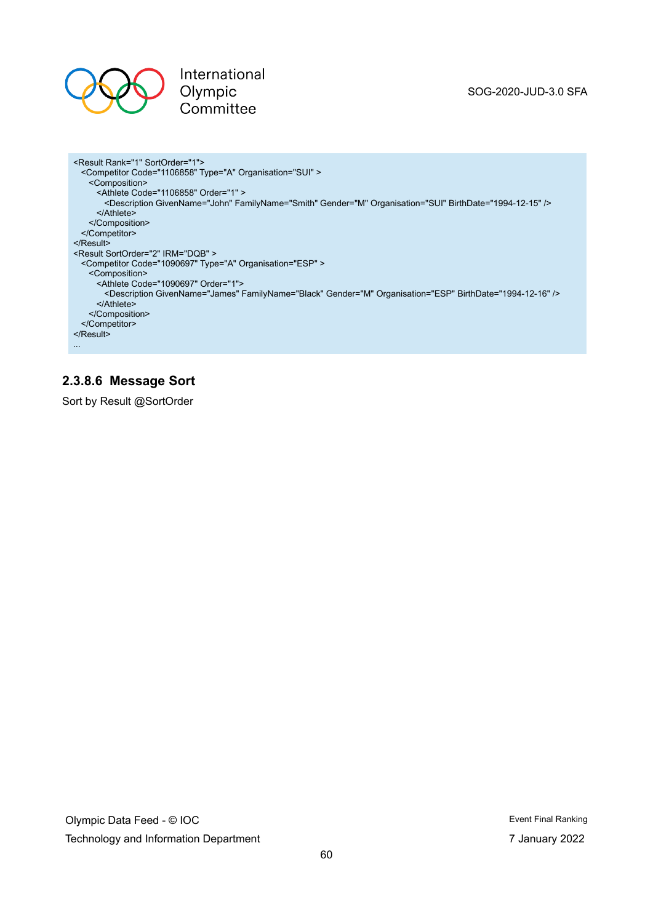



### <span id="page-59-0"></span>**2.3.8.6 Message Sort**

Sort by Result @SortOrder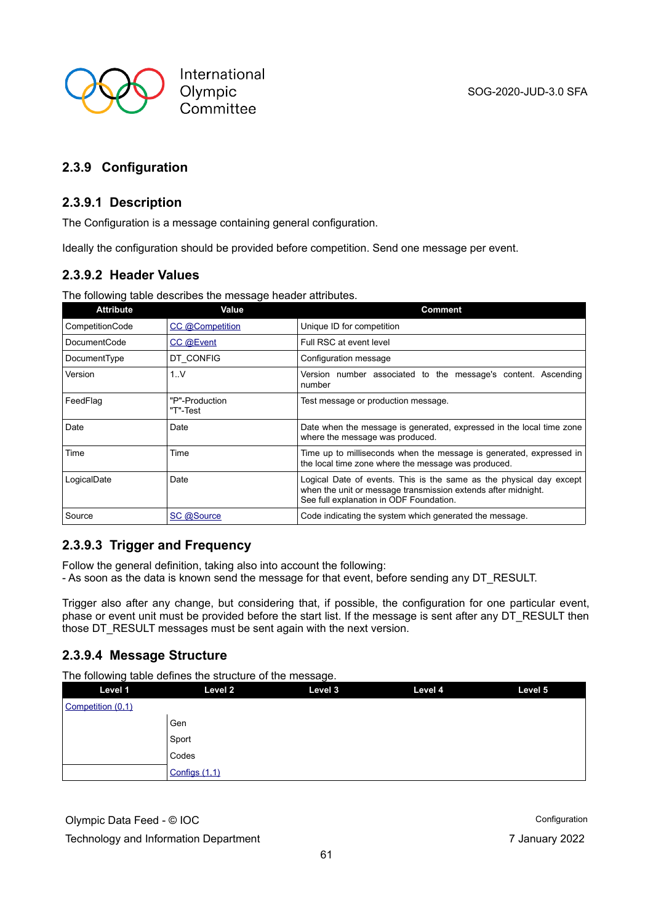

#### <span id="page-60-4"></span>**2.3.9 Configuration**

#### <span id="page-60-3"></span>**2.3.9.1 Description**

The Configuration is a message containing general configuration.

Ideally the configuration should be provided before competition. Send one message per event.

#### <span id="page-60-2"></span>**2.3.9.2 Header Values**

The following table describes the message header attributes.

| <b>Attribute</b> | Value                      | <b>Comment</b>                                                                                                                                                                  |
|------------------|----------------------------|---------------------------------------------------------------------------------------------------------------------------------------------------------------------------------|
| CompetitionCode  | CC @Competition            | Unique ID for competition                                                                                                                                                       |
| DocumentCode     | CC @Event                  | Full RSC at event level                                                                                                                                                         |
| DocumentType     | DT CONFIG                  | Configuration message                                                                                                                                                           |
| Version          | 1.1V                       | Version number associated to the message's content. Ascending<br>number                                                                                                         |
| FeedFlag         | "P"-Production<br>"T"-Test | Test message or production message.                                                                                                                                             |
| Date             | Date                       | Date when the message is generated, expressed in the local time zone<br>where the message was produced.                                                                         |
| Time             | Time                       | Time up to milliseconds when the message is generated, expressed in<br>the local time zone where the message was produced.                                                      |
| LogicalDate      | Date                       | Logical Date of events. This is the same as the physical day except<br>when the unit or message transmission extends after midnight.<br>See full explanation in ODF Foundation. |
| Source           | SC @Source                 | Code indicating the system which generated the message.                                                                                                                         |

#### <span id="page-60-1"></span>**2.3.9.3 Trigger and Frequency**

Follow the general definition, taking also into account the following:

- As soon as the data is known send the message for that event, before sending any DT\_RESULT.

Trigger also after any change, but considering that, if possible, the configuration for one particular event, phase or event unit must be provided before the start list. If the message is sent after any DT\_RESULT then those DT\_RESULT messages must be sent again with the next version.

#### <span id="page-60-0"></span>**2.3.9.4 Message Structure**

The following table defines the structure of the message.

| Level 1           | Level 2         | Level 3 | Level 4 | Level 5 |
|-------------------|-----------------|---------|---------|---------|
| Competition (0,1) |                 |         |         |         |
|                   | Gen             |         |         |         |
|                   | Sport           |         |         |         |
|                   | Codes           |         |         |         |
|                   | Configs $(1,1)$ |         |         |         |

Olympic Data Feed - © IOC Configuration Technology and Information Department 7 January 2022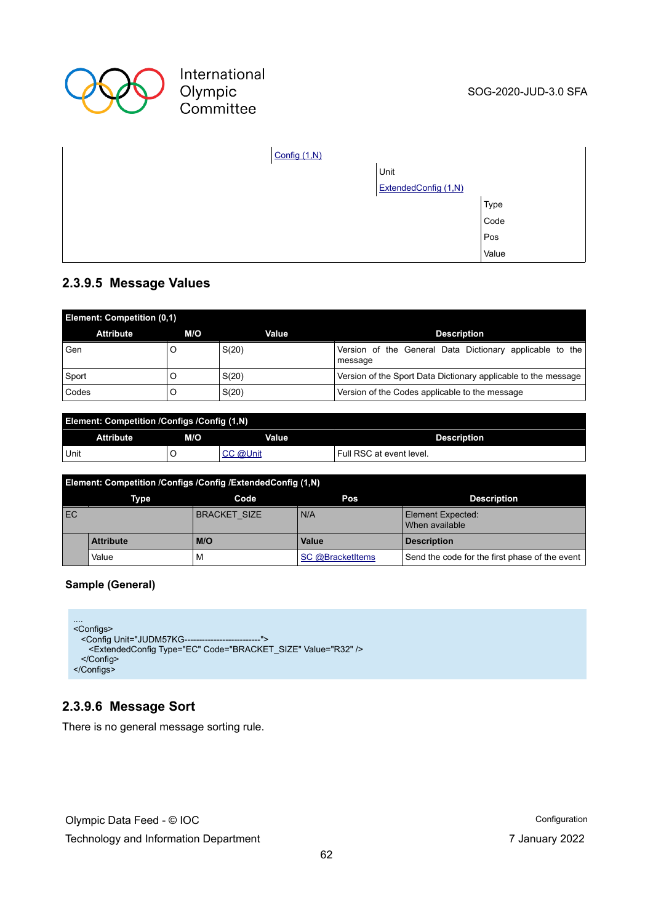

| Config (1,N) |                      |       |
|--------------|----------------------|-------|
|              | Unit                 |       |
|              | ExtendedConfig (1,N) |       |
|              |                      | Type  |
|              |                      | Code  |
|              |                      | Pos   |
|              |                      | Value |

#### <span id="page-61-1"></span>**2.3.9.5 Message Values**

<span id="page-61-2"></span>

| Element: Competition (0,1) |     |       |                                                                     |
|----------------------------|-----|-------|---------------------------------------------------------------------|
| <b>Attribute</b>           | M/O | Value | <b>Description</b>                                                  |
| Gen                        |     | S(20) | Version of the General Data Dictionary applicable to the<br>message |
| Sport                      |     | S(20) | Version of the Sport Data Dictionary applicable to the message      |
| Codes                      |     | S(20) | Version of the Codes applicable to the message                      |

<span id="page-61-4"></span>

| Element: Competition /Configs /Config (1,N) |     |          |                          |
|---------------------------------------------|-----|----------|--------------------------|
| Attribute                                   | M/O | Value    | <b>Description</b>       |
| Unit                                        |     | CC @Unit | Full RSC at event level. |

<span id="page-61-3"></span>

|    | Element: Competition /Configs /Config /ExtendedConfig (1,N) |                     |                  |                                                |  |
|----|-------------------------------------------------------------|---------------------|------------------|------------------------------------------------|--|
|    | Type                                                        | Code                | Pos              | <b>Description</b>                             |  |
| EC |                                                             | <b>BRACKET SIZE</b> | N/A              | <b>Element Expected:</b><br>When available     |  |
|    | <b>Attribute</b>                                            | M/O                 | Value            | <b>Description</b>                             |  |
|    | Value                                                       | M                   | SC @BracketItems | Send the code for the first phase of the event |  |

#### **Sample (General)**

| <configs></configs>                                                         |
|-----------------------------------------------------------------------------|
| <config unit="JUDM57KG--------------------------"></config>                 |
| <extendedconfig code="BRACKET SIZE" type="EC" value="R32"></extendedconfig> |
| $<$ /Config>                                                                |
|                                                                             |

#### <span id="page-61-0"></span>**2.3.9.6 Message Sort**

There is no general message sorting rule.

Olympic Data Feed - © IOC Configuration Technology and Information Department 7 January 2022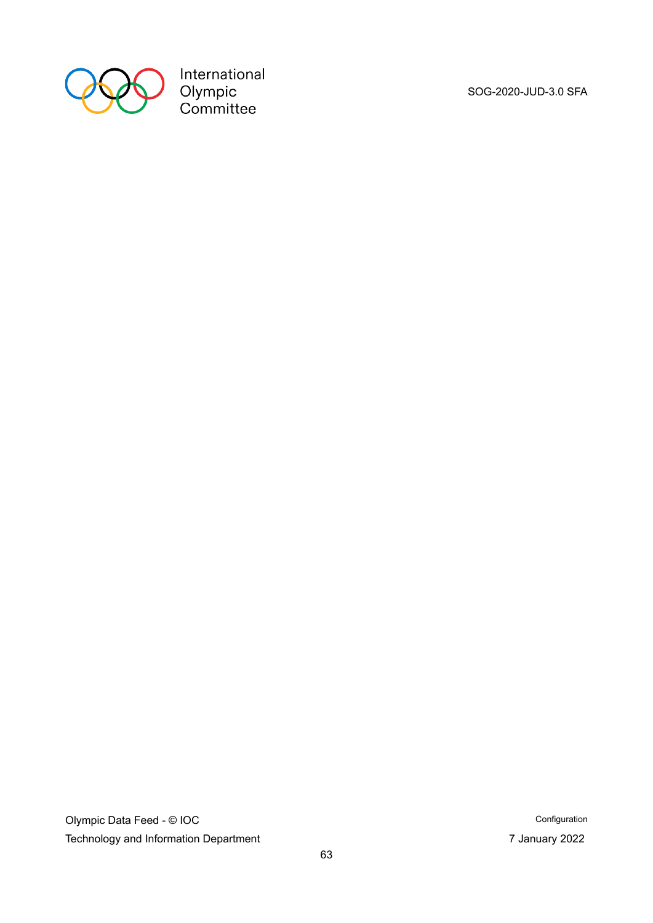

SOG-2020-JUD-3.0 SFA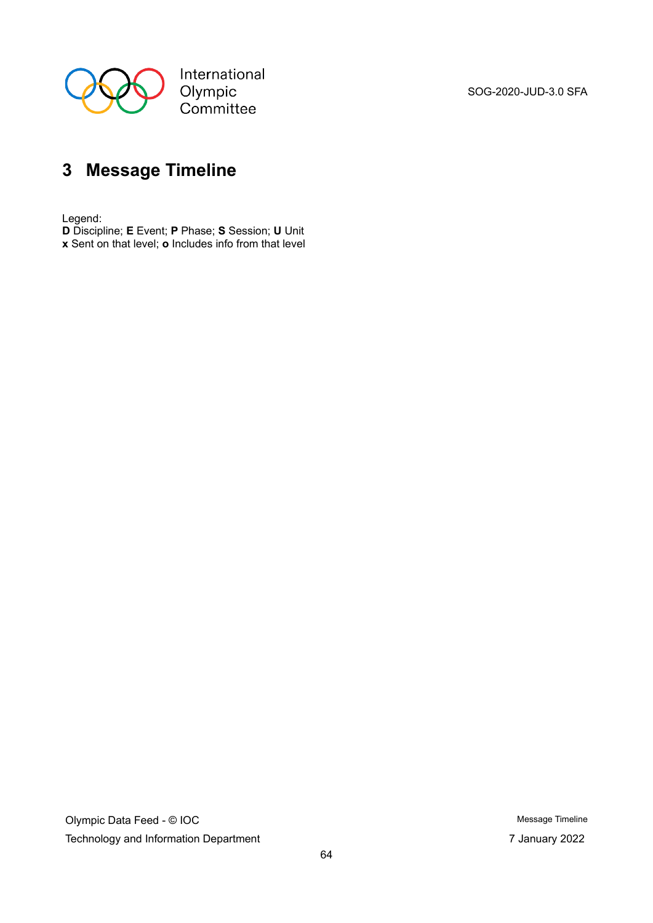

SOG-2020-JUD-3.0 SFA

### <span id="page-63-0"></span>**3 Message Timeline**

Legend:

**D** Discipline; **E** Event; **P** Phase; **S** Session; **U** Unit **x** Sent on that level; **o** Includes info from that level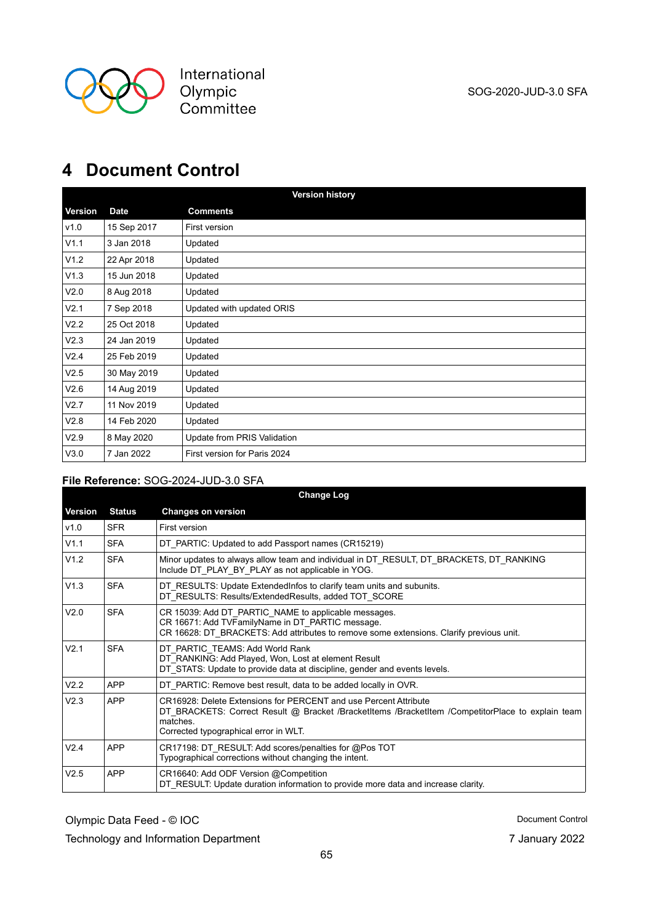

### <span id="page-64-0"></span>**4 Document Control**

| <b>Version history</b> |             |                              |  |  |
|------------------------|-------------|------------------------------|--|--|
| Version                | <b>Date</b> | <b>Comments</b>              |  |  |
| v1.0                   | 15 Sep 2017 | First version                |  |  |
| V1.1                   | 3 Jan 2018  | Updated                      |  |  |
| V1.2                   | 22 Apr 2018 | Updated                      |  |  |
| V1.3                   | 15 Jun 2018 | Updated                      |  |  |
| V2.0                   | 8 Aug 2018  | Updated                      |  |  |
| V2.1                   | 7 Sep 2018  | Updated with updated ORIS    |  |  |
| V2.2                   | 25 Oct 2018 | Updated                      |  |  |
| V2.3                   | 24 Jan 2019 | Updated                      |  |  |
| V2.4                   | 25 Feb 2019 | Updated                      |  |  |
| V2.5                   | 30 May 2019 | Updated                      |  |  |
| V2.6                   | 14 Aug 2019 | Updated                      |  |  |
| V2.7                   | 11 Nov 2019 | Updated                      |  |  |
| V2.8                   | 14 Feb 2020 | Updated                      |  |  |
| V2.9                   | 8 May 2020  | Update from PRIS Validation  |  |  |
| V3.0                   | 7 Jan 2022  | First version for Paris 2024 |  |  |

#### **File Reference:** SOG-2024-JUD-3.0 SFA

| <b>Change Log</b> |               |                                                                                                                                                                                                                            |  |  |
|-------------------|---------------|----------------------------------------------------------------------------------------------------------------------------------------------------------------------------------------------------------------------------|--|--|
| Version           | <b>Status</b> | <b>Changes on version</b>                                                                                                                                                                                                  |  |  |
| v1.0              | <b>SFR</b>    | First version                                                                                                                                                                                                              |  |  |
| V1.1              | <b>SFA</b>    | DT PARTIC: Updated to add Passport names (CR15219)                                                                                                                                                                         |  |  |
| V1.2              | <b>SFA</b>    | Minor updates to always allow team and individual in DT RESULT, DT BRACKETS, DT RANKING<br>Include DT PLAY BY PLAY as not applicable in YOG.                                                                               |  |  |
| V1.3              | <b>SFA</b>    | DT RESULTS: Update ExtendedInfos to clarify team units and subunits.<br>DT_RESULTS: Results/ExtendedResults, added TOT_SCORE                                                                                               |  |  |
| V2.0              | <b>SFA</b>    | CR 15039: Add DT PARTIC NAME to applicable messages.<br>CR 16671: Add TVFamilyName in DT_PARTIC message.<br>CR 16628: DT BRACKETS: Add attributes to remove some extensions. Clarify previous unit.                        |  |  |
| V <sub>2.1</sub>  | <b>SFA</b>    | DT PARTIC TEAMS: Add World Rank<br>DT RANKING: Add Played, Won, Lost at element Result<br>DT STATS: Update to provide data at discipline, gender and events levels.                                                        |  |  |
| V2.2              | <b>APP</b>    | DT PARTIC: Remove best result, data to be added locally in OVR.                                                                                                                                                            |  |  |
| V2.3              | <b>APP</b>    | CR16928: Delete Extensions for PERCENT and use Percent Attribute<br>DT BRACKETS: Correct Result @ Bracket /BracketItems /BracketItem /CompetitorPlace to explain team<br>matches.<br>Corrected typographical error in WLT. |  |  |
| V2.4              | <b>APP</b>    | CR17198: DT RESULT: Add scores/penalties for @Pos TOT<br>Typographical corrections without changing the intent.                                                                                                            |  |  |
| V2.5              | <b>APP</b>    | CR16640: Add ODF Version @Competition<br>DT RESULT: Update duration information to provide more data and increase clarity.                                                                                                 |  |  |

Olympic Data Feed - © IOC Document Control